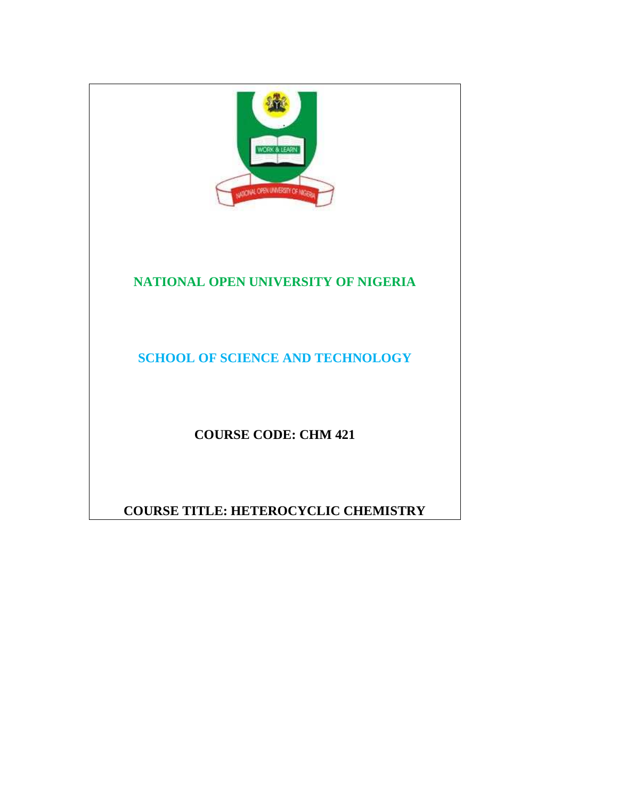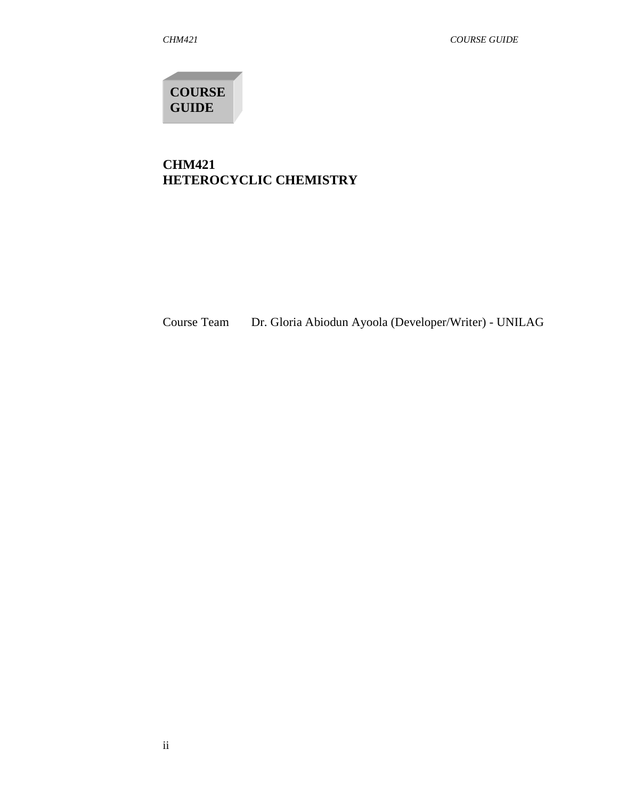**COURSE GUIDE** 

# **CHM421 HETEROCYCLIC CHEMISTRY**

Course Team Dr. Gloria Abiodun Ayoola (Developer/Writer) - UNILAG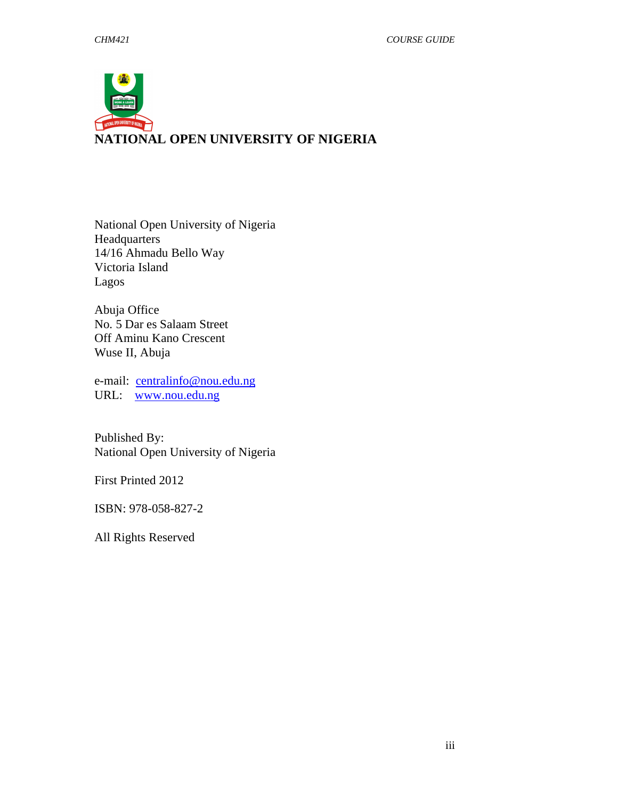

National Open University of Nigeria Headquarters 14/16 Ahmadu Bello Way Victoria Island Lagos

Abuja Office No. 5 Dar es Salaam Street Off Aminu Kano Crescent Wuse II, Abuja

e-mail: centralinfo@nou.edu.ng URL: www.nou.edu.ng

Published By: National Open University of Nigeria

First Printed 2012

ISBN: 978-058-827-2

All Rights Reserved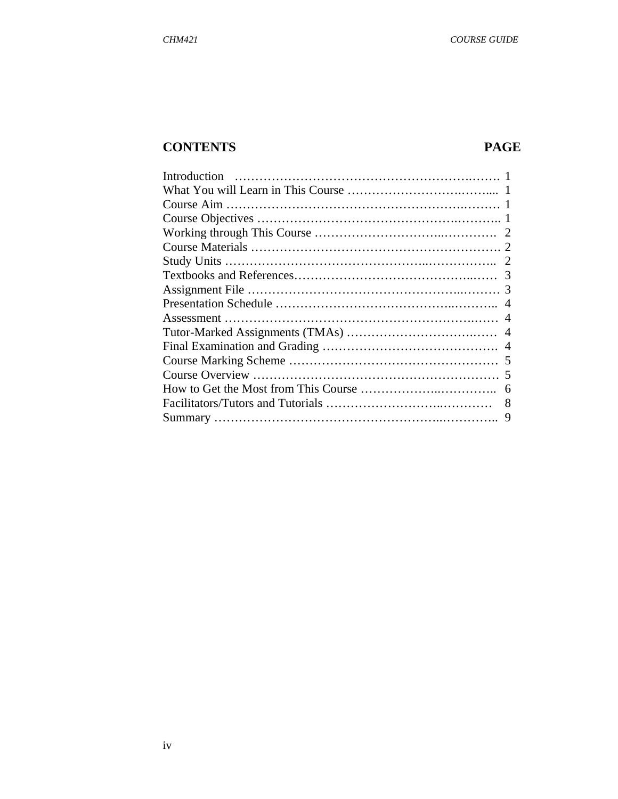# **CONTENTS PAGE**

| 6 |
|---|
| 8 |
| 9 |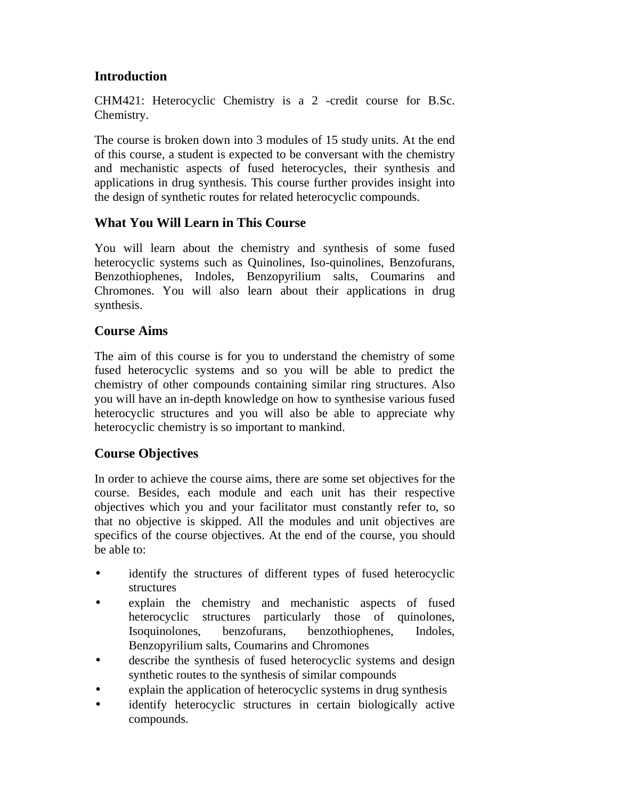# **Introduction**

CHM421: Heterocyclic Chemistry is a 2 -credit course for B.Sc. Chemistry.

The course is broken down into 3 modules of 15 study units. At the end of this course, a student is expected to be conversant with the chemistry and mechanistic aspects of fused heterocycles, their synthesis and applications in drug synthesis. This course further provides insight into the design of synthetic routes for related heterocyclic compounds.

## **What You Will Learn in This Course**

You will learn about the chemistry and synthesis of some fused heterocyclic systems such as Quinolines, Iso-quinolines, Benzofurans, Benzothiophenes, Indoles, Benzopyrilium salts, Coumarins and Chromones. You will also learn about their applications in drug synthesis.

## **Course Aims**

The aim of this course is for you to understand the chemistry of some fused heterocyclic systems and so you will be able to predict the chemistry of other compounds containing similar ring structures. Also you will have an in-depth knowledge on how to synthesise various fused heterocyclic structures and you will also be able to appreciate why heterocyclic chemistry is so important to mankind.

# **Course Objectives**

In order to achieve the course aims, there are some set objectives for the course. Besides, each module and each unit has their respective objectives which you and your facilitator must constantly refer to, so that no objective is skipped. All the modules and unit objectives are specifics of the course objectives. At the end of the course, you should be able to:

- identify the structures of different types of fused heterocyclic structures
- explain the chemistry and mechanistic aspects of fused heterocyclic structures particularly those of quinolones, Isoquinolones, benzofurans, benzothiophenes, Indoles, Benzopyrilium salts, Coumarins and Chromones
- describe the synthesis of fused heterocyclic systems and design synthetic routes to the synthesis of similar compounds
- explain the application of heterocyclic systems in drug synthesis
- identify heterocyclic structures in certain biologically active compounds.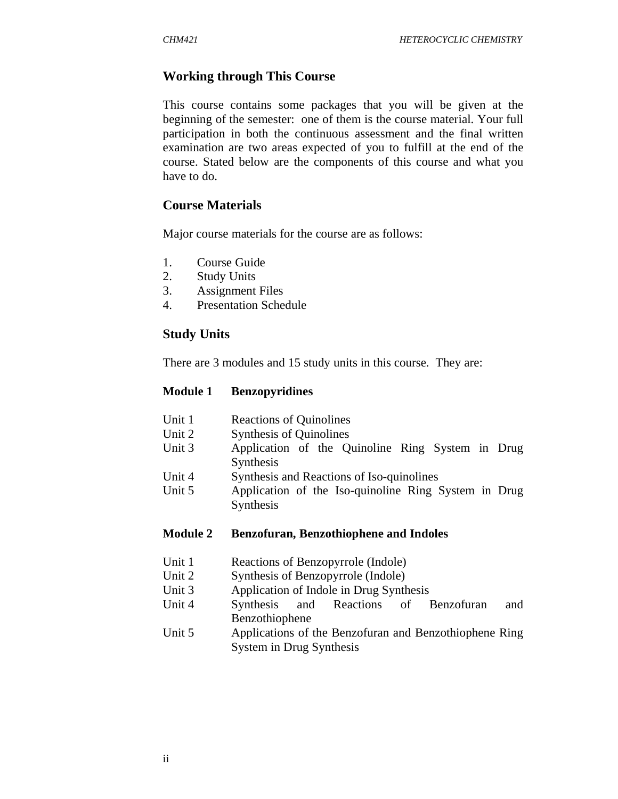## **Working through This Course**

This course contains some packages that you will be given at the beginning of the semester: one of them is the course material. Your full participation in both the continuous assessment and the final written examination are two areas expected of you to fulfill at the end of the course. Stated below are the components of this course and what you have to do.

#### **Course Materials**

Major course materials for the course are as follows:

- 1. Course Guide
- 2. Study Units
- 3. Assignment Files
- 4. Presentation Schedule

#### **Study Units**

There are 3 modules and 15 study units in this course. They are:

#### **Module 1 Benzopyridines**

- Unit 1 Reactions of Quinolines
- Unit 2 Synthesis of Quinolines
- Unit 3 Application of the Quinoline Ring System in Drug Synthesis
- Unit 4 Synthesis and Reactions of Iso-quinolines
- Unit 5 Application of the Iso-quinoline Ring System in Drug Synthesis

#### **Module 2 Benzofuran, Benzothiophene and Indoles**

- Unit 1 Reactions of Benzopyrrole (Indole)
- Unit 2 Synthesis of Benzopyrrole (Indole)
- Unit 3 Application of Indole in Drug Synthesis
- Unit 4 Synthesis and Reactions of Benzofuran and Benzothiophene
- Unit 5 Applications of the Benzofuran and Benzothiophene Ring System in Drug Synthesis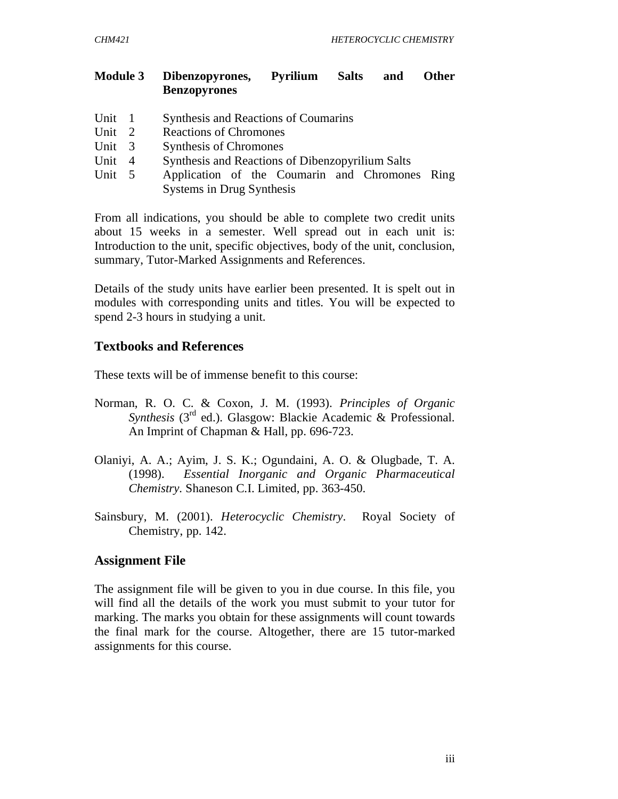#### **Module 3 Dibenzopyrones, Pyrilium Salts and Other Benzopyrones**

- Unit 1 Synthesis and Reactions of Coumarins
- Unit 2 Reactions of Chromones
- Unit 3 Synthesis of Chromones
- Unit 4 Synthesis and Reactions of Dibenzopyrilium Salts
- Unit 5 Application of the Coumarin and Chromones Ring Systems in Drug Synthesis

From all indications, you should be able to complete two credit units about 15 weeks in a semester. Well spread out in each unit is: Introduction to the unit, specific objectives, body of the unit, conclusion, summary, Tutor-Marked Assignments and References.

Details of the study units have earlier been presented. It is spelt out in modules with corresponding units and titles. You will be expected to spend 2-3 hours in studying a unit.

### **Textbooks and References**

These texts will be of immense benefit to this course:

- Norman, R. O. C. & Coxon, J. M. (1993). *Principles of Organic Synthesis* (3rd ed.). Glasgow: Blackie Academic & Professional. An Imprint of Chapman & Hall, pp. 696-723.
- Olaniyi, A. A.; Ayim, J. S. K.; Ogundaini, A. O. & Olugbade, T. A. (1998). *Essential Inorganic and Organic Pharmaceutical Chemistry.* Shaneson C.I. Limited, pp. 363-450.
- Sainsbury, M. (2001). *Heterocyclic Chemistry*. Royal Society of Chemistry, pp. 142.

## **Assignment File**

The assignment file will be given to you in due course. In this file, you will find all the details of the work you must submit to your tutor for marking. The marks you obtain for these assignments will count towards the final mark for the course. Altogether, there are 15 tutor-marked assignments for this course.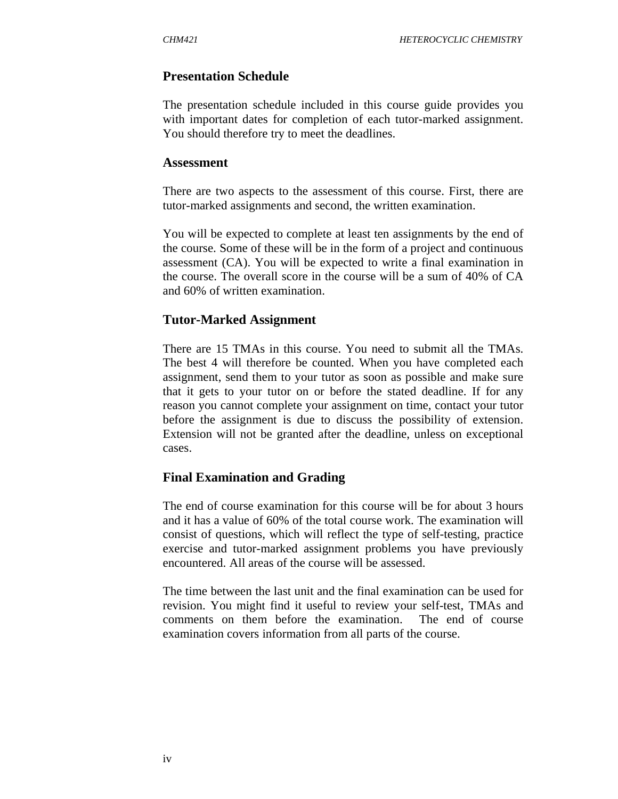#### **Presentation Schedule**

The presentation schedule included in this course guide provides you with important dates for completion of each tutor-marked assignment. You should therefore try to meet the deadlines.

#### **Assessment**

There are two aspects to the assessment of this course. First, there are tutor-marked assignments and second, the written examination.

You will be expected to complete at least ten assignments by the end of the course. Some of these will be in the form of a project and continuous assessment (CA). You will be expected to write a final examination in the course. The overall score in the course will be a sum of 40% of CA and 60% of written examination.

#### **Tutor-Marked Assignment**

There are 15 TMAs in this course. You need to submit all the TMAs. The best 4 will therefore be counted. When you have completed each assignment, send them to your tutor as soon as possible and make sure that it gets to your tutor on or before the stated deadline. If for any reason you cannot complete your assignment on time, contact your tutor before the assignment is due to discuss the possibility of extension. Extension will not be granted after the deadline, unless on exceptional cases.

#### **Final Examination and Grading**

The end of course examination for this course will be for about 3 hours and it has a value of 60% of the total course work. The examination will consist of questions, which will reflect the type of self-testing, practice exercise and tutor-marked assignment problems you have previously encountered. All areas of the course will be assessed.

The time between the last unit and the final examination can be used for revision. You might find it useful to review your self-test, TMAs and comments on them before the examination. The end of course examination covers information from all parts of the course.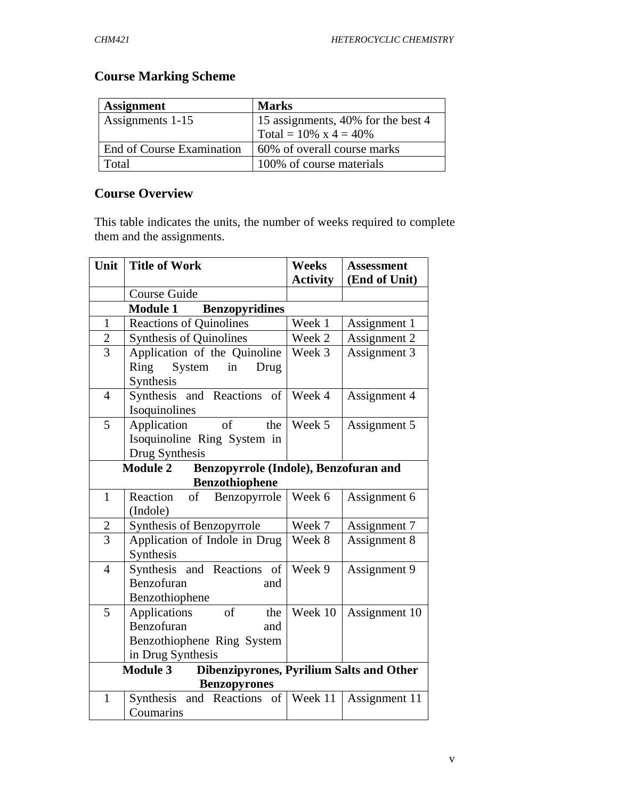# **Course Marking Scheme**

| <b>Assignment</b>         | <b>Marks</b>                       |
|---------------------------|------------------------------------|
| Assignments 1-15          | 15 assignments, 40% for the best 4 |
|                           | Total = $10\% \times 4 = 40\%$     |
| End of Course Examination | 60% of overall course marks        |
| Total                     | 100% of course materials           |

# **Course Overview**

This table indicates the units, the number of weeks required to complete them and the assignments.

| Unit                                                               | <b>Title of Work</b>                                     | <b>Weeks</b>    | <b>Assessment</b> |  |  |
|--------------------------------------------------------------------|----------------------------------------------------------|-----------------|-------------------|--|--|
|                                                                    |                                                          | <b>Activity</b> | (End of Unit)     |  |  |
|                                                                    | Course Guide                                             |                 |                   |  |  |
| <b>Module 1</b><br><b>Benzopyridines</b>                           |                                                          |                 |                   |  |  |
| $\mathbf{1}$                                                       | <b>Reactions of Quinolines</b>                           | Week 1          | Assignment 1      |  |  |
| $\overline{c}$                                                     | <b>Synthesis of Quinolines</b>                           | Week 2          | Assignment 2      |  |  |
| $\overline{3}$                                                     | Application of the Quinoline                             | Week 3          | Assignment 3      |  |  |
|                                                                    | Ring<br>System<br>$\overline{\text{in}}$<br>Drug         |                 |                   |  |  |
|                                                                    | Synthesis                                                |                 |                   |  |  |
| $\overline{4}$                                                     | Synthesis and Reactions of                               | Week 4          | Assignment 4      |  |  |
|                                                                    | Isoquinolines                                            |                 |                   |  |  |
| 5                                                                  | $\sigma$<br>Application<br>the                           | Week 5          | Assignment 5      |  |  |
|                                                                    | Isoquinoline Ring System in                              |                 |                   |  |  |
|                                                                    | Drug Synthesis                                           |                 |                   |  |  |
|                                                                    | <b>Module 2</b><br>Benzopyrrole (Indole), Benzofuran and |                 |                   |  |  |
|                                                                    | <b>Benzothiophene</b>                                    |                 |                   |  |  |
| $\mathbf{1}$                                                       | of<br>Benzopyrrole<br>Reaction                           | Week 6          | Assignment 6      |  |  |
|                                                                    | (Indole)                                                 |                 |                   |  |  |
| $\overline{c}$                                                     | Synthesis of Benzopyrrole                                | Week 7          | Assignment 7      |  |  |
| $\overline{3}$                                                     | Application of Indole in Drug                            | Week 8          | Assignment 8      |  |  |
|                                                                    | Synthesis                                                |                 |                   |  |  |
| $\overline{4}$                                                     | Synthesis and Reactions of                               | Week 9          | Assignment 9      |  |  |
|                                                                    | Benzofuran<br>and                                        |                 |                   |  |  |
|                                                                    | Benzothiophene                                           |                 |                   |  |  |
| 5                                                                  | <sub>of</sub><br>the<br>Applications                     | Week 10         | Assignment 10     |  |  |
|                                                                    | Benzofuran<br>and                                        |                 |                   |  |  |
|                                                                    | Benzothiophene Ring System                               |                 |                   |  |  |
|                                                                    | in Drug Synthesis                                        |                 |                   |  |  |
| <b>Module 3</b><br><b>Dibenzipyrones, Pyrilium Salts and Other</b> |                                                          |                 |                   |  |  |
| $\mathbf{1}$                                                       | <b>Benzopyrones</b><br>of<br>and Reactions<br>Synthesis  | Week 11         |                   |  |  |
|                                                                    | Coumarins                                                |                 | Assignment 11     |  |  |
|                                                                    |                                                          |                 |                   |  |  |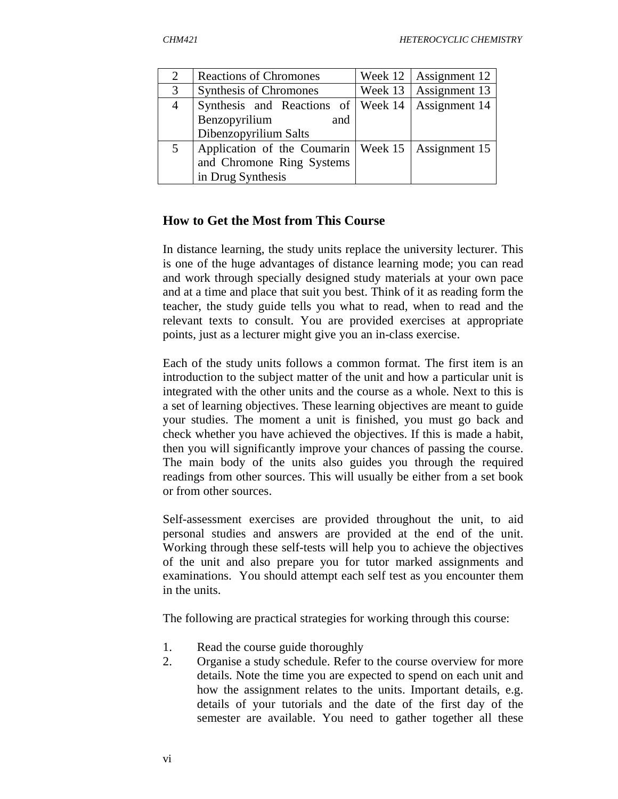| 2              | <b>Reactions of Chromones</b>      | Week $12$ | Assignment 12             |
|----------------|------------------------------------|-----------|---------------------------|
| 3              | <b>Synthesis of Chromones</b>      | Week 13   | Assignment 13             |
| $\overline{4}$ | Synthesis and Reactions of Week 14 |           | Assignment 14             |
|                | Benzopyrilium<br>and               |           |                           |
|                | Dibenzopyrilium Salts              |           |                           |
|                | Application of the Coumarin        |           | Week $15$   Assignment 15 |
|                | and Chromone Ring Systems          |           |                           |
|                | in Drug Synthesis                  |           |                           |

#### **How to Get the Most from This Course**

In distance learning, the study units replace the university lecturer. This is one of the huge advantages of distance learning mode; you can read and work through specially designed study materials at your own pace and at a time and place that suit you best. Think of it as reading form the teacher, the study guide tells you what to read, when to read and the relevant texts to consult. You are provided exercises at appropriate points, just as a lecturer might give you an in-class exercise.

Each of the study units follows a common format. The first item is an introduction to the subject matter of the unit and how a particular unit is integrated with the other units and the course as a whole. Next to this is a set of learning objectives. These learning objectives are meant to guide your studies. The moment a unit is finished, you must go back and check whether you have achieved the objectives. If this is made a habit, then you will significantly improve your chances of passing the course. The main body of the units also guides you through the required readings from other sources. This will usually be either from a set book or from other sources.

Self-assessment exercises are provided throughout the unit, to aid personal studies and answers are provided at the end of the unit. Working through these self-tests will help you to achieve the objectives of the unit and also prepare you for tutor marked assignments and examinations. You should attempt each self test as you encounter them in the units.

The following are practical strategies for working through this course:

- 1. Read the course guide thoroughly
- 2. Organise a study schedule. Refer to the course overview for more details. Note the time you are expected to spend on each unit and how the assignment relates to the units. Important details, e.g. details of your tutorials and the date of the first day of the semester are available. You need to gather together all these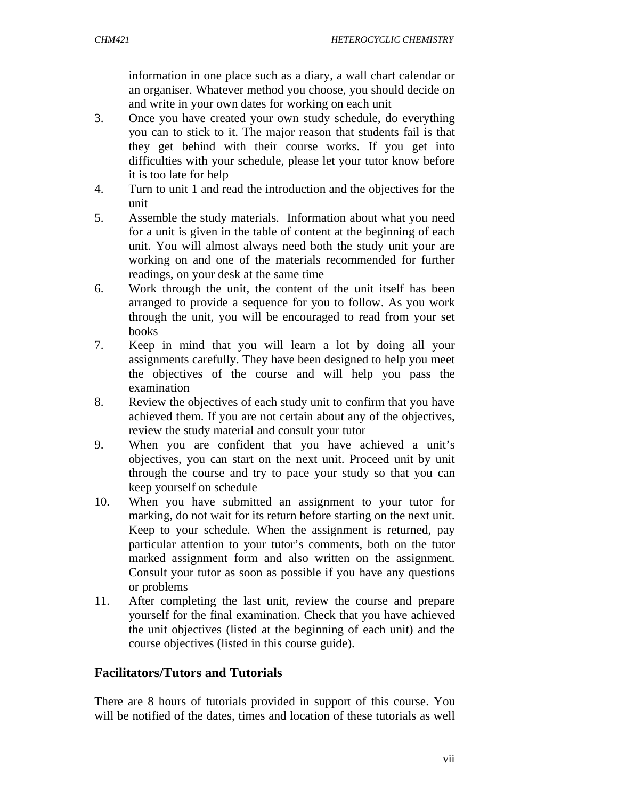information in one place such as a diary, a wall chart calendar or an organiser. Whatever method you choose, you should decide on and write in your own dates for working on each unit

- 3. Once you have created your own study schedule, do everything you can to stick to it. The major reason that students fail is that they get behind with their course works. If you get into difficulties with your schedule, please let your tutor know before it is too late for help
- 4. Turn to unit 1 and read the introduction and the objectives for the unit
- 5. Assemble the study materials. Information about what you need for a unit is given in the table of content at the beginning of each unit. You will almost always need both the study unit your are working on and one of the materials recommended for further readings, on your desk at the same time
- 6. Work through the unit, the content of the unit itself has been arranged to provide a sequence for you to follow. As you work through the unit, you will be encouraged to read from your set books
- 7. Keep in mind that you will learn a lot by doing all your assignments carefully. They have been designed to help you meet the objectives of the course and will help you pass the examination
- 8. Review the objectives of each study unit to confirm that you have achieved them. If you are not certain about any of the objectives, review the study material and consult your tutor
- 9. When you are confident that you have achieved a unit's objectives, you can start on the next unit. Proceed unit by unit through the course and try to pace your study so that you can keep yourself on schedule
- 10. When you have submitted an assignment to your tutor for marking, do not wait for its return before starting on the next unit. Keep to your schedule. When the assignment is returned, pay particular attention to your tutor's comments, both on the tutor marked assignment form and also written on the assignment. Consult your tutor as soon as possible if you have any questions or problems
- 11. After completing the last unit, review the course and prepare yourself for the final examination. Check that you have achieved the unit objectives (listed at the beginning of each unit) and the course objectives (listed in this course guide).

## **Facilitators/Tutors and Tutorials**

There are 8 hours of tutorials provided in support of this course. You will be notified of the dates, times and location of these tutorials as well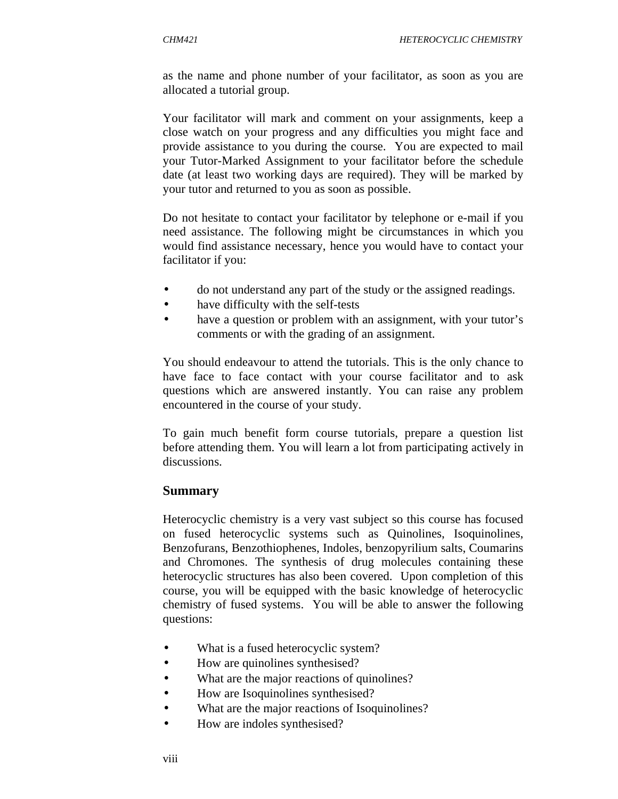as the name and phone number of your facilitator, as soon as you are allocated a tutorial group.

Your facilitator will mark and comment on your assignments, keep a close watch on your progress and any difficulties you might face and provide assistance to you during the course. You are expected to mail your Tutor-Marked Assignment to your facilitator before the schedule date (at least two working days are required). They will be marked by your tutor and returned to you as soon as possible.

Do not hesitate to contact your facilitator by telephone or e-mail if you need assistance. The following might be circumstances in which you would find assistance necessary, hence you would have to contact your facilitator if you:

- do not understand any part of the study or the assigned readings.
- have difficulty with the self-tests
- have a question or problem with an assignment, with your tutor's comments or with the grading of an assignment.

You should endeavour to attend the tutorials. This is the only chance to have face to face contact with your course facilitator and to ask questions which are answered instantly. You can raise any problem encountered in the course of your study.

To gain much benefit form course tutorials, prepare a question list before attending them. You will learn a lot from participating actively in discussions.

#### **Summary**

Heterocyclic chemistry is a very vast subject so this course has focused on fused heterocyclic systems such as Quinolines, Isoquinolines, Benzofurans, Benzothiophenes, Indoles, benzopyrilium salts, Coumarins and Chromones. The synthesis of drug molecules containing these heterocyclic structures has also been covered. Upon completion of this course, you will be equipped with the basic knowledge of heterocyclic chemistry of fused systems. You will be able to answer the following questions:

- What is a fused heterocyclic system?
- How are quinolines synthesised?
- What are the major reactions of quinolines?
- How are Isoquinolines synthesised?
- What are the major reactions of Isoquinolines?
- How are indoles synthesised?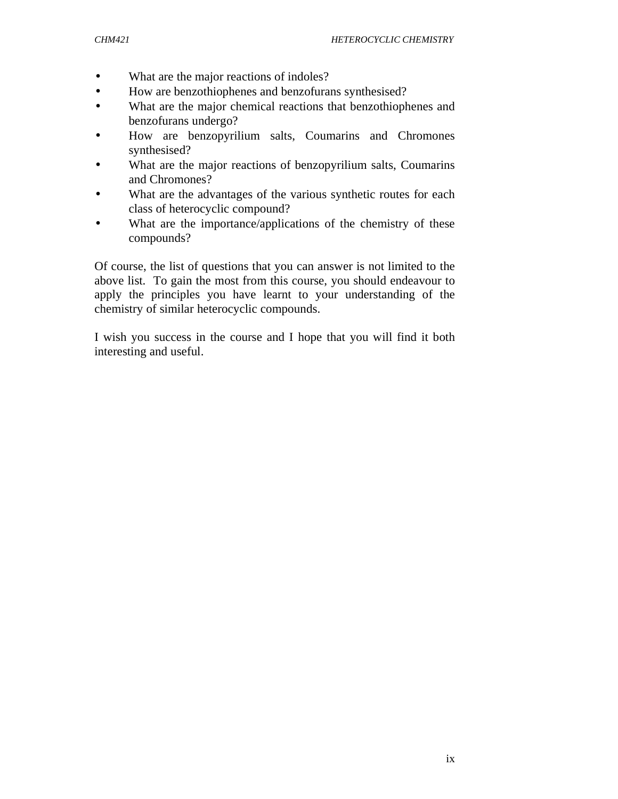- What are the major reactions of indoles?
- How are benzothiophenes and benzofurans synthesised?
- What are the major chemical reactions that benzothiophenes and benzofurans undergo?
- How are benzopyrilium salts, Coumarins and Chromones synthesised?
- What are the major reactions of benzopyrilium salts, Coumarins and Chromones?
- What are the advantages of the various synthetic routes for each class of heterocyclic compound?
- What are the importance/applications of the chemistry of these compounds?

Of course, the list of questions that you can answer is not limited to the above list. To gain the most from this course, you should endeavour to apply the principles you have learnt to your understanding of the chemistry of similar heterocyclic compounds.

I wish you success in the course and I hope that you will find it both interesting and useful.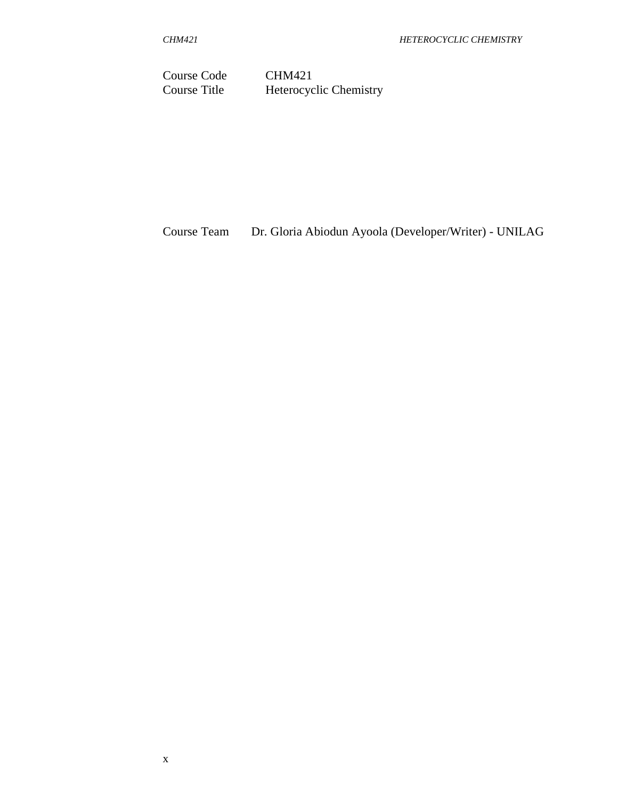Course Code CHM421<br>Course Title Heterocyc Heterocyclic Chemistry

Course Team Dr. Gloria Abiodun Ayoola (Developer/Writer) - UNILAG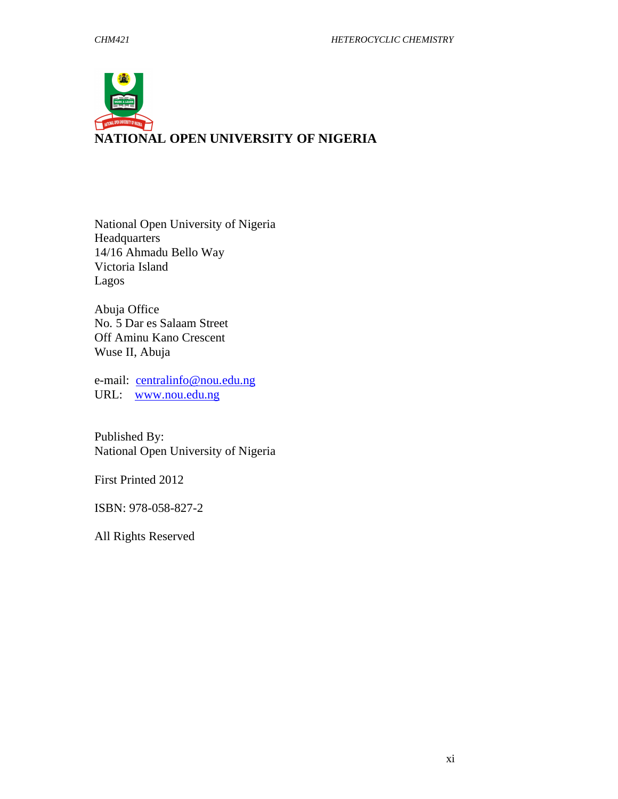

National Open University of Nigeria Headquarters 14/16 Ahmadu Bello Way Victoria Island Lagos

Abuja Office No. 5 Dar es Salaam Street Off Aminu Kano Crescent Wuse II, Abuja

e-mail: centralinfo@nou.edu.ng URL: www.nou.edu.ng

Published By: National Open University of Nigeria

First Printed 2012

ISBN: 978-058-827-2

All Rights Reserved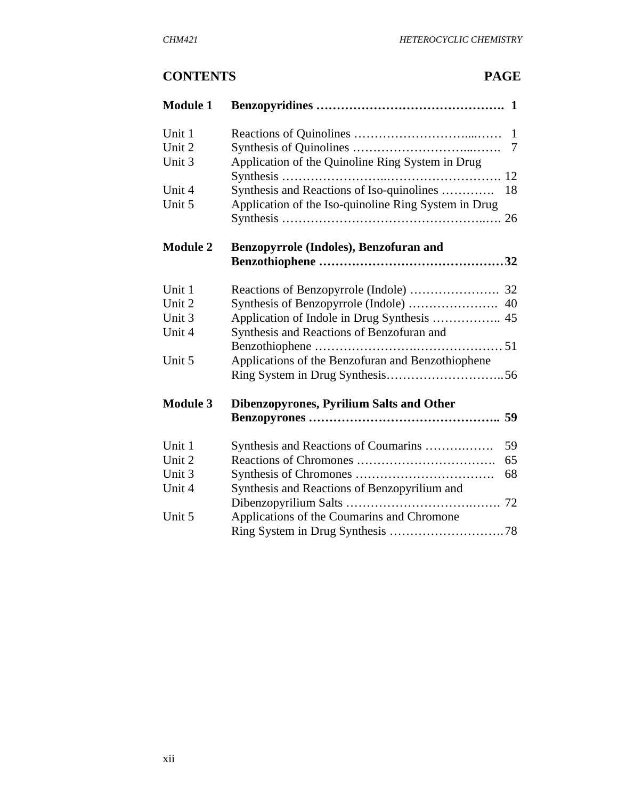# **CONTENTS PAGE**

| <b>Module 1</b> |                                                      |                |
|-----------------|------------------------------------------------------|----------------|
| Unit 1          |                                                      | 1              |
| Unit 2          |                                                      | $\overline{7}$ |
| Unit 3          | Application of the Quinoline Ring System in Drug     |                |
|                 |                                                      |                |
| Unit 4          | Synthesis and Reactions of Iso-quinolines            | 18             |
| Unit 5          | Application of the Iso-quinoline Ring System in Drug |                |
|                 |                                                      |                |
| <b>Module 2</b> | Benzopyrrole (Indoles), Benzofuran and               |                |
|                 |                                                      |                |
|                 |                                                      |                |
| Unit 1          |                                                      |                |
| Unit 2          |                                                      |                |
| Unit 3          |                                                      |                |
| Unit 4          | Synthesis and Reactions of Benzofuran and            |                |
|                 |                                                      |                |
| Unit 5          | Applications of the Benzofuran and Benzothiophene    |                |
|                 |                                                      |                |
| <b>Module 3</b> | <b>Dibenzopyrones, Pyrilium Salts and Other</b>      |                |
|                 |                                                      |                |
| Unit 1          | Synthesis and Reactions of Coumarins                 | 59             |
| Unit 2          |                                                      | 65             |
| Unit 3          |                                                      | 68             |
| Unit 4          | Synthesis and Reactions of Benzopyrilium and         |                |
|                 |                                                      |                |
| Unit 5          | Applications of the Coumarins and Chromone           |                |
|                 |                                                      |                |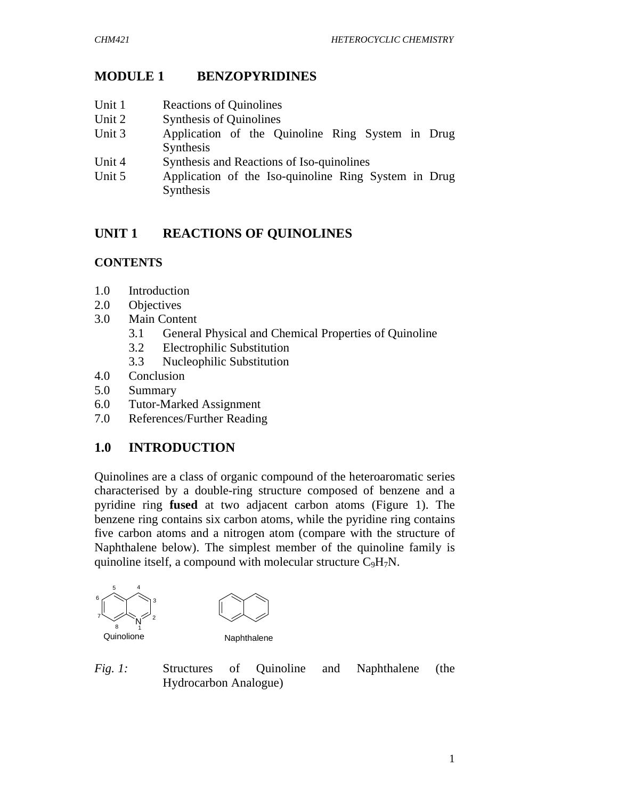# **MODULE 1 BENZOPYRIDINES**

- Unit 1 Reactions of Quinolines
- Unit 2 Synthesis of Quinolines
- Unit 3 Application of the Quinoline Ring System in Drug Synthesis
- Unit 4 Synthesis and Reactions of Iso-quinolines
- Unit 5 Application of the Iso-quinoline Ring System in Drug Synthesis

## **UNIT 1 REACTIONS OF QUINOLINES**

### **CONTENTS**

- 1.0 Introduction
- 2.0 Objectives
- 3.0 Main Content
	- 3.1 General Physical and Chemical Properties of Quinoline
	- 3.2 Electrophilic Substitution
	- 3.3 Nucleophilic Substitution
- 4.0 Conclusion
- 5.0 Summary
- 6.0 Tutor-Marked Assignment
- 7.0 References/Further Reading

# **1.0 INTRODUCTION**

Quinolines are a class of organic compound of the heteroaromatic series characterised by a double-ring structure composed of benzene and a pyridine ring **fused** at two adjacent carbon atoms (Figure 1). The benzene ring contains six carbon atoms, while the pyridine ring contains five carbon atoms and a nitrogen atom (compare with the structure of Naphthalene below). The simplest member of the quinoline family is quinoline itself, a compound with molecular structure  $C_9H_7N$ .



*Fig. 1:* Structures of Quinoline and Naphthalene (the Hydrocarbon Analogue)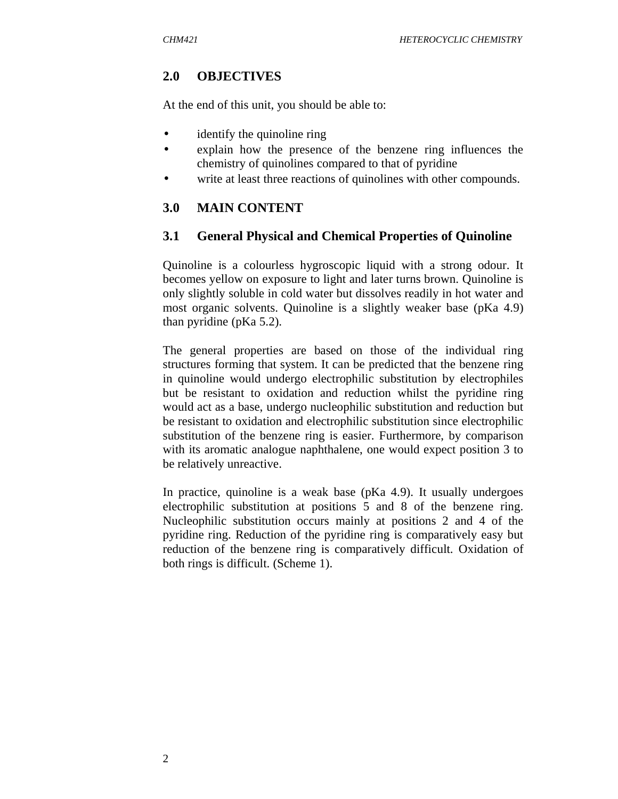## **2.0 OBJECTIVES**

At the end of this unit, you should be able to:

- identify the quinoline ring
- explain how the presence of the benzene ring influences the chemistry of quinolines compared to that of pyridine
- write at least three reactions of quinolines with other compounds.

## **3.0 MAIN CONTENT**

### **3.1 General Physical and Chemical Properties of Quinoline**

Quinoline is a colourless hygroscopic liquid with a strong odour. It becomes yellow on exposure to light and later turns brown. Quinoline is only slightly soluble in cold water but dissolves readily in hot water and most organic solvents. Quinoline is a slightly weaker base (pKa 4.9) than pyridine (pKa 5.2).

The general properties are based on those of the individual ring structures forming that system. It can be predicted that the benzene ring in quinoline would undergo electrophilic substitution by electrophiles but be resistant to oxidation and reduction whilst the pyridine ring would act as a base, undergo nucleophilic substitution and reduction but be resistant to oxidation and electrophilic substitution since electrophilic substitution of the benzene ring is easier. Furthermore, by comparison with its aromatic analogue naphthalene, one would expect position 3 to be relatively unreactive.

In practice, quinoline is a weak base (pKa 4.9). It usually undergoes electrophilic substitution at positions 5 and 8 of the benzene ring. Nucleophilic substitution occurs mainly at positions 2 and 4 of the pyridine ring. Reduction of the pyridine ring is comparatively easy but reduction of the benzene ring is comparatively difficult. Oxidation of both rings is difficult. (Scheme 1).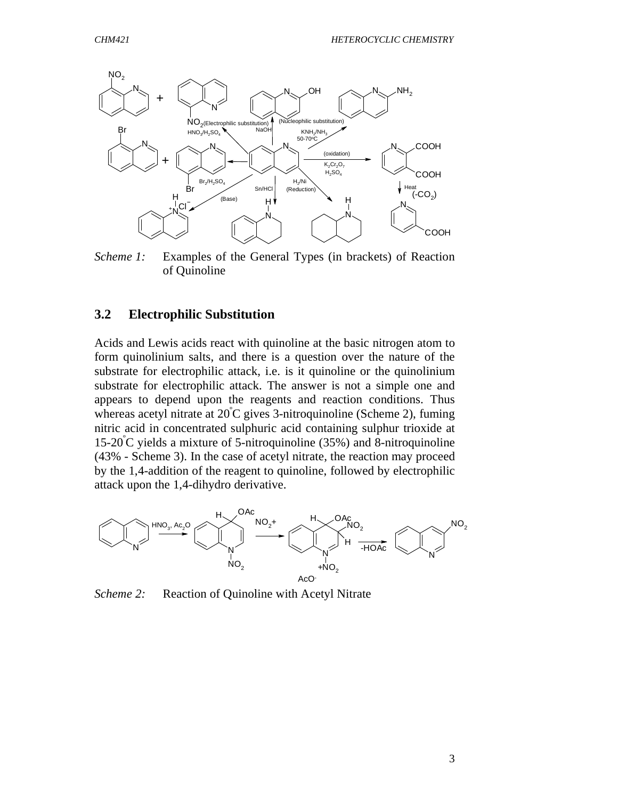

*Scheme 1:* Examples of the General Types (in brackets) of Reaction of Quinoline

#### **3.2 Electrophilic Substitution**

Acids and Lewis acids react with quinoline at the basic nitrogen atom to form quinolinium salts, and there is a question over the nature of the substrate for electrophilic attack, i.e. is it quinoline or the quinolinium substrate for electrophilic attack. The answer is not a simple one and appears to depend upon the reagents and reaction conditions. Thus whereas acetyl nitrate at  $20^{\circ}$ C gives 3-nitroquinoline (Scheme 2), fuming nitric acid in concentrated sulphuric acid containing sulphur trioxide at  $15-20^{\circ}$ C yields a mixture of 5-nitroquinoline (35%) and 8-nitroquinoline (43% - Scheme 3). In the case of acetyl nitrate, the reaction may proceed by the 1,4-addition of the reagent to quinoline, followed by electrophilic attack upon the 1,4-dihydro derivative.



*Scheme 2:* Reaction of Quinoline with Acetyl Nitrate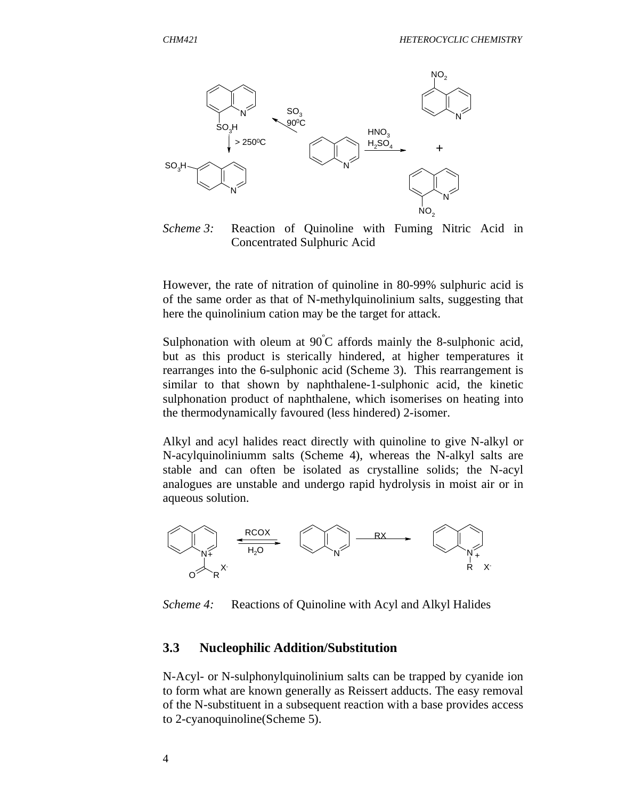

*Scheme 3:* Reaction of Quinoline with Fuming Nitric Acid in Concentrated Sulphuric Acid

However, the rate of nitration of quinoline in 80-99% sulphuric acid is of the same order as that of N-methylquinolinium salts, suggesting that here the quinolinium cation may be the target for attack.

Sulphonation with oleum at  $90^{\circ}$ C affords mainly the 8-sulphonic acid, but as this product is sterically hindered, at higher temperatures it rearranges into the 6-sulphonic acid (Scheme 3). This rearrangement is similar to that shown by naphthalene-1-sulphonic acid, the kinetic sulphonation product of naphthalene, which isomerises on heating into the thermodynamically favoured (less hindered) 2-isomer.

Alkyl and acyl halides react directly with quinoline to give N-alkyl or N-acylquinoliniumm salts (Scheme 4), whereas the N-alkyl salts are stable and can often be isolated as crystalline solids; the N-acyl analogues are unstable and undergo rapid hydrolysis in moist air or in aqueous solution.



*Scheme 4:* Reactions of Quinoline with Acyl and Alkyl Halides

#### **3.3 Nucleophilic Addition/Substitution**

N-Acyl- or N-sulphonylquinolinium salts can be trapped by cyanide ion to form what are known generally as Reissert adducts. The easy removal of the N-substituent in a subsequent reaction with a base provides access to 2-cyanoquinoline(Scheme 5).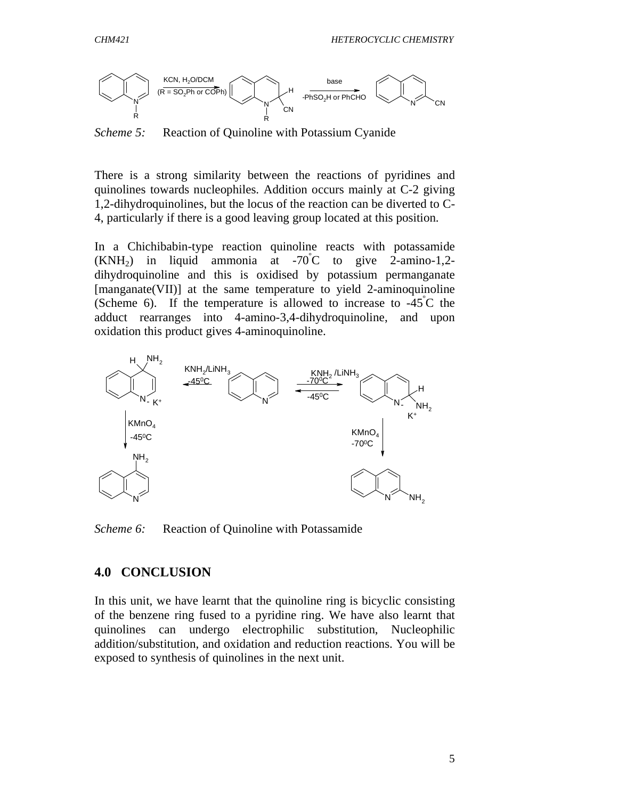

*Scheme 5:* Reaction of Quinoline with Potassium Cyanide

There is a strong similarity between the reactions of pyridines and quinolines towards nucleophiles. Addition occurs mainly at C-2 giving 1,2-dihydroquinolines, but the locus of the reaction can be diverted to C-4, particularly if there is a good leaving group located at this position.

In a Chichibabin-type reaction quinoline reacts with potassamide  $(KNH<sub>2</sub>)$  in liquid ammonia at -70°C to give 2-amino-1,2dihydroquinoline and this is oxidised by potassium permanganate [manganate(VII)] at the same temperature to yield 2-aminoquinoline (Scheme 6). If the temperature is allowed to increase to  $-45^{\circ}$ C the adduct rearranges into 4-amino-3,4-dihydroquinoline, and upon oxidation this product gives 4-aminoquinoline.



*Scheme 6:* Reaction of Quinoline with Potassamide

## **4.0 CONCLUSION**

In this unit, we have learnt that the quinoline ring is bicyclic consisting of the benzene ring fused to a pyridine ring. We have also learnt that quinolines can undergo electrophilic substitution, Nucleophilic addition/substitution, and oxidation and reduction reactions. You will be exposed to synthesis of quinolines in the next unit.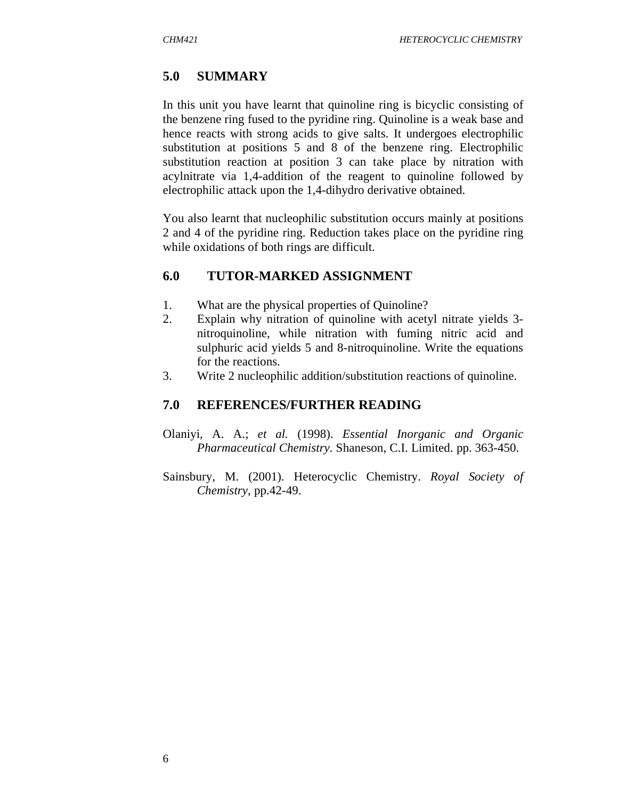## **5.0 SUMMARY**

In this unit you have learnt that quinoline ring is bicyclic consisting of the benzene ring fused to the pyridine ring. Quinoline is a weak base and hence reacts with strong acids to give salts. It undergoes electrophilic substitution at positions 5 and 8 of the benzene ring. Electrophilic substitution reaction at position 3 can take place by nitration with acylnitrate via 1,4-addition of the reagent to quinoline followed by electrophilic attack upon the 1,4-dihydro derivative obtained.

You also learnt that nucleophilic substitution occurs mainly at positions 2 and 4 of the pyridine ring. Reduction takes place on the pyridine ring while oxidations of both rings are difficult.

## **6.0 TUTOR-MARKED ASSIGNMENT**

- 1. What are the physical properties of Quinoline?
- 2. Explain why nitration of quinoline with acetyl nitrate yields 3 nitroquinoline, while nitration with fuming nitric acid and sulphuric acid yields 5 and 8-nitroquinoline. Write the equations for the reactions.
- 3. Write 2 nucleophilic addition/substitution reactions of quinoline.

## **7.0 REFERENCES/FURTHER READING**

- Olaniyi, A. A.; *et al.* (1998). *Essential Inorganic and Organic Pharmaceutical Chemistry.* Shaneson, C.I. Limited. pp. 363-450.
- Sainsbury, M. (2001). Heterocyclic Chemistry. *Royal Society of Chemistry*, pp.42-49.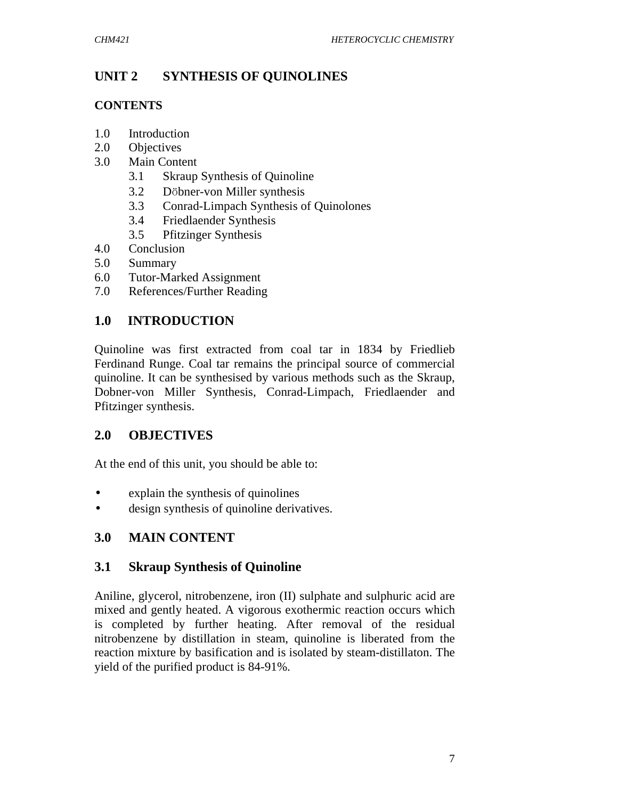# **UNIT 2 SYNTHESIS OF QUINOLINES**

## **CONTENTS**

- 1.0 Introduction
- 2.0 Objectives
- 3.0 Main Content
	- 3.1 Skraup Synthesis of Quinoline
	- 3.2 Dӧbner-von Miller synthesis
	- 3.3 Conrad-Limpach Synthesis of Quinolones
	- 3.4 Friedlaender Synthesis
	- 3.5 Pfitzinger Synthesis
- 4.0 Conclusion
- 5.0 Summary
- 6.0 Tutor-Marked Assignment
- 7.0 References/Further Reading

# **1.0 INTRODUCTION**

Quinoline was first extracted from coal tar in 1834 by Friedlieb Ferdinand Runge. Coal tar remains the principal source of commercial quinoline. It can be synthesised by various methods such as the Skraup, Dobner-von Miller Synthesis, Conrad-Limpach, Friedlaender and Pfitzinger synthesis.

# **2.0 OBJECTIVES**

At the end of this unit, you should be able to:

- explain the synthesis of quinolines
- design synthesis of quinoline derivatives.

# **3.0 MAIN CONTENT**

## **3.1 Skraup Synthesis of Quinoline**

Aniline, glycerol, nitrobenzene, iron (II) sulphate and sulphuric acid are mixed and gently heated. A vigorous exothermic reaction occurs which is completed by further heating. After removal of the residual nitrobenzene by distillation in steam, quinoline is liberated from the reaction mixture by basification and is isolated by steam-distillaton. The yield of the purified product is 84-91%.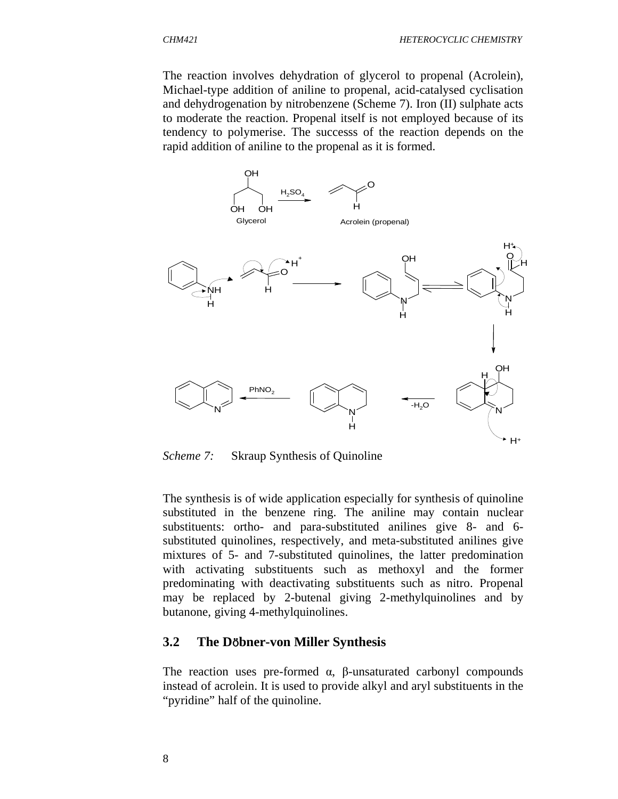

*Scheme 7:* Skraup Synthesis of Quinoline

The synthesis is of wide application especially for synthesis of quinoline substituted in the benzene ring. The aniline may contain nuclear substituents: ortho- and para-substituted anilines give 8- and 6 substituted quinolines, respectively, and meta-substituted anilines give mixtures of 5- and 7-substituted quinolines, the latter predomination with activating substituents such as methoxyl and the former predominating with deactivating substituents such as nitro. Propenal may be replaced by 2-butenal giving 2-methylquinolines and by butanone, giving 4-methylquinolines.

#### **3.2 The D**ӧ**bner-von Miller Synthesis**

The reaction uses pre-formed  $\alpha$ , β-unsaturated carbonyl compounds instead of acrolein. It is used to provide alkyl and aryl substituents in the "pyridine" half of the quinoline.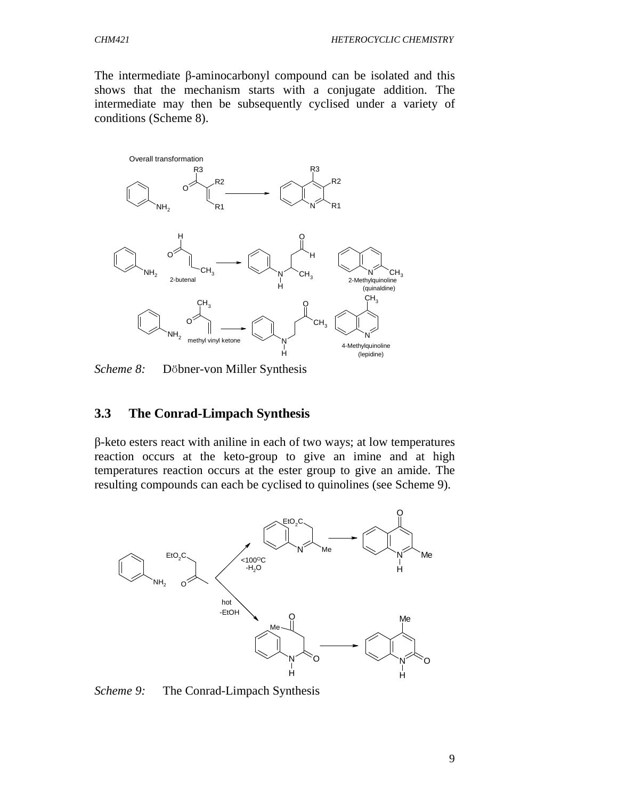The intermediate β-aminocarbonyl compound can be isolated and this shows that the mechanism starts with a conjugate addition. The intermediate may then be subsequently cyclised under a variety of conditions (Scheme 8).



*Scheme 8:* Dӧbner-von Miller Synthesis

#### **3.3 The Conrad-Limpach Synthesis**

β-keto esters react with aniline in each of two ways; at low temperatures reaction occurs at the keto-group to give an imine and at high temperatures reaction occurs at the ester group to give an amide. The resulting compounds can each be cyclised to quinolines (see Scheme 9).



Scheme 9: The Conrad-Limpach Synthesis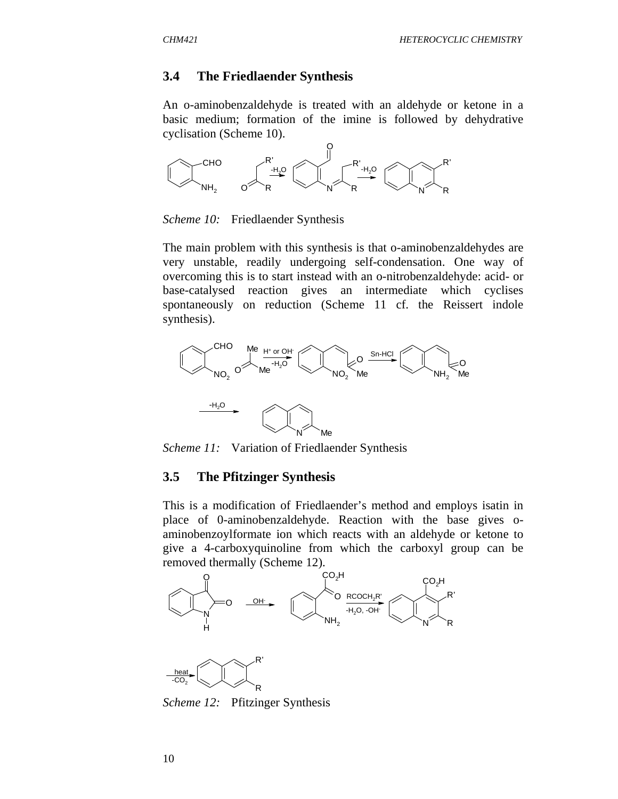#### **3.4 The Friedlaender Synthesis**

An o-aminobenzaldehyde is treated with an aldehyde or ketone in a basic medium; formation of the imine is followed by dehydrative cyclisation (Scheme 10).



*Scheme 10:* Friedlaender Synthesis

The main problem with this synthesis is that o-aminobenzaldehydes are very unstable, readily undergoing self-condensation. One way of overcoming this is to start instead with an o-nitrobenzaldehyde: acid- or base-catalysed reaction gives an intermediate which cyclises spontaneously on reduction (Scheme 11 cf. the Reissert indole synthesis).



*Scheme 11:* Variation of Friedlaender Synthesis

#### **3.5 The Pfitzinger Synthesis**

This is a modification of Friedlaender's method and employs isatin in place of 0-aminobenzaldehyde. Reaction with the base gives oaminobenzoylformate ion which reacts with an aldehyde or ketone to give a 4-carboxyquinoline from which the carboxyl group can be removed thermally (Scheme 12).





*Scheme 12:* Pfitzinger Synthesis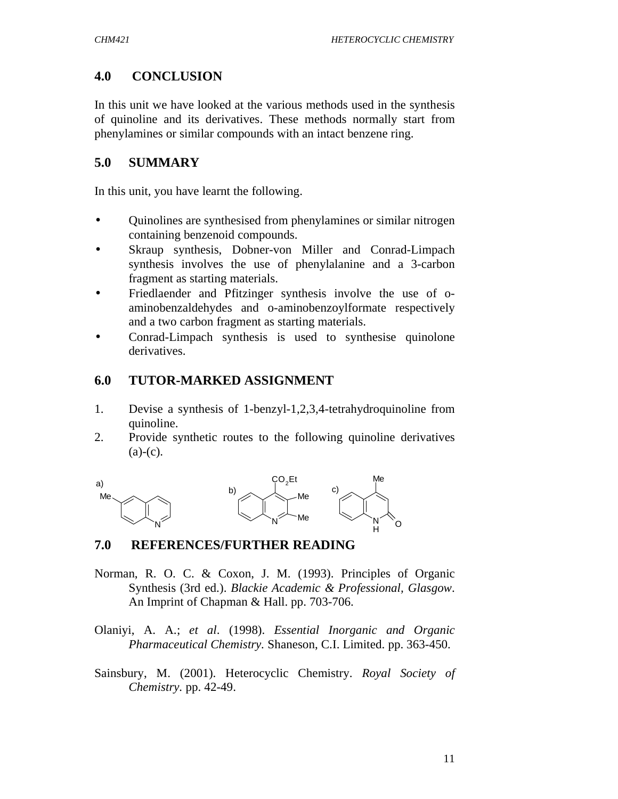# **4.0 CONCLUSION**

In this unit we have looked at the various methods used in the synthesis of quinoline and its derivatives. These methods normally start from phenylamines or similar compounds with an intact benzene ring.

# **5.0 SUMMARY**

In this unit, you have learnt the following.

- Quinolines are synthesised from phenylamines or similar nitrogen containing benzenoid compounds.
- Skraup synthesis, Dobner-von Miller and Conrad-Limpach synthesis involves the use of phenylalanine and a 3-carbon fragment as starting materials.
- Friedlaender and Pfitzinger synthesis involve the use of oaminobenzaldehydes and o-aminobenzoylformate respectively and a two carbon fragment as starting materials.
- Conrad-Limpach synthesis is used to synthesise quinolone derivatives.

## **6.0 TUTOR-MARKED ASSIGNMENT**

- 1. Devise a synthesis of 1-benzyl-1,2,3,4-tetrahydroquinoline from quinoline.
- 2. Provide synthetic routes to the following quinoline derivatives  $(a)-(c)$ .



## **7.0 REFERENCES/FURTHER READING**

- Norman, R. O. C. & Coxon, J. M. (1993). Principles of Organic Synthesis (3rd ed.). *Blackie Academic & Professional, Glasgow*. An Imprint of Chapman & Hall. pp. 703-706.
- Olaniyi, A. A.; *et al*. (1998). *Essential Inorganic and Organic Pharmaceutical Chemistry.* Shaneson, C.I. Limited. pp. 363-450.
- Sainsbury, M. (2001). Heterocyclic Chemistry. *Royal Society of Chemistry.* pp. 42-49.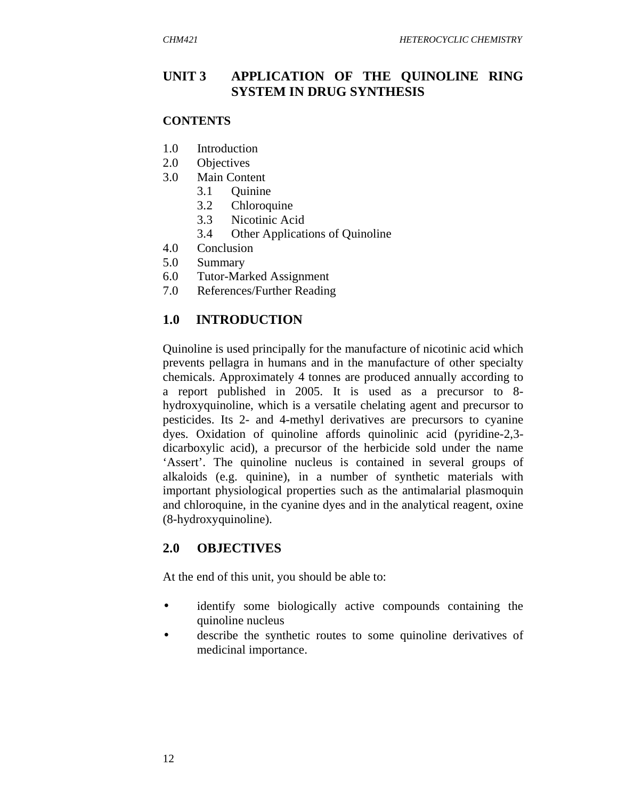## **UNIT 3 APPLICATION OF THE QUINOLINE RING SYSTEM IN DRUG SYNTHESIS**

#### **CONTENTS**

- 1.0 Introduction
- 2.0 Objectives
- 3.0 Main Content
	- 3.1 Quinine
	- 3.2 Chloroquine
	- 3.3 Nicotinic Acid
	- 3.4 Other Applications of Quinoline
- 4.0 Conclusion
- 5.0 Summary
- 6.0 Tutor-Marked Assignment
- 7.0 References/Further Reading

### **1.0 INTRODUCTION**

Quinoline is used principally for the manufacture of nicotinic acid which prevents pellagra in humans and in the manufacture of other specialty chemicals. Approximately 4 tonnes are produced annually according to a report published in 2005. It is used as a precursor to 8 hydroxyquinoline, which is a versatile chelating agent and precursor to pesticides. Its 2- and 4-methyl derivatives are precursors to cyanine dyes. Oxidation of quinoline affords quinolinic acid (pyridine-2,3 dicarboxylic acid), a precursor of the herbicide sold under the name 'Assert'. The quinoline nucleus is contained in several groups of alkaloids (e.g. quinine), in a number of synthetic materials with important physiological properties such as the antimalarial plasmoquin and chloroquine, in the cyanine dyes and in the analytical reagent, oxine (8-hydroxyquinoline).

#### **2.0 OBJECTIVES**

At the end of this unit, you should be able to:

- identify some biologically active compounds containing the quinoline nucleus
- describe the synthetic routes to some quinoline derivatives of medicinal importance.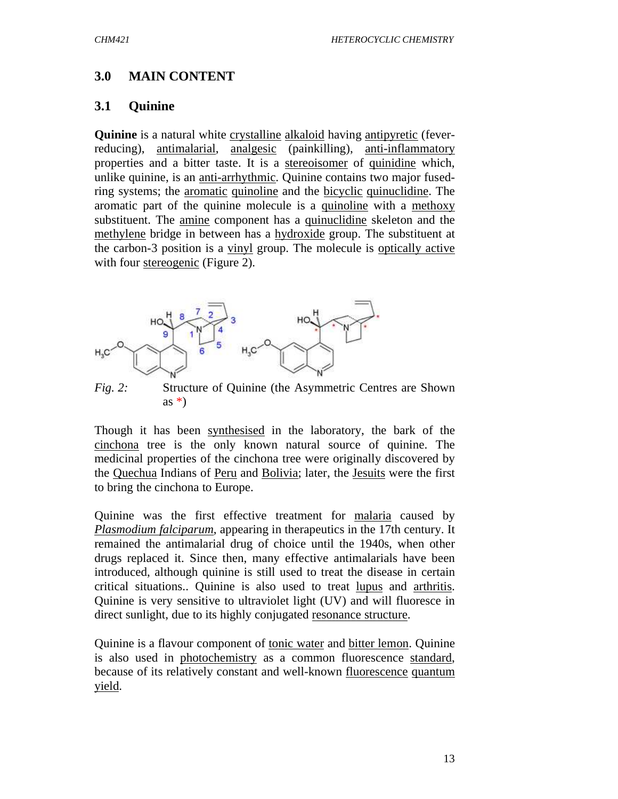## **3.0 MAIN CONTENT**

#### **3.1 Quinine**

**Quinine** is a natural white crystalline alkaloid having antipyretic (feverreducing), antimalarial, analgesic (painkilling), anti-inflammatory properties and a bitter taste. It is a stereoisomer of quinidine which, unlike quinine, is an anti-arrhythmic. Quinine contains two major fusedring systems; the aromatic quinoline and the bicyclic quinuclidine. The aromatic part of the quinine molecule is a quinoline with a methoxy substituent. The amine component has a quinuclidine skeleton and the methylene bridge in between has a hydroxide group. The substituent at the carbon-3 position is a vinyl group. The molecule is optically active with four stereogenic (Figure 2).



*Fig. 2:* Structure of Quinine (the Asymmetric Centres are Shown as  $*$ )

Though it has been synthesised in the laboratory, the bark of the cinchona tree is the only known natural source of quinine. The medicinal properties of the cinchona tree were originally discovered by the Quechua Indians of Peru and Bolivia; later, the Jesuits were the first to bring the cinchona to Europe.

Quinine was the first effective treatment for malaria caused by *Plasmodium falciparum*, appearing in therapeutics in the 17th century. It remained the antimalarial drug of choice until the 1940s, when other drugs replaced it. Since then, many effective antimalarials have been introduced, although quinine is still used to treat the disease in certain critical situations.. Quinine is also used to treat lupus and arthritis. Quinine is very sensitive to ultraviolet light (UV) and will fluoresce in direct sunlight, due to its highly conjugated resonance structure.

Quinine is a flavour component of tonic water and bitter lemon. Quinine is also used in photochemistry as a common fluorescence standard, because of its relatively constant and well-known fluorescence quantum yield.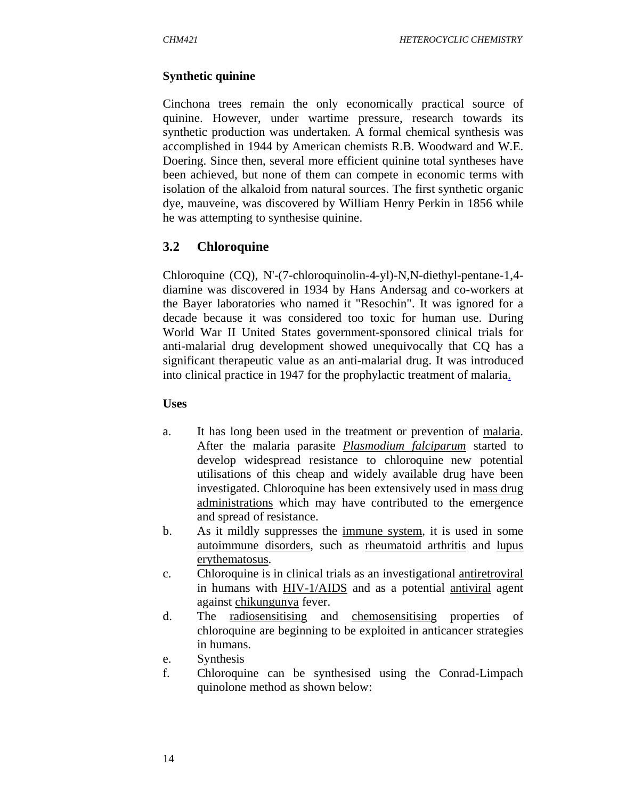#### **Synthetic quinine**

Cinchona trees remain the only economically practical source of quinine. However, under wartime pressure, research towards its synthetic production was undertaken. A formal chemical synthesis was accomplished in 1944 by American chemists R.B. Woodward and W.E. Doering. Since then, several more efficient quinine total syntheses have been achieved, but none of them can compete in economic terms with isolation of the alkaloid from natural sources. The first synthetic organic dye, mauveine, was discovered by William Henry Perkin in 1856 while he was attempting to synthesise quinine.

### **3.2 Chloroquine**

Chloroquine (CQ), N'-(7-chloroquinolin-4-yl)-N,N-diethyl-pentane-1,4 diamine was discovered in 1934 by Hans Andersag and co-workers at the Bayer laboratories who named it "Resochin". It was ignored for a decade because it was considered too toxic for human use. During World War II United States government-sponsored clinical trials for anti-malarial drug development showed unequivocally that CQ has a significant therapeutic value as an anti-malarial drug. It was introduced into clinical practice in 1947 for the prophylactic treatment of malaria.

#### **Uses**

- a. It has long been used in the treatment or prevention of malaria. After the malaria parasite *Plasmodium falciparum* started to develop widespread resistance to chloroquine new potential utilisations of this cheap and widely available drug have been investigated. Chloroquine has been extensively used in mass drug administrations which may have contributed to the emergence and spread of resistance.
- b. As it mildly suppresses the immune system, it is used in some autoimmune disorders, such as rheumatoid arthritis and lupus erythematosus.
- c. Chloroquine is in clinical trials as an investigational antiretroviral in humans with HIV-1/AIDS and as a potential antiviral agent against chikungunya fever.
- d. The radiosensitising and chemosensitising properties of chloroquine are beginning to be exploited in anticancer strategies in humans.
- e. Synthesis
- f. Chloroquine can be synthesised using the Conrad-Limpach quinolone method as shown below: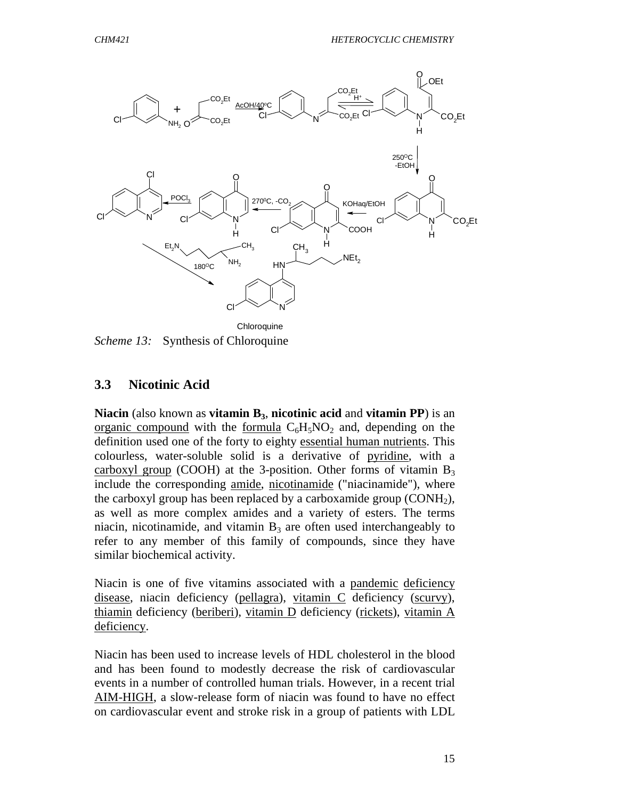

*Scheme 13:* Synthesis of Chloroquine

#### **3.3 Nicotinic Acid**

**Niacin** (also known as **vitamin B3**, **nicotinic acid** and **vitamin PP**) is an organic compound with the formula  $C_6H_5NO_2$  and, depending on the definition used one of the forty to eighty essential human nutrients. This colourless, water-soluble solid is a derivative of pyridine, with a carboxyl group (COOH) at the 3-position. Other forms of vitamin  $B_3$ include the corresponding amide, nicotinamide ("niacinamide"), where the carboxyl group has been replaced by a carboxamide group  $(CONH<sub>2</sub>)$ , as well as more complex amides and a variety of esters. The terms niacin, nicotinamide, and vitamin  $B_3$  are often used interchangeably to refer to any member of this family of compounds, since they have similar biochemical activity.

Niacin is one of five vitamins associated with a pandemic deficiency disease, niacin deficiency (pellagra), vitamin C deficiency (scurvy), thiamin deficiency (beriberi), vitamin D deficiency (rickets), vitamin A deficiency.

Niacin has been used to increase levels of HDL cholesterol in the blood and has been found to modestly decrease the risk of cardiovascular events in a number of controlled human trials. However, in a recent trial AIM-HIGH, a slow-release form of niacin was found to have no effect on cardiovascular event and stroke risk in a group of patients with LDL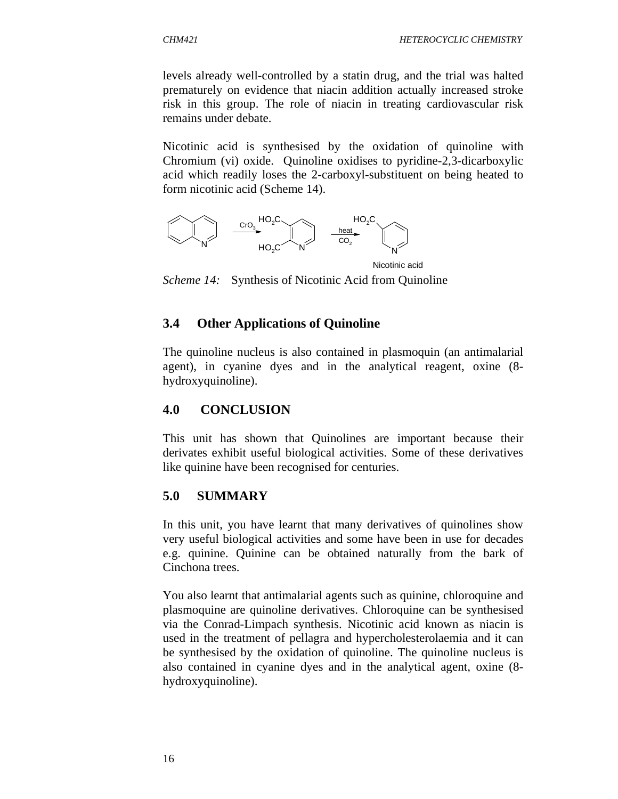levels already well-controlled by a statin drug, and the trial was halted prematurely on evidence that niacin addition actually increased stroke risk in this group. The role of niacin in treating cardiovascular risk remains under debate.

Nicotinic acid is synthesised by the oxidation of quinoline with Chromium (vi) oxide. Quinoline oxidises to pyridine-2,3-dicarboxylic acid which readily loses the 2-carboxyl-substituent on being heated to form nicotinic acid (Scheme 14).



*Scheme 14:* Synthesis of Nicotinic Acid from Quinoline

### **3.4 Other Applications of Quinoline**

The quinoline nucleus is also contained in plasmoquin (an antimalarial agent), in cyanine dyes and in the analytical reagent, oxine (8 hydroxyquinoline).

#### **4.0 CONCLUSION**

This unit has shown that Quinolines are important because their derivates exhibit useful biological activities. Some of these derivatives like quinine have been recognised for centuries.

#### **5.0 SUMMARY**

In this unit, you have learnt that many derivatives of quinolines show very useful biological activities and some have been in use for decades e.g. quinine. Quinine can be obtained naturally from the bark of Cinchona trees.

You also learnt that antimalarial agents such as quinine, chloroquine and plasmoquine are quinoline derivatives. Chloroquine can be synthesised via the Conrad-Limpach synthesis. Nicotinic acid known as niacin is used in the treatment of pellagra and hypercholesterolaemia and it can be synthesised by the oxidation of quinoline. The quinoline nucleus is also contained in cyanine dyes and in the analytical agent, oxine (8 hydroxyquinoline).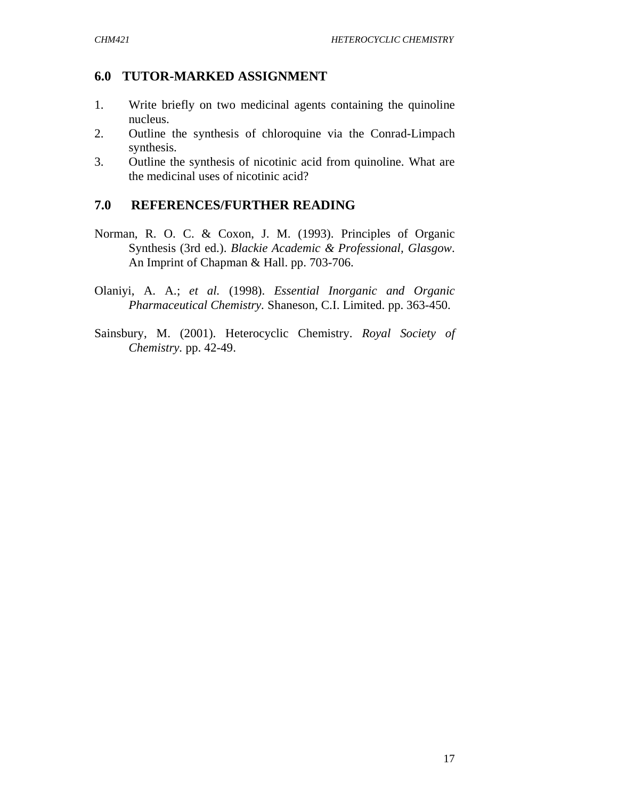## **6.0 TUTOR-MARKED ASSIGNMENT**

- 1. Write briefly on two medicinal agents containing the quinoline nucleus.
- 2. Outline the synthesis of chloroquine via the Conrad-Limpach synthesis.
- 3. Outline the synthesis of nicotinic acid from quinoline. What are the medicinal uses of nicotinic acid?

## **7.0 REFERENCES/FURTHER READING**

- Norman, R. O. C. & Coxon, J. M. (1993). Principles of Organic Synthesis (3rd ed.). *Blackie Academic & Professional, Glasgow*. An Imprint of Chapman & Hall. pp. 703-706.
- Olaniyi, A. A.; *et al.* (1998). *Essential Inorganic and Organic Pharmaceutical Chemistry.* Shaneson, C.I. Limited. pp. 363-450.
- Sainsbury, M. (2001). Heterocyclic Chemistry. *Royal Society of Chemistry.* pp. 42-49.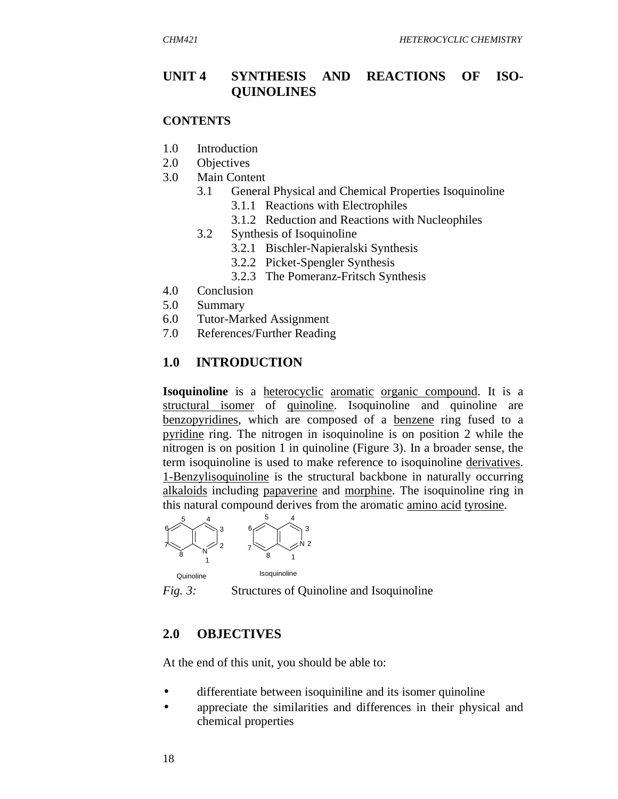#### **UNIT 4 SYNTHESIS AND REACTIONS OF ISO-QUINOLINES**

#### **CONTENTS**

- 1.0 Introduction
- 2.0 Objectives
- 3.0 Main Content
	- 3.1 General Physical and Chemical Properties Isoquinoline
		- 3.1.1 Reactions with Electrophiles
		- 3.1.2 Reduction and Reactions with Nucleophiles
	- 3.2 Synthesis of Isoquinoline
		- 3.2.1 Bischler-Napieralski Synthesis
		- 3.2.2 Picket-Spengler Synthesis
		- 3.2.3 The Pomeranz-Fritsch Synthesis
- 4.0 Conclusion
- 5.0 Summary
- 6.0 Tutor-Marked Assignment
- 7.0 References/Further Reading

#### **1.0 INTRODUCTION**

**Isoquinoline** is a heterocyclic aromatic organic compound. It is a structural isomer of quinoline. Isoquinoline and quinoline are benzopyridines, which are composed of a benzene ring fused to a pyridine ring. The nitrogen in isoquinoline is on position 2 while the nitrogen is on position 1 in quinoline (Figure 3). In a broader sense, the term isoquinoline is used to make reference to isoquinoline derivatives. 1-Benzylisoquinoline is the structural backbone in naturally occurring alkaloids including papaverine and morphine. The isoquinoline ring in this natural compound derives from the aromatic amino acid tyrosine.



*Fig. 3:* Structures of Quinoline and Isoquinoline

#### **2.0 OBJECTIVES**

At the end of this unit, you should be able to:

- differentiate between isoquiniline and its isomer quinoline
- appreciate the similarities and differences in their physical and chemical properties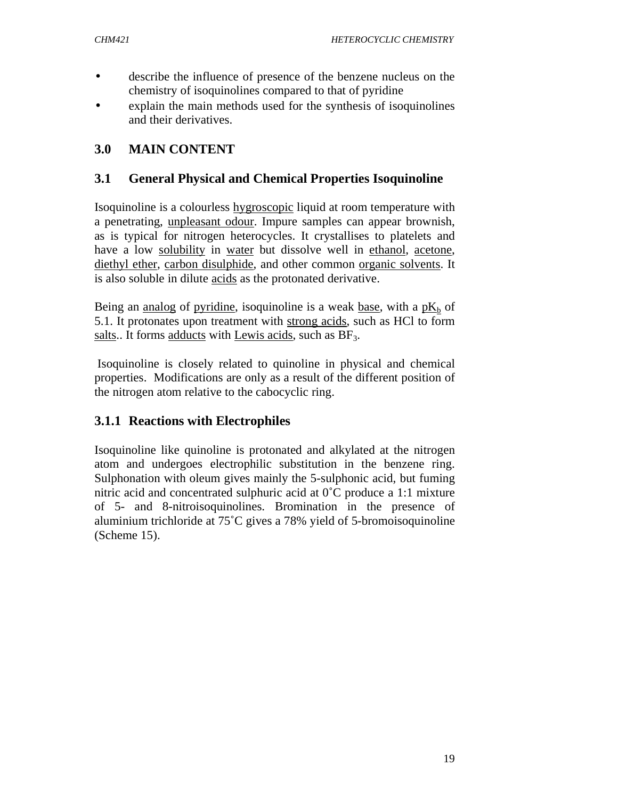- describe the influence of presence of the benzene nucleus on the chemistry of isoquinolines compared to that of pyridine
- explain the main methods used for the synthesis of isoquinolines and their derivatives.

# **3.0 MAIN CONTENT**

## **3.1 General Physical and Chemical Properties Isoquinoline**

Isoquinoline is a colourless hygroscopic liquid at room temperature with a penetrating, unpleasant odour. Impure samples can appear brownish, as is typical for nitrogen heterocycles. It crystallises to platelets and have a low solubility in water but dissolve well in ethanol, acetone, diethyl ether, carbon disulphide, and other common organic solvents. It is also soluble in dilute acids as the protonated derivative.

Being an <u>analog</u> of pyridine, isoquinoline is a weak base, with a  $pK_b$  of 5.1. It protonates upon treatment with strong acids, such as HCl to form salts.. It forms adducts with Lewis acids, such as  $BF_3$ .

 Isoquinoline is closely related to quinoline in physical and chemical properties. Modifications are only as a result of the different position of the nitrogen atom relative to the cabocyclic ring.

# **3.1.1 Reactions with Electrophiles**

Isoquinoline like quinoline is protonated and alkylated at the nitrogen atom and undergoes electrophilic substitution in the benzene ring. Sulphonation with oleum gives mainly the 5-sulphonic acid, but fuming nitric acid and concentrated sulphuric acid at 0˚C produce a 1:1 mixture of 5- and 8-nitroisoquinolines. Bromination in the presence of aluminium trichloride at 75˚C gives a 78% yield of 5-bromoisoquinoline (Scheme 15).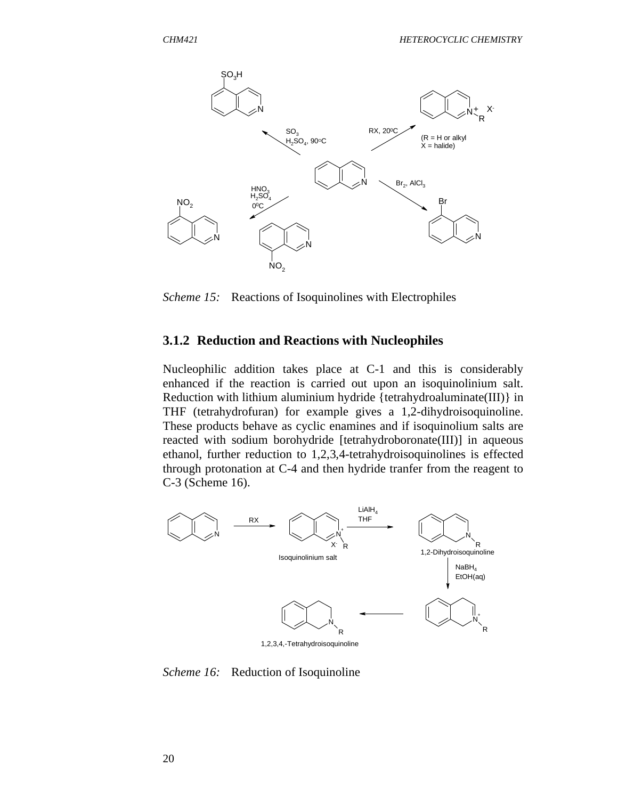

*Scheme 15:* Reactions of Isoquinolines with Electrophiles

#### **3.1.2 Reduction and Reactions with Nucleophiles**

Nucleophilic addition takes place at C-1 and this is considerably enhanced if the reaction is carried out upon an isoquinolinium salt. Reduction with lithium aluminium hydride {tetrahydroaluminate(III)} in THF (tetrahydrofuran) for example gives a 1,2-dihydroisoquinoline. These products behave as cyclic enamines and if isoquinolium salts are reacted with sodium borohydride [tetrahydroboronate(III)] in aqueous ethanol, further reduction to 1,2,3,4-tetrahydroisoquinolines is effected through protonation at C-4 and then hydride tranfer from the reagent to C-3 (Scheme 16).



*Scheme 16:* Reduction of Isoquinoline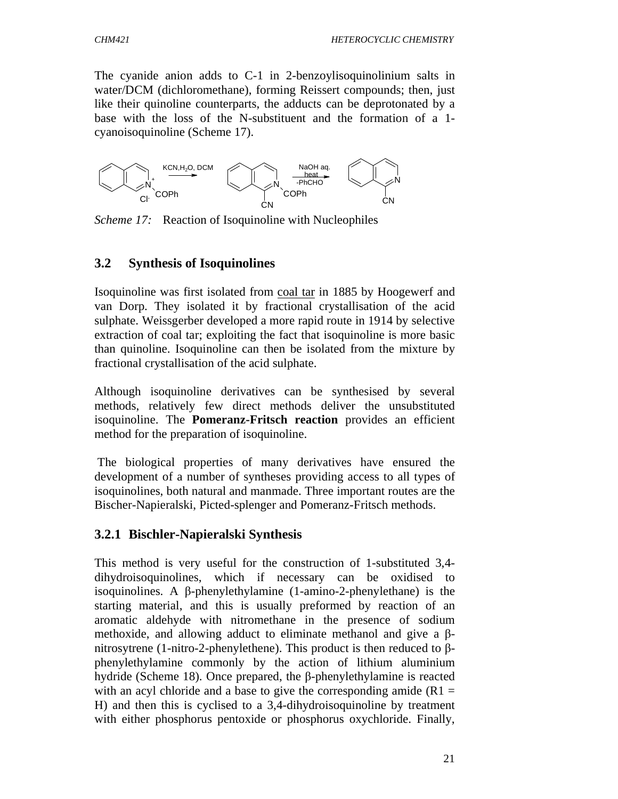The cyanide anion adds to C-1 in 2-benzoylisoquinolinium salts in water/DCM (dichloromethane), forming Reissert compounds; then, just like their quinoline counterparts, the adducts can be deprotonated by a base with the loss of the N-substituent and the formation of a 1 cyanoisoquinoline (Scheme 17).



*Scheme 17:* Reaction of Isoquinoline with Nucleophiles

### **3.2 Synthesis of Isoquinolines**

Isoquinoline was first isolated from coal tar in 1885 by Hoogewerf and van Dorp. They isolated it by fractional crystallisation of the acid sulphate. Weissgerber developed a more rapid route in 1914 by selective extraction of coal tar; exploiting the fact that isoquinoline is more basic than quinoline. Isoquinoline can then be isolated from the mixture by fractional crystallisation of the acid sulphate.

Although isoquinoline derivatives can be synthesised by several methods, relatively few direct methods deliver the unsubstituted isoquinoline. The **Pomeranz-Fritsch reaction** provides an efficient method for the preparation of isoquinoline.

 The biological properties of many derivatives have ensured the development of a number of syntheses providing access to all types of isoquinolines, both natural and manmade. Three important routes are the Bischer-Napieralski, Picted-splenger and Pomeranz-Fritsch methods.

## **3.2.1 Bischler-Napieralski Synthesis**

This method is very useful for the construction of 1-substituted 3,4 dihydroisoquinolines, which if necessary can be oxidised to isoquinolines. A β-phenylethylamine (1-amino-2-phenylethane) is the starting material, and this is usually preformed by reaction of an aromatic aldehyde with nitromethane in the presence of sodium methoxide, and allowing adduct to eliminate methanol and give a βnitrosytrene (1-nitro-2-phenylethene). This product is then reduced to βphenylethylamine commonly by the action of lithium aluminium hydride (Scheme 18). Once prepared, the β-phenylethylamine is reacted with an acyl chloride and a base to give the corresponding amide  $(R1 =$ H) and then this is cyclised to a 3,4-dihydroisoquinoline by treatment with either phosphorus pentoxide or phosphorus oxychloride. Finally,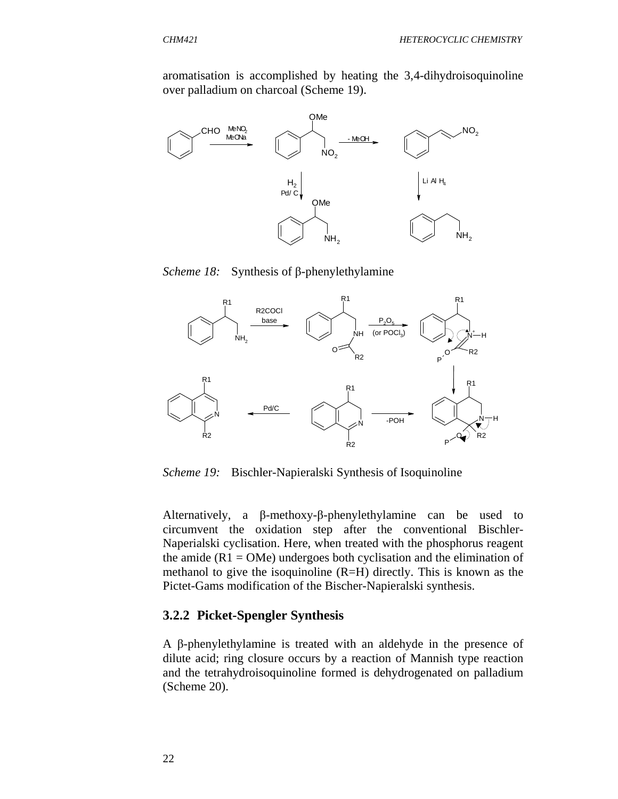aromatisation is accomplished by heating the 3,4-dihydroisoquinoline over palladium on charcoal (Scheme 19).



*Scheme 18:* Synthesis of β-phenylethylamine



*Scheme 19:* Bischler-Napieralski Synthesis of Isoquinoline

Alternatively, a β-methoxy-β-phenylethylamine can be used to circumvent the oxidation step after the conventional Bischler-Naperialski cyclisation. Here, when treated with the phosphorus reagent the amide  $(R1 = OMe)$  undergoes both cyclisation and the elimination of methanol to give the isoquinoline (R=H) directly. This is known as the Pictet-Gams modification of the Bischer-Napieralski synthesis.

#### **3.2.2 Picket-Spengler Synthesis**

A β-phenylethylamine is treated with an aldehyde in the presence of dilute acid; ring closure occurs by a reaction of Mannish type reaction and the tetrahydroisoquinoline formed is dehydrogenated on palladium (Scheme 20).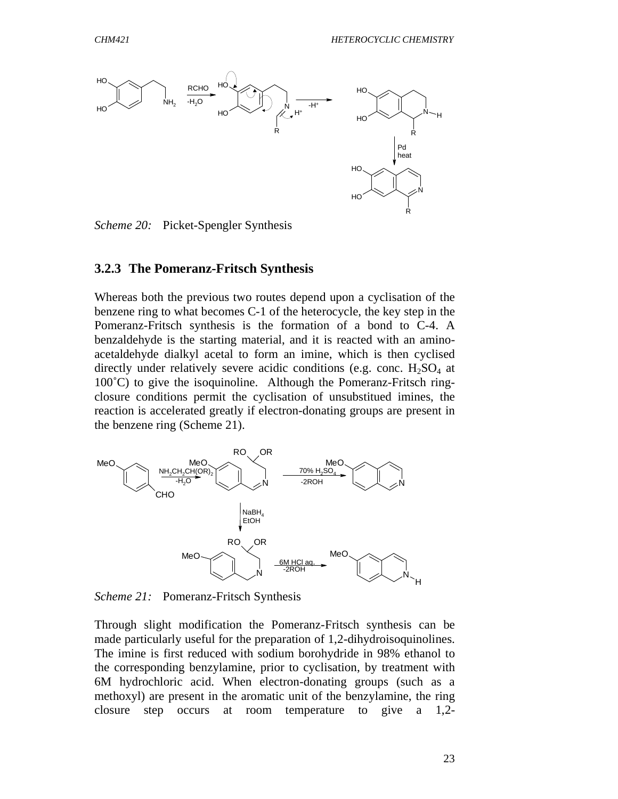

*Scheme 20:* Picket-Spengler Synthesis

#### **3.2.3 The Pomeranz-Fritsch Synthesis**

Whereas both the previous two routes depend upon a cyclisation of the benzene ring to what becomes C-1 of the heterocycle, the key step in the Pomeranz-Fritsch synthesis is the formation of a bond to C-4. A benzaldehyde is the starting material, and it is reacted with an aminoacetaldehyde dialkyl acetal to form an imine, which is then cyclised directly under relatively severe acidic conditions (e.g. conc.  $H_2SO_4$  at 100˚C) to give the isoquinoline. Although the Pomeranz-Fritsch ringclosure conditions permit the cyclisation of unsubstitued imines, the reaction is accelerated greatly if electron-donating groups are present in the benzene ring (Scheme 21).



*Scheme 21:* Pomeranz-Fritsch Synthesis

Through slight modification the Pomeranz-Fritsch synthesis can be made particularly useful for the preparation of 1,2-dihydroisoquinolines. The imine is first reduced with sodium borohydride in 98% ethanol to the corresponding benzylamine, prior to cyclisation, by treatment with 6M hydrochloric acid. When electron-donating groups (such as a methoxyl) are present in the aromatic unit of the benzylamine, the ring closure step occurs at room temperature to give a 1,2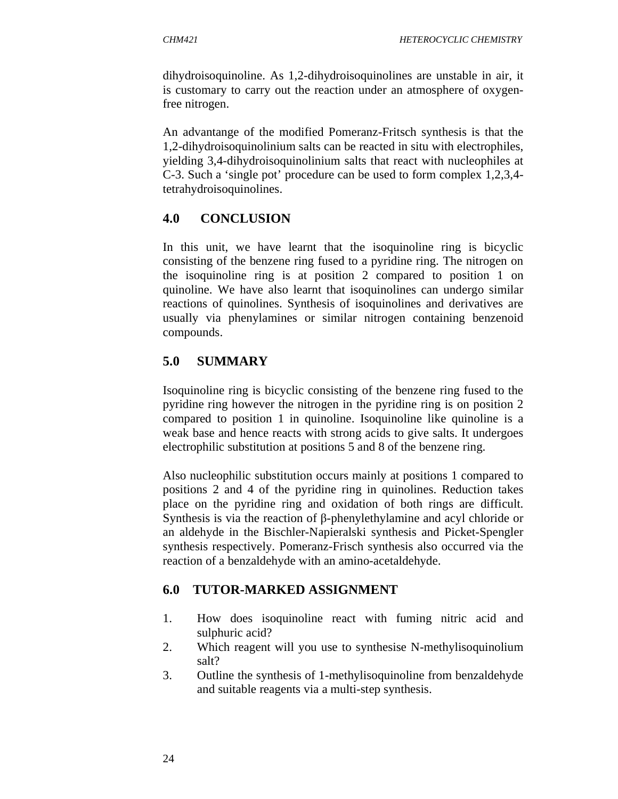dihydroisoquinoline. As 1,2-dihydroisoquinolines are unstable in air, it is customary to carry out the reaction under an atmosphere of oxygenfree nitrogen.

An advantange of the modified Pomeranz-Fritsch synthesis is that the 1,2-dihydroisoquinolinium salts can be reacted in situ with electrophiles, yielding 3,4-dihydroisoquinolinium salts that react with nucleophiles at C-3. Such a 'single pot' procedure can be used to form complex 1,2,3,4 tetrahydroisoquinolines.

# **4.0 CONCLUSION**

In this unit, we have learnt that the isoquinoline ring is bicyclic consisting of the benzene ring fused to a pyridine ring. The nitrogen on the isoquinoline ring is at position 2 compared to position 1 on quinoline. We have also learnt that isoquinolines can undergo similar reactions of quinolines. Synthesis of isoquinolines and derivatives are usually via phenylamines or similar nitrogen containing benzenoid compounds.

# **5.0 SUMMARY**

Isoquinoline ring is bicyclic consisting of the benzene ring fused to the pyridine ring however the nitrogen in the pyridine ring is on position 2 compared to position 1 in quinoline. Isoquinoline like quinoline is a weak base and hence reacts with strong acids to give salts. It undergoes electrophilic substitution at positions 5 and 8 of the benzene ring.

Also nucleophilic substitution occurs mainly at positions 1 compared to positions 2 and 4 of the pyridine ring in quinolines. Reduction takes place on the pyridine ring and oxidation of both rings are difficult. Synthesis is via the reaction of β-phenylethylamine and acyl chloride or an aldehyde in the Bischler-Napieralski synthesis and Picket-Spengler synthesis respectively. Pomeranz-Frisch synthesis also occurred via the reaction of a benzaldehyde with an amino-acetaldehyde.

# **6.0 TUTOR-MARKED ASSIGNMENT**

- 1. How does isoquinoline react with fuming nitric acid and sulphuric acid?
- 2. Which reagent will you use to synthesise N-methylisoquinolium salt?
- 3. Outline the synthesis of 1-methylisoquinoline from benzaldehyde and suitable reagents via a multi-step synthesis.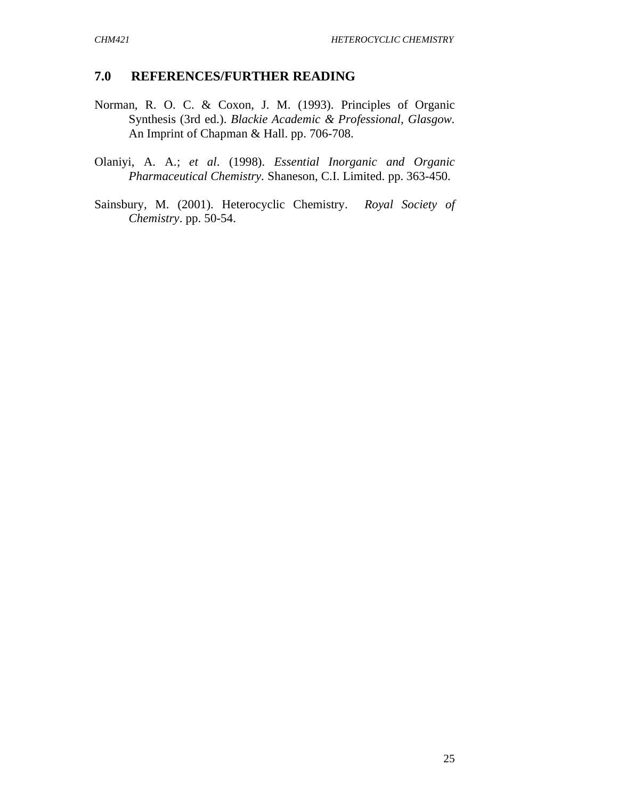### **7.0 REFERENCES/FURTHER READING**

- Norman, R. O. C. & Coxon, J. M. (1993). Principles of Organic Synthesis (3rd ed.). *Blackie Academic & Professional, Glasgow.* An Imprint of Chapman & Hall. pp. 706-708.
- Olaniyi, A. A.; *et al*. (1998). *Essential Inorganic and Organic Pharmaceutical Chemistry.* Shaneson, C.I. Limited. pp. 363-450.
- Sainsbury, M. (2001). Heterocyclic Chemistry. *Royal Society of Chemistry*. pp. 50-54.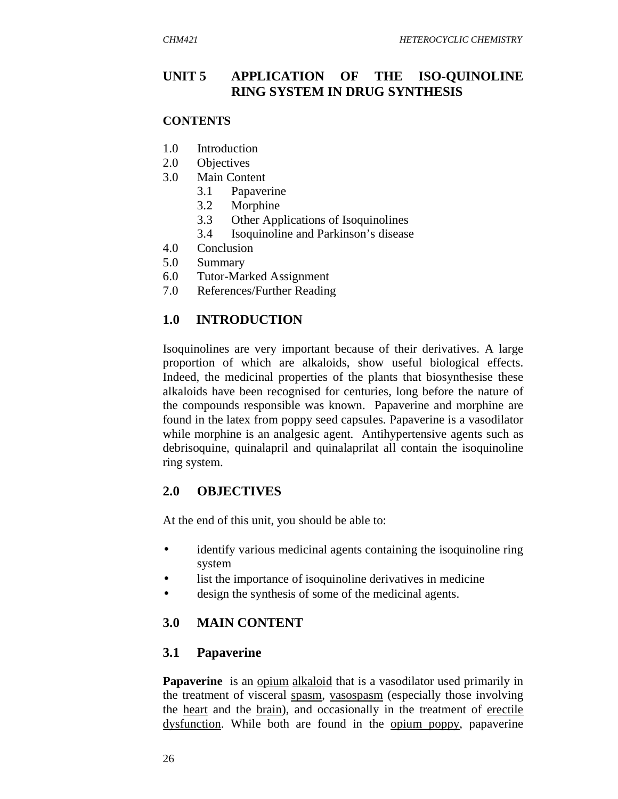## **UNIT 5 APPLICATION OF THE ISO-QUINOLINE RING SYSTEM IN DRUG SYNTHESIS**

#### **CONTENTS**

- 1.0 Introduction
- 2.0 Objectives
- 3.0 Main Content
	- 3.1 Papaverine
	- 3.2 Morphine
	- 3.3 Other Applications of Isoquinolines
	- 3.4 Isoquinoline and Parkinson's disease
- 4.0 Conclusion
- 5.0 Summary
- 6.0 Tutor-Marked Assignment
- 7.0 References/Further Reading

### **1.0 INTRODUCTION**

Isoquinolines are very important because of their derivatives. A large proportion of which are alkaloids, show useful biological effects. Indeed, the medicinal properties of the plants that biosynthesise these alkaloids have been recognised for centuries, long before the nature of the compounds responsible was known. Papaverine and morphine are found in the latex from poppy seed capsules. Papaverine is a vasodilator while morphine is an analgesic agent. Antihypertensive agents such as debrisoquine, quinalapril and quinalaprilat all contain the isoquinoline ring system.

### **2.0 OBJECTIVES**

At the end of this unit, you should be able to:

- identify various medicinal agents containing the isoquinoline ring system
- list the importance of isoquinoline derivatives in medicine
- design the synthesis of some of the medicinal agents.

## **3.0 MAIN CONTENT**

### **3.1 Papaverine**

**Papaverine** is an opium alkaloid that is a vasodilator used primarily in the treatment of visceral spasm, vasospasm (especially those involving the heart and the brain), and occasionally in the treatment of erectile dysfunction. While both are found in the opium poppy, papaverine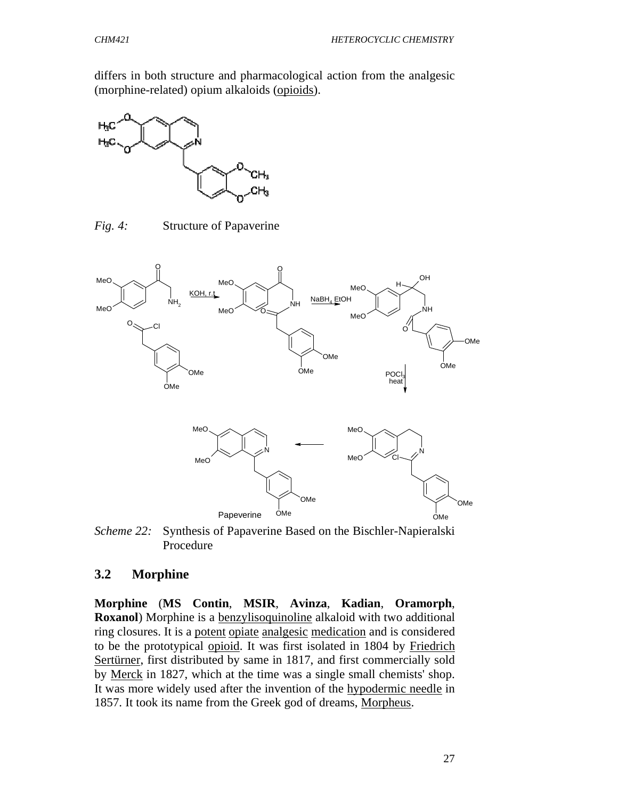differs in both structure and pharmacological action from the analgesic (morphine-related) opium alkaloids (opioids).



*Fig. 4:* Structure of Papaverine



*Scheme 22:* Synthesis of Papaverine Based on the Bischler-Napieralski Procedure

### **3.2 Morphine**

**Morphine** (**MS Contin**, **MSIR**, **Avinza**, **Kadian**, **Oramorph**, **Roxanol**) Morphine is a benzylisoquinoline alkaloid with two additional ring closures. It is a potent opiate analgesic medication and is considered to be the prototypical opioid. It was first isolated in 1804 by Friedrich Sertürner, first distributed by same in 1817, and first commercially sold by Merck in 1827, which at the time was a single small chemists' shop. It was more widely used after the invention of the hypodermic needle in 1857. It took its name from the Greek god of dreams, Morpheus.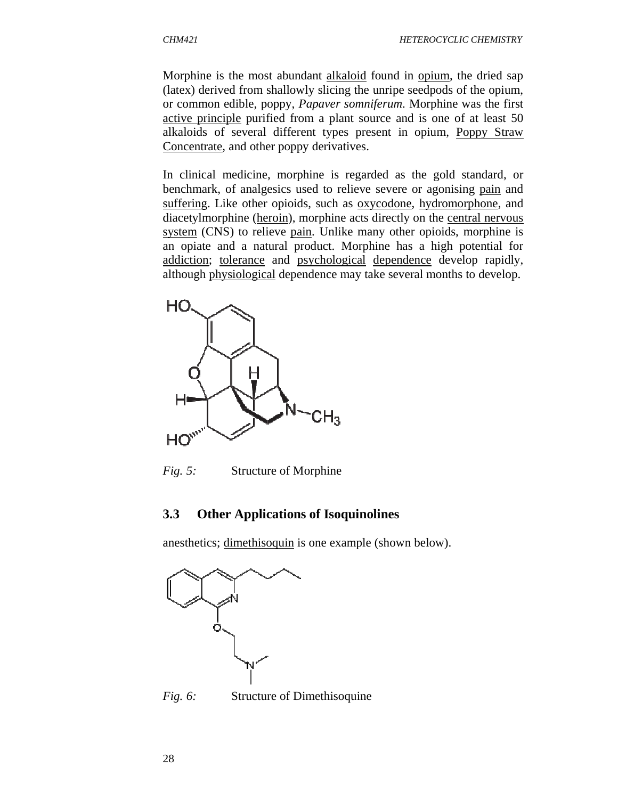Morphine is the most abundant alkaloid found in opium, the dried sap (latex) derived from shallowly slicing the unripe seedpods of the opium, or common edible, poppy, *Papaver somniferum*. Morphine was the first active principle purified from a plant source and is one of at least 50 alkaloids of several different types present in opium, Poppy Straw Concentrate, and other poppy derivatives.

In clinical medicine, morphine is regarded as the gold standard, or benchmark, of analgesics used to relieve severe or agonising pain and suffering. Like other opioids, such as <u>oxycodone</u>, hydromorphone, and diacetylmorphine (heroin), morphine acts directly on the central nervous system (CNS) to relieve pain. Unlike many other opioids, morphine is an opiate and a natural product. Morphine has a high potential for addiction; tolerance and psychological dependence develop rapidly, although physiological dependence may take several months to develop.



*Fig. 5:* Structure of Morphine

## **3.3 Other Applications of Isoquinolines**

anesthetics; dimethisoquin is one example (shown below).



*Fig. 6:* Structure of Dimethisoquine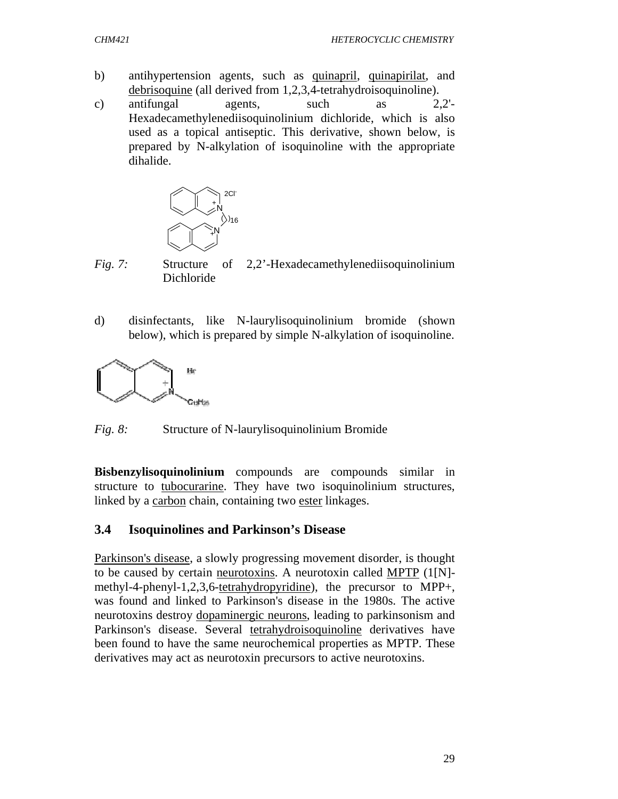- b) antihypertension agents, such as quinapril, quinapirilat, and debrisoquine (all derived from 1,2,3,4-tetrahydroisoquinoline).
- c) antifungal agents, such as  $2,2'$ -Hexadecamethylenediisoquinolinium dichloride, which is also used as a topical antiseptic. This derivative, shown below, is prepared by N-alkylation of isoquinoline with the appropriate dihalide.



*Fig. 7:* Structure of 2,2'-Hexadecamethylenediisoquinolinium Dichloride

d) disinfectants, like N-laurylisoquinolinium bromide (shown below), which is prepared by simple N-alkylation of isoquinoline.



*Fig. 8:* Structure of N-laurylisoquinolinium Bromide

**Bisbenzylisoquinolinium** compounds are compounds similar in structure to tubocurarine. They have two isoquinolinium structures, linked by a carbon chain, containing two ester linkages.

### **3.4 Isoquinolines and Parkinson's Disease**

Parkinson's disease, a slowly progressing movement disorder, is thought to be caused by certain neurotoxins. A neurotoxin called MPTP (1[N] methyl-4-phenyl-1,2,3,6-tetrahydropyridine), the precursor to MPP+, was found and linked to Parkinson's disease in the 1980s. The active neurotoxins destroy dopaminergic neurons, leading to parkinsonism and Parkinson's disease. Several tetrahydroisoquinoline derivatives have been found to have the same neurochemical properties as MPTP. These derivatives may act as neurotoxin precursors to active neurotoxins.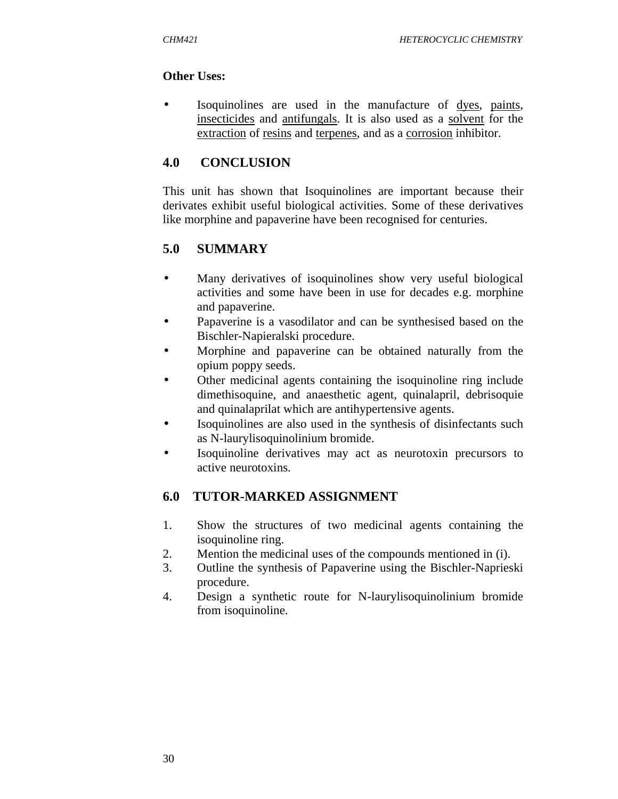### **Other Uses:**

Isoquinolines are used in the manufacture of dyes, paints, insecticides and antifungals. It is also used as a solvent for the extraction of resins and terpenes, and as a corrosion inhibitor.

## **4.0 CONCLUSION**

This unit has shown that Isoquinolines are important because their derivates exhibit useful biological activities. Some of these derivatives like morphine and papaverine have been recognised for centuries.

# **5.0 SUMMARY**

- Many derivatives of isoquinolines show very useful biological activities and some have been in use for decades e.g. morphine and papaverine.
- Papaverine is a vasodilator and can be synthesised based on the Bischler-Napieralski procedure.
- Morphine and papaverine can be obtained naturally from the opium poppy seeds.
- Other medicinal agents containing the isoquinoline ring include dimethisoquine, and anaesthetic agent, quinalapril, debrisoquie and quinalaprilat which are antihypertensive agents.
- Isoquinolines are also used in the synthesis of disinfectants such as N-laurylisoquinolinium bromide.
- Isoquinoline derivatives may act as neurotoxin precursors to active neurotoxins.

# **6.0 TUTOR-MARKED ASSIGNMENT**

- 1. Show the structures of two medicinal agents containing the isoquinoline ring.
- 2. Mention the medicinal uses of the compounds mentioned in (i).
- 3. Outline the synthesis of Papaverine using the Bischler-Naprieski procedure.
- 4. Design a synthetic route for N-laurylisoquinolinium bromide from isoquinoline.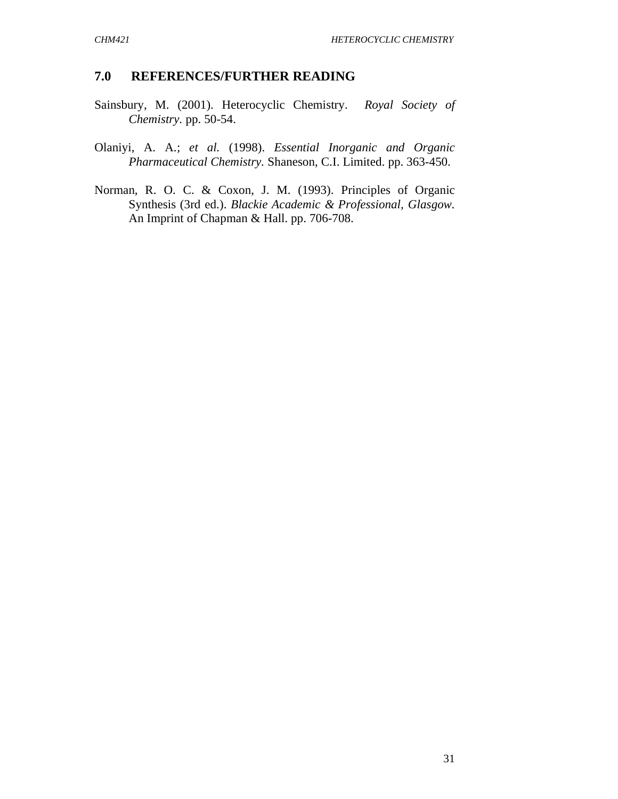#### **7.0 REFERENCES/FURTHER READING**

- Sainsbury, M. (2001). Heterocyclic Chemistry. *Royal Society of Chemistry.* pp. 50-54.
- Olaniyi, A. A.; *et al.* (1998). *Essential Inorganic and Organic Pharmaceutical Chemistry.* Shaneson, C.I. Limited. pp. 363-450.
- Norman, R. O. C. & Coxon, J. M. (1993). Principles of Organic Synthesis (3rd ed.). *Blackie Academic & Professional, Glasgow.* An Imprint of Chapman & Hall. pp. 706-708.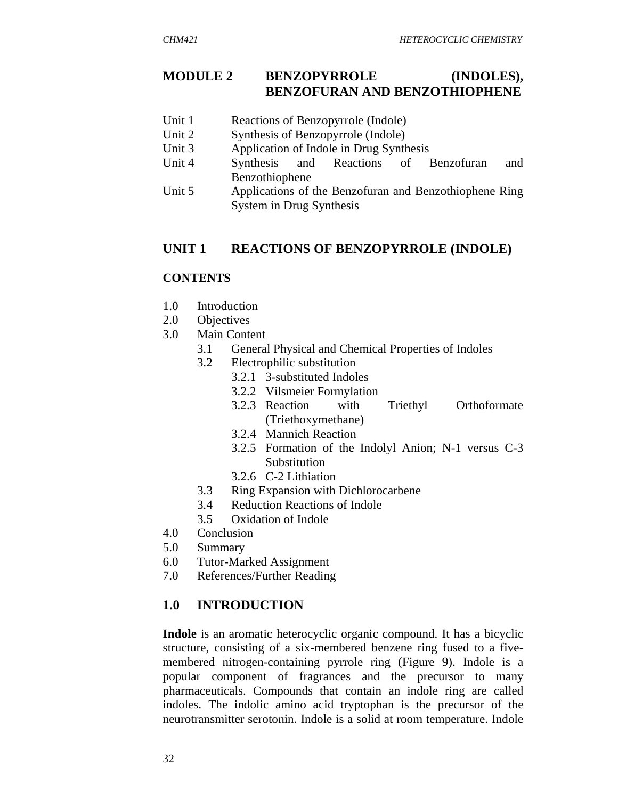## **MODULE 2 BENZOPYRROLE (INDOLES), BENZOFURAN AND BENZOTHIOPHENE**

- Unit 1 Reactions of Benzopyrrole (Indole)
- Unit 2 Synthesis of Benzopyrrole (Indole)
- Unit 3 Application of Indole in Drug Synthesis
- Unit 4 Synthesis and Reactions of Benzofuran and Benzothiophene
- Unit 5 Applications of the Benzofuran and Benzothiophene Ring System in Drug Synthesis

### **UNIT 1 REACTIONS OF BENZOPYRROLE (INDOLE)**

#### **CONTENTS**

- 1.0 Introduction
- 2.0 Objectives
- 3.0 Main Content
	- 3.1 General Physical and Chemical Properties of Indoles
	- 3.2 Electrophilic substitution
		- 3.2.1 3-substituted Indoles
			- 3.2.2 Vilsmeier Formylation
			- 3.2.3 Reaction with Triethyl Orthoformate (Triethoxymethane)
			- 3.2.4 Mannich Reaction
			- 3.2.5 Formation of the Indolyl Anion; N-1 versus C-3 Substitution
			- 3.2.6 C-2 Lithiation
	- 3.3 Ring Expansion with Dichlorocarbene
	- 3.4 Reduction Reactions of Indole
	- 3.5 Oxidation of Indole
- 4.0 Conclusion
- 5.0 Summary
- 6.0 Tutor-Marked Assignment
- 7.0 References/Further Reading

### **1.0 INTRODUCTION**

**Indole** is an aromatic heterocyclic organic compound. It has a bicyclic structure, consisting of a six-membered benzene ring fused to a fivemembered nitrogen-containing pyrrole ring (Figure 9). Indole is a popular component of fragrances and the precursor to many pharmaceuticals. Compounds that contain an indole ring are called indoles. The indolic amino acid tryptophan is the precursor of the neurotransmitter serotonin. Indole is a solid at room temperature. Indole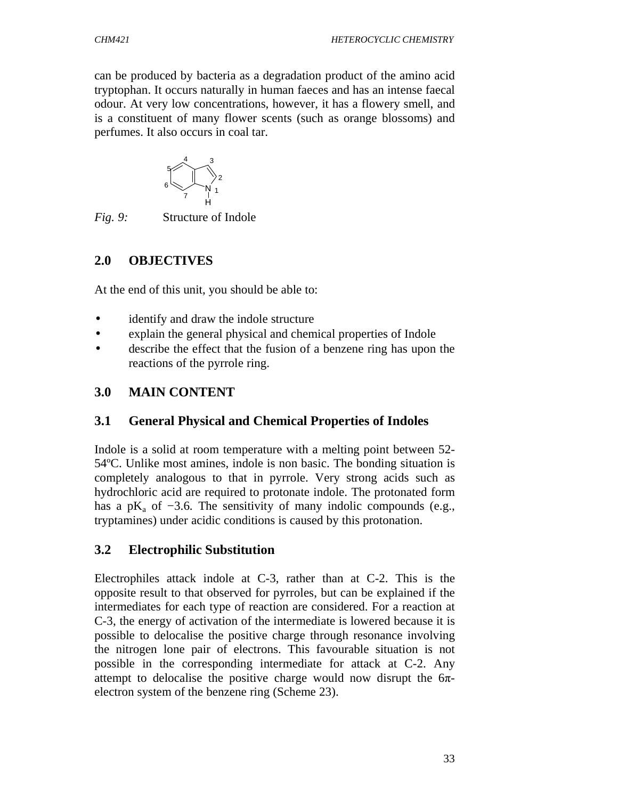can be produced by bacteria as a degradation product of the amino acid tryptophan. It occurs naturally in human faeces and has an intense faecal odour. At very low concentrations, however, it has a flowery smell, and is a constituent of many flower scents (such as orange blossoms) and perfumes. It also occurs in coal tar.



*Fig. 9:* Structure of Indole

# **2.0 OBJECTIVES**

At the end of this unit, you should be able to:

- identify and draw the indole structure
- explain the general physical and chemical properties of Indole
- describe the effect that the fusion of a benzene ring has upon the reactions of the pyrrole ring.

# **3.0 MAIN CONTENT**

# **3.1 General Physical and Chemical Properties of Indoles**

Indole is a solid at room temperature with a melting point between 52- 54ºC. Unlike most amines, indole is non basic. The bonding situation is completely analogous to that in pyrrole. Very strong acids such as hydrochloric acid are required to protonate indole. The protonated form has a p $K_a$  of  $-3.6$ . The sensitivity of many indolic compounds (e.g., tryptamines) under acidic conditions is caused by this protonation.

# **3.2 Electrophilic Substitution**

Electrophiles attack indole at C-3, rather than at C-2. This is the opposite result to that observed for pyrroles, but can be explained if the intermediates for each type of reaction are considered. For a reaction at C-3, the energy of activation of the intermediate is lowered because it is possible to delocalise the positive charge through resonance involving the nitrogen lone pair of electrons. This favourable situation is not possible in the corresponding intermediate for attack at C-2. Any attempt to delocalise the positive charge would now disrupt the  $6\pi$ electron system of the benzene ring (Scheme 23).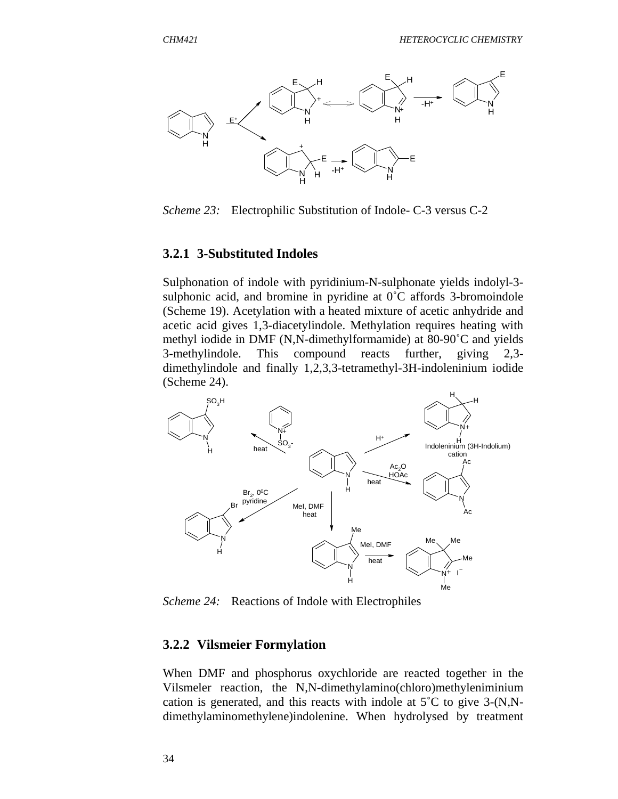

*Scheme 23:* Electrophilic Substitution of Indole- C-3 versus C-2

#### **3.2.1 3-Substituted Indoles**

Sulphonation of indole with pyridinium-N-sulphonate yields indolyl-3 sulphonic acid, and bromine in pyridine at  $0^{\circ}$ C affords 3-bromoindole (Scheme 19). Acetylation with a heated mixture of acetic anhydride and acetic acid gives 1,3-diacetylindole. Methylation requires heating with methyl iodide in DMF (N,N-dimethylformamide) at 80-90˚C and yields 3-methylindole. This compound reacts further, giving 2,3 dimethylindole and finally 1,2,3,3-tetramethyl-3H-indoleninium iodide (Scheme 24).



*Scheme 24:* Reactions of Indole with Electrophiles

#### **3.2.2 Vilsmeier Formylation**

When DMF and phosphorus oxychloride are reacted together in the Vilsmeler reaction, the N,N-dimethylamino(chloro)methyleniminium cation is generated, and this reacts with indole at 5˚C to give 3-(N,Ndimethylaminomethylene)indolenine. When hydrolysed by treatment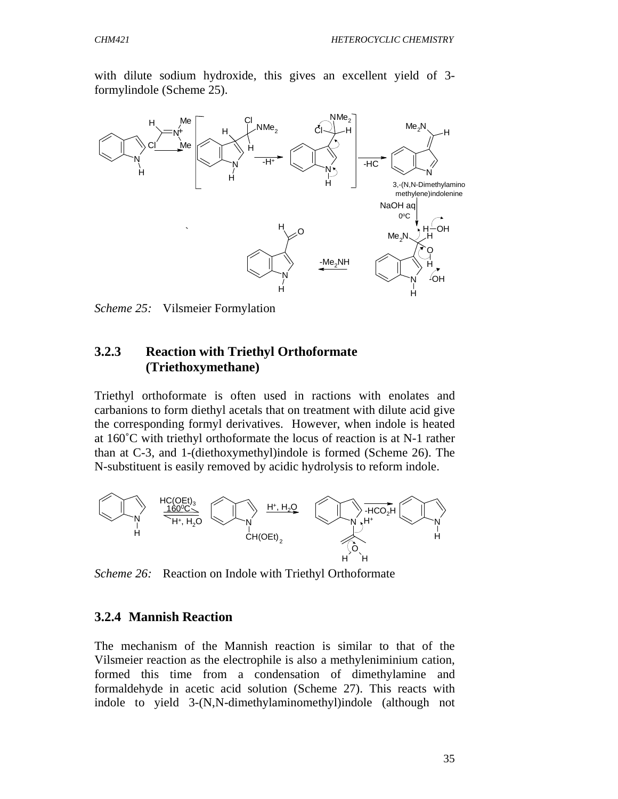with dilute sodium hydroxide, this gives an excellent yield of 3 formylindole (Scheme 25).



*Scheme 25:* Vilsmeier Formylation

### **3.2.3 Reaction with Triethyl Orthoformate (Triethoxymethane)**

Triethyl orthoformate is often used in ractions with enolates and carbanions to form diethyl acetals that on treatment with dilute acid give the corresponding formyl derivatives. However, when indole is heated at 160˚C with triethyl orthoformate the locus of reaction is at N-1 rather than at C-3, and 1-(diethoxymethyl)indole is formed (Scheme 26). The N-substituent is easily removed by acidic hydrolysis to reform indole.



*Scheme 26:* Reaction on Indole with Triethyl Orthoformate

#### **3.2.4 Mannish Reaction**

The mechanism of the Mannish reaction is similar to that of the Vilsmeier reaction as the electrophile is also a methyleniminium cation, formed this time from a condensation of dimethylamine and formaldehyde in acetic acid solution (Scheme 27). This reacts with indole to yield 3-(N,N-dimethylaminomethyl)indole (although not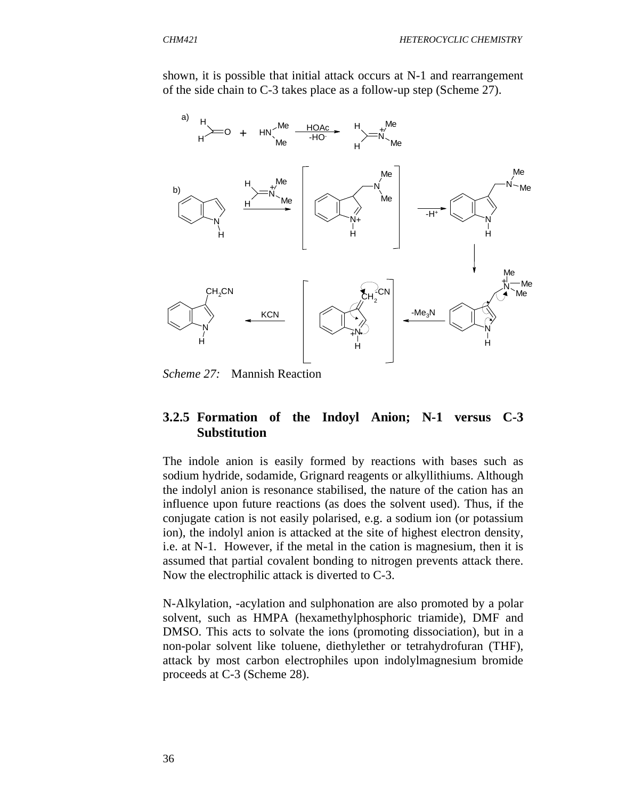shown, it is possible that initial attack occurs at N-1 and rearrangement of the side chain to C-3 takes place as a follow-up step (Scheme 27).



*Scheme 27:* Mannish Reaction

## **3.2.5 Formation of the Indoyl Anion; N-1 versus C-3 Substitution**

The indole anion is easily formed by reactions with bases such as sodium hydride, sodamide, Grignard reagents or alkyllithiums. Although the indolyl anion is resonance stabilised, the nature of the cation has an influence upon future reactions (as does the solvent used). Thus, if the conjugate cation is not easily polarised, e.g. a sodium ion (or potassium ion), the indolyl anion is attacked at the site of highest electron density, i.e. at N-1. However, if the metal in the cation is magnesium, then it is assumed that partial covalent bonding to nitrogen prevents attack there. Now the electrophilic attack is diverted to C-3.

N-Alkylation, -acylation and sulphonation are also promoted by a polar solvent, such as HMPA (hexamethylphosphoric triamide), DMF and DMSO. This acts to solvate the ions (promoting dissociation), but in a non-polar solvent like toluene, diethylether or tetrahydrofuran (THF), attack by most carbon electrophiles upon indolylmagnesium bromide proceeds at C-3 (Scheme 28).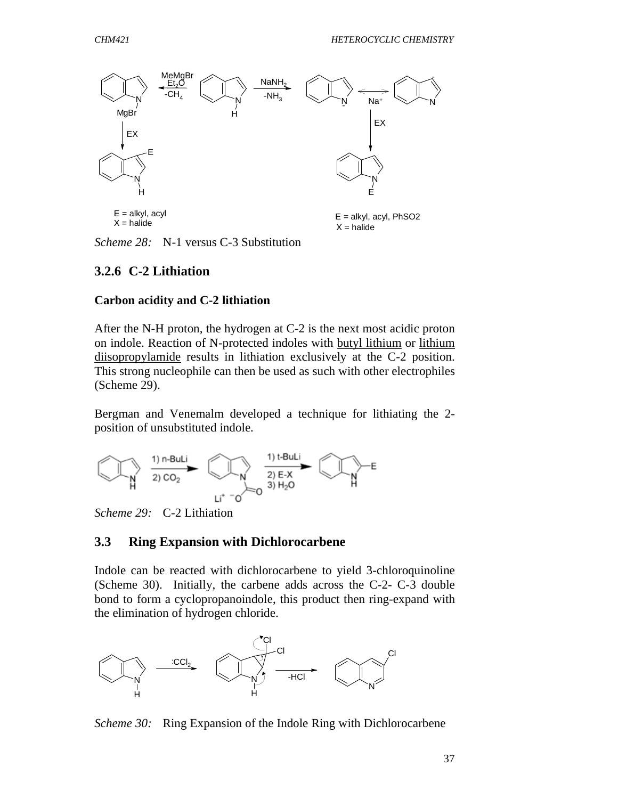

*Scheme 28:* N-1 versus C-3 Substitution

## **3.2.6 C-2 Lithiation**

#### **Carbon acidity and C-2 lithiation**

After the N-H proton, the hydrogen at C-2 is the next most acidic proton on indole. Reaction of N-protected indoles with butyl lithium or lithium diisopropylamide results in lithiation exclusively at the C-2 position. This strong nucleophile can then be used as such with other electrophiles (Scheme 29).

Bergman and Venemalm developed a technique for lithiating the 2 position of unsubstituted indole.



*Scheme 29:* C-2 Lithiation

### **3.3 Ring Expansion with Dichlorocarbene**

Indole can be reacted with dichlorocarbene to yield 3-chloroquinoline (Scheme 30). Initially, the carbene adds across the C-2- C-3 double bond to form a cyclopropanoindole, this product then ring-expand with the elimination of hydrogen chloride.



*Scheme 30:* Ring Expansion of the Indole Ring with Dichlorocarbene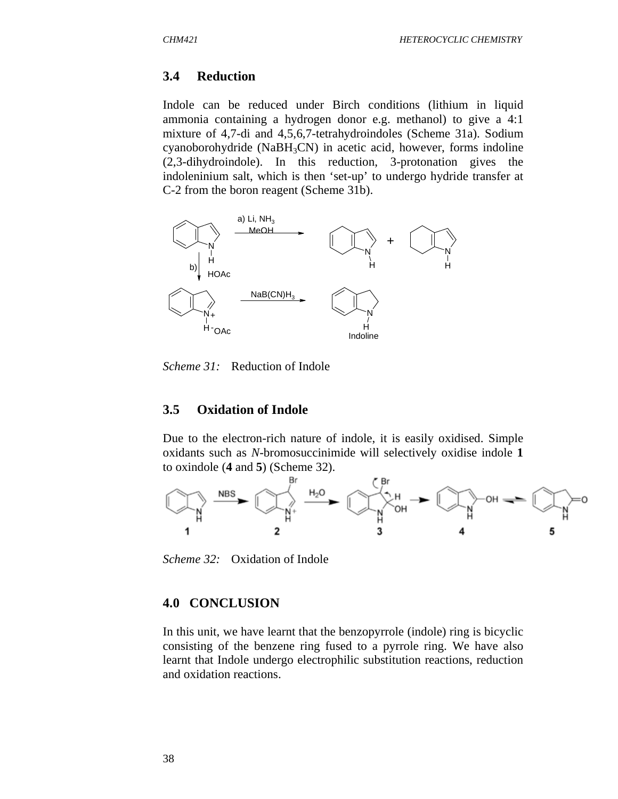#### **3.4 Reduction**

Indole can be reduced under Birch conditions (lithium in liquid ammonia containing a hydrogen donor e.g. methanol) to give a 4:1 mixture of 4,7-di and 4,5,6,7-tetrahydroindoles (Scheme 31a). Sodium cyanoborohydride (Na $BH<sub>3</sub>CN$ ) in acetic acid, however, forms indoline (2,3-dihydroindole). In this reduction, 3-protonation gives the indoleninium salt, which is then 'set-up' to undergo hydride transfer at C-2 from the boron reagent (Scheme 31b).



*Scheme 31:* Reduction of Indole

#### **3.5 Oxidation of Indole**

Due to the electron-rich nature of indole, it is easily oxidised. Simple oxidants such as *N*-bromosuccinimide will selectively oxidise indole **1** to oxindole (**4** and **5**) (Scheme 32).



*Scheme 32:* Oxidation of Indole

#### **4.0 CONCLUSION**

In this unit, we have learnt that the benzopyrrole (indole) ring is bicyclic consisting of the benzene ring fused to a pyrrole ring. We have also learnt that Indole undergo electrophilic substitution reactions, reduction and oxidation reactions.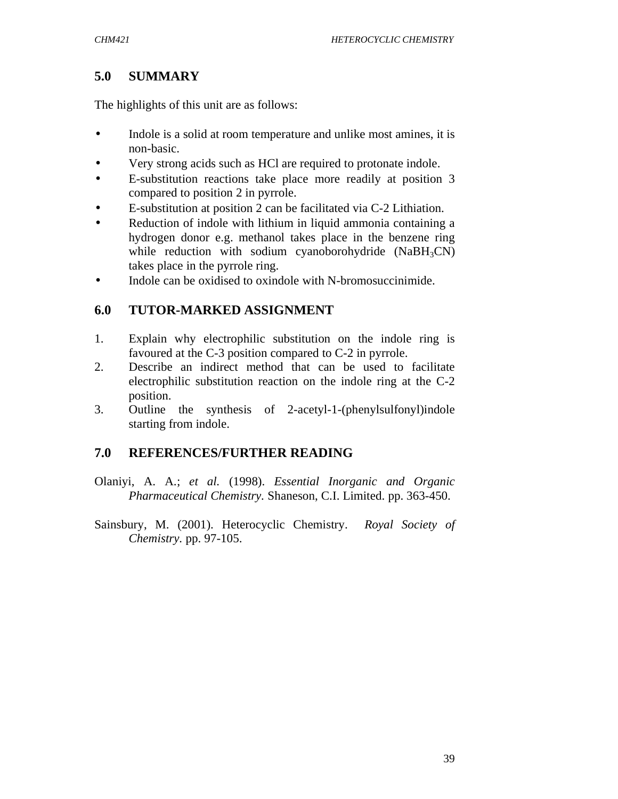# **5.0 SUMMARY**

The highlights of this unit are as follows:

- Indole is a solid at room temperature and unlike most amines, it is non-basic.
- Very strong acids such as HCl are required to protonate indole.
- E-substitution reactions take place more readily at position 3 compared to position 2 in pyrrole.
- E-substitution at position 2 can be facilitated via C-2 Lithiation.
- Reduction of indole with lithium in liquid ammonia containing a hydrogen donor e.g. methanol takes place in the benzene ring while reduction with sodium cyanoborohydride  $(NaBH<sub>3</sub>CN)$ takes place in the pyrrole ring.
- Indole can be oxidised to oxindole with N-bromosuccinimide.

# **6.0 TUTOR-MARKED ASSIGNMENT**

- 1. Explain why electrophilic substitution on the indole ring is favoured at the C-3 position compared to C-2 in pyrrole.
- 2. Describe an indirect method that can be used to facilitate electrophilic substitution reaction on the indole ring at the C-2 position.
- 3. Outline the synthesis of 2-acetyl-1-(phenylsulfonyl)indole starting from indole.

## **7.0 REFERENCES/FURTHER READING**

- Olaniyi, A. A.; *et al.* (1998). *Essential Inorganic and Organic Pharmaceutical Chemistry.* Shaneson, C.I. Limited. pp. 363-450.
- Sainsbury, M. (2001). Heterocyclic Chemistry. *Royal Society of Chemistry.* pp. 97-105.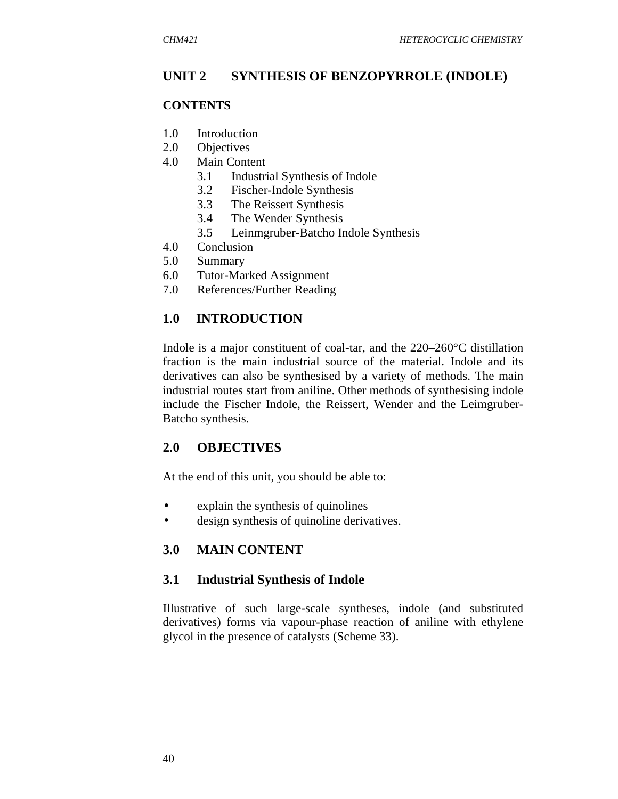## **UNIT 2 SYNTHESIS OF BENZOPYRROLE (INDOLE)**

#### **CONTENTS**

- 1.0 Introduction
- 2.0 Objectives
- 4.0 Main Content
	- 3.1 Industrial Synthesis of Indole
	- 3.2 Fischer-Indole Synthesis
	- 3.3 The Reissert Synthesis
	- 3.4 The Wender Synthesis
	- 3.5 Leinmgruber-Batcho Indole Synthesis
- 4.0 Conclusion
- 5.0 Summary
- 6.0 Tutor-Marked Assignment
- 7.0 References/Further Reading

### **1.0 INTRODUCTION**

Indole is a major constituent of coal-tar, and the 220–260°C distillation fraction is the main industrial source of the material. Indole and its derivatives can also be synthesised by a variety of methods. The main industrial routes start from aniline. Other methods of synthesising indole include the Fischer Indole, the Reissert, Wender and the Leimgruber-Batcho synthesis.

### **2.0 OBJECTIVES**

At the end of this unit, you should be able to:

- explain the synthesis of quinolines
- design synthesis of quinoline derivatives.

## **3.0 MAIN CONTENT**

### **3.1 Industrial Synthesis of Indole**

Illustrative of such large-scale syntheses, indole (and substituted derivatives) forms via vapour-phase reaction of aniline with ethylene glycol in the presence of catalysts (Scheme 33).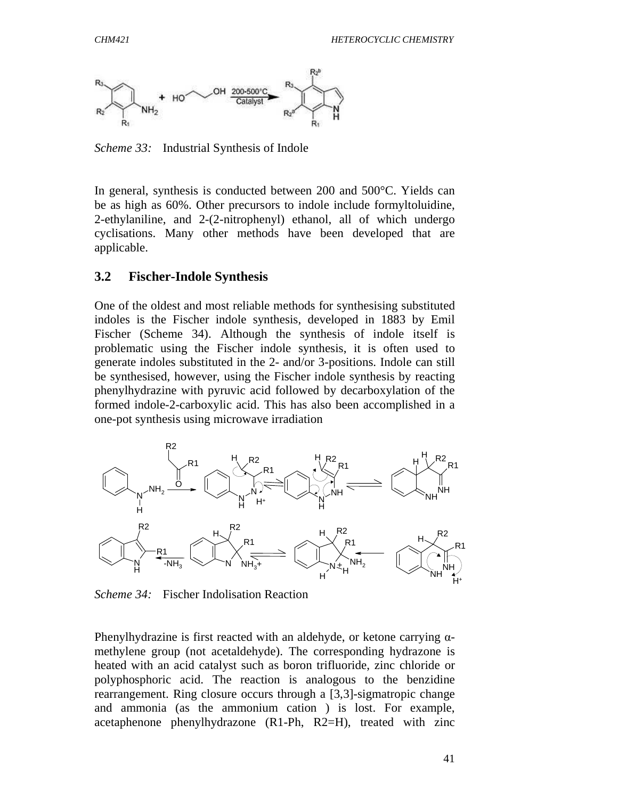

*Scheme 33:* Industrial Synthesis of Indole

In general, synthesis is conducted between 200 and 500°C. Yields can be as high as 60%. Other precursors to indole include formyltoluidine, 2-ethylaniline, and 2-(2-nitrophenyl) ethanol, all of which undergo cyclisations. Many other methods have been developed that are applicable.

#### **3.2 Fischer-Indole Synthesis**

One of the oldest and most reliable methods for synthesising substituted indoles is the Fischer indole synthesis, developed in 1883 by Emil Fischer (Scheme 34). Although the synthesis of indole itself is problematic using the Fischer indole synthesis, it is often used to generate indoles substituted in the 2- and/or 3-positions. Indole can still be synthesised, however, using the Fischer indole synthesis by reacting phenylhydrazine with pyruvic acid followed by decarboxylation of the formed indole-2-carboxylic acid. This has also been accomplished in a one-pot synthesis using microwave irradiation



*Scheme 34:* Fischer Indolisation Reaction

Phenylhydrazine is first reacted with an aldehyde, or ketone carrying  $\alpha$ methylene group (not acetaldehyde). The corresponding hydrazone is heated with an acid catalyst such as boron trifluoride, zinc chloride or polyphosphoric acid. The reaction is analogous to the benzidine rearrangement. Ring closure occurs through a [3,3]-sigmatropic change and ammonia (as the ammonium cation ) is lost. For example, acetaphenone phenylhydrazone (R1-Ph, R2=H), treated with zinc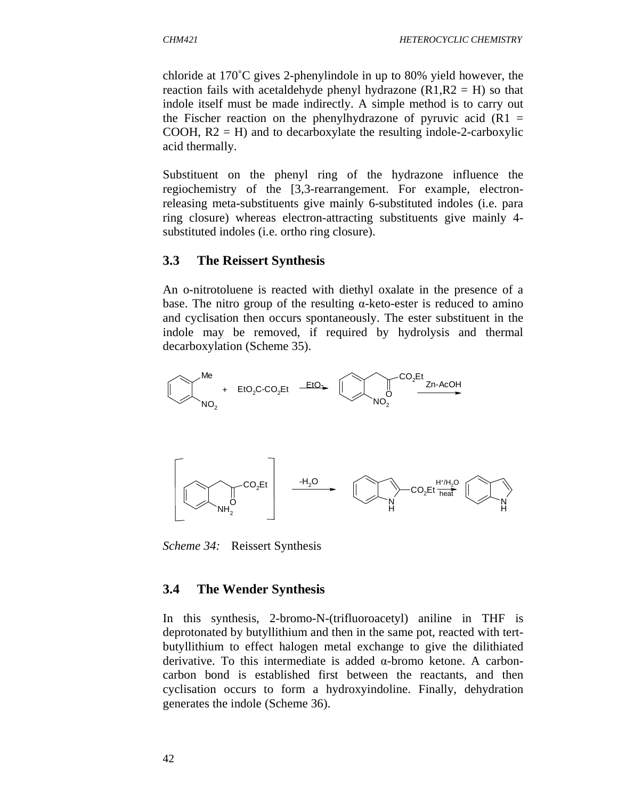chloride at 170˚C gives 2-phenylindole in up to 80% yield however, the reaction fails with acetaldehyde phenyl hydrazone  $(R1, R2 = H)$  so that indole itself must be made indirectly. A simple method is to carry out the Fischer reaction on the phenylhydrazone of pyruvic acid  $(R1 =$ COOH,  $R2 = H$ ) and to decarboxylate the resulting indole-2-carboxylic acid thermally.

Substituent on the phenyl ring of the hydrazone influence the regiochemistry of the [3,3-rearrangement. For example, electronreleasing meta-substituents give mainly 6-substituted indoles (i.e. para ring closure) whereas electron-attracting substituents give mainly 4 substituted indoles (i.e. ortho ring closure).

### **3.3 The Reissert Synthesis**

An o-nitrotoluene is reacted with diethyl oxalate in the presence of a base. The nitro group of the resulting  $\alpha$ -keto-ester is reduced to amino and cyclisation then occurs spontaneously. The ester substituent in the indole may be removed, if required by hydrolysis and thermal decarboxylation (Scheme 35).



*Scheme 34:* Reissert Synthesis

### **3.4 The Wender Synthesis**

In this synthesis, 2-bromo-N-(trifluoroacetyl) aniline in THF is deprotonated by butyllithium and then in the same pot, reacted with tertbutyllithium to effect halogen metal exchange to give the dilithiated derivative. To this intermediate is added α-bromo ketone. A carboncarbon bond is established first between the reactants, and then cyclisation occurs to form a hydroxyindoline. Finally, dehydration generates the indole (Scheme 36).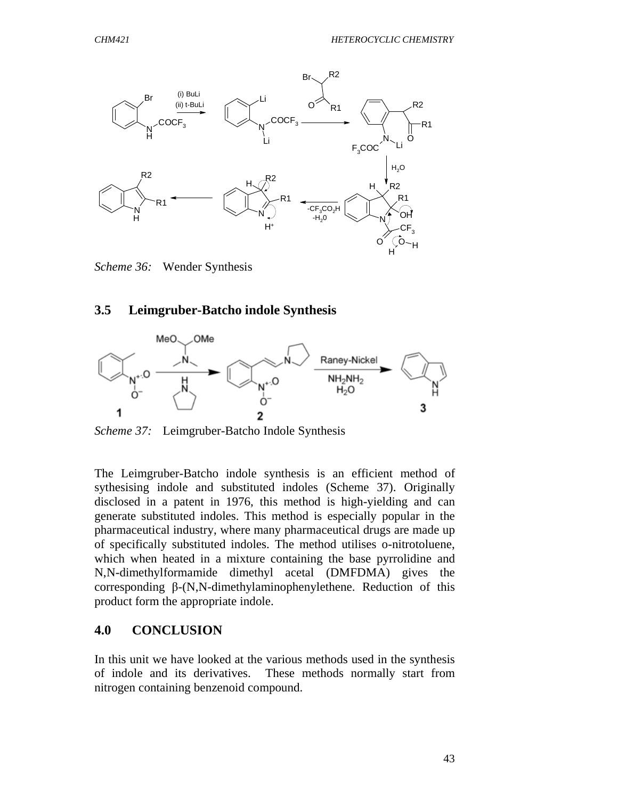

*Scheme 36:* Wender Synthesis

#### **3.5 Leimgruber-Batcho indole Synthesis**



*Scheme 37:* Leimgruber-Batcho Indole Synthesis

The Leimgruber-Batcho indole synthesis is an efficient method of sythesising indole and substituted indoles (Scheme 37). Originally disclosed in a patent in 1976, this method is high-yielding and can generate substituted indoles. This method is especially popular in the pharmaceutical industry, where many pharmaceutical drugs are made up of specifically substituted indoles. The method utilises o-nitrotoluene, which when heated in a mixture containing the base pyrrolidine and N,N-dimethylformamide dimethyl acetal (DMFDMA) gives the corresponding β-(N,N-dimethylaminophenylethene. Reduction of this product form the appropriate indole.

#### **4.0 CONCLUSION**

In this unit we have looked at the various methods used in the synthesis of indole and its derivatives. These methods normally start from nitrogen containing benzenoid compound.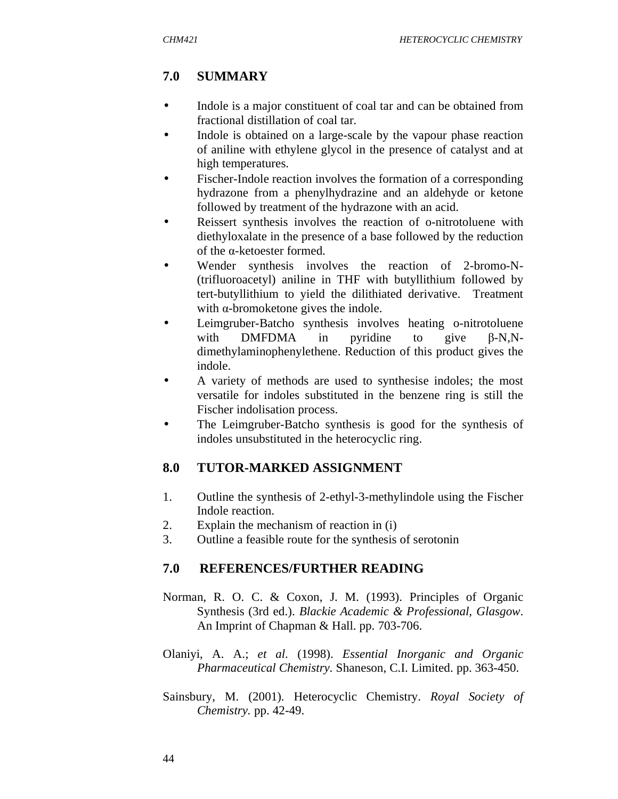# **7.0 SUMMARY**

- Indole is a major constituent of coal tar and can be obtained from fractional distillation of coal tar.
- Indole is obtained on a large-scale by the vapour phase reaction of aniline with ethylene glycol in the presence of catalyst and at high temperatures.
- Fischer-Indole reaction involves the formation of a corresponding hydrazone from a phenylhydrazine and an aldehyde or ketone followed by treatment of the hydrazone with an acid.
- Reissert synthesis involves the reaction of o-nitrotoluene with diethyloxalate in the presence of a base followed by the reduction of the α-ketoester formed.
- Wender synthesis involves the reaction of 2-bromo-N-(trifluoroacetyl) aniline in THF with butyllithium followed by tert-butyllithium to yield the dilithiated derivative. Treatment with  $\alpha$ -bromoketone gives the indole.
- Leimgruber-Batcho synthesis involves heating o-nitrotoluene with DMFDMA in pyridine to give β-N,Ndimethylaminophenylethene. Reduction of this product gives the indole.
- A variety of methods are used to synthesise indoles; the most versatile for indoles substituted in the benzene ring is still the Fischer indolisation process.
- The Leimgruber-Batcho synthesis is good for the synthesis of indoles unsubstituted in the heterocyclic ring.

# **8.0 TUTOR-MARKED ASSIGNMENT**

- 1. Outline the synthesis of 2-ethyl-3-methylindole using the Fischer Indole reaction.
- 2. Explain the mechanism of reaction in (i)
- 3. Outline a feasible route for the synthesis of serotonin

# **7.0 REFERENCES/FURTHER READING**

- Norman, R. O. C. & Coxon, J. M. (1993). Principles of Organic Synthesis (3rd ed.). *Blackie Academic & Professional, Glasgow*. An Imprint of Chapman & Hall. pp. 703-706.
- Olaniyi, A. A.; *et al*. (1998). *Essential Inorganic and Organic Pharmaceutical Chemistry.* Shaneson, C.I. Limited. pp. 363-450.
- Sainsbury, M. (2001). Heterocyclic Chemistry. *Royal Society of Chemistry.* pp. 42-49.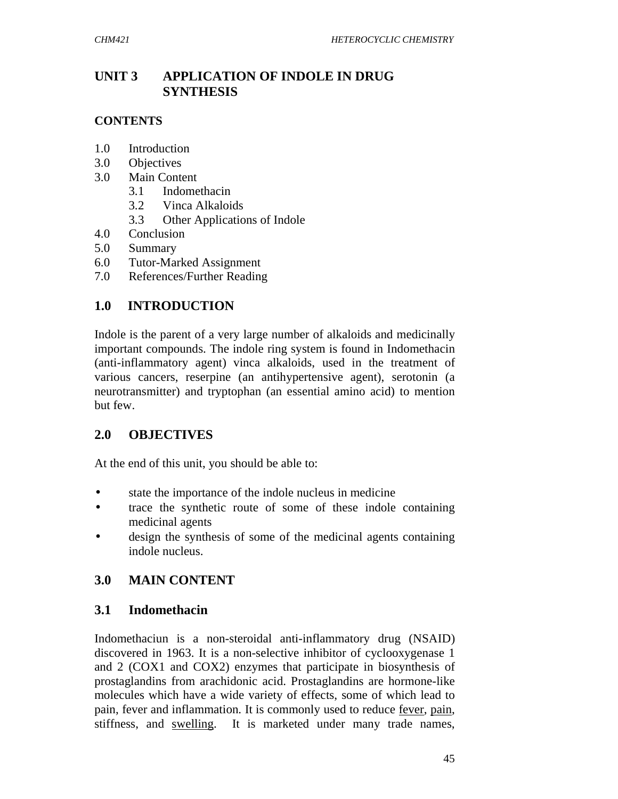## **UNIT 3 APPLICATION OF INDOLE IN DRUG SYNTHESIS**

### **CONTENTS**

- 1.0 Introduction
- 3.0 Objectives
- 3.0 Main Content
	- 3.1 Indomethacin
	- 3.2 Vinca Alkaloids
	- 3.3 Other Applications of Indole
- 4.0 Conclusion
- 5.0 Summary
- 6.0 Tutor-Marked Assignment
- 7.0 References/Further Reading

## **1.0 INTRODUCTION**

Indole is the parent of a very large number of alkaloids and medicinally important compounds. The indole ring system is found in Indomethacin (anti-inflammatory agent) vinca alkaloids, used in the treatment of various cancers, reserpine (an antihypertensive agent), serotonin (a neurotransmitter) and tryptophan (an essential amino acid) to mention but few.

## **2.0 OBJECTIVES**

At the end of this unit, you should be able to:

- state the importance of the indole nucleus in medicine
- trace the synthetic route of some of these indole containing medicinal agents
- design the synthesis of some of the medicinal agents containing indole nucleus.

# **3.0 MAIN CONTENT**

## **3.1 Indomethacin**

Indomethaciun is a non-steroidal anti-inflammatory drug (NSAID) discovered in 1963. It is a non-selective inhibitor of cyclooxygenase 1 and 2 (COX1 and COX2) enzymes that participate in biosynthesis of prostaglandins from arachidonic acid. Prostaglandins are hormone-like molecules which have a wide variety of effects, some of which lead to pain, fever and inflammation. It is commonly used to reduce fever, pain, stiffness, and swelling. It is marketed under many trade names,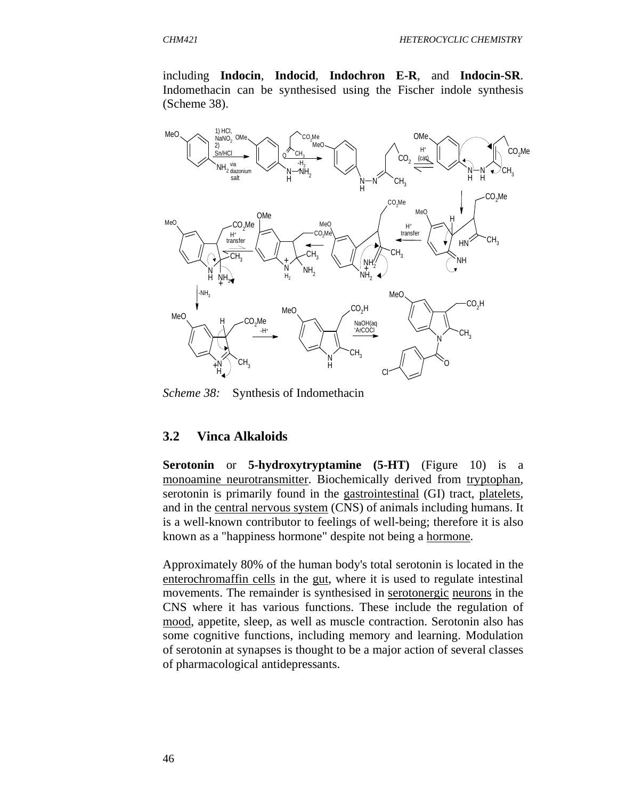including **Indocin**, **Indocid**, **Indochron E-R**, and **Indocin-SR**. Indomethacin can be synthesised using the Fischer indole synthesis (Scheme 38).



*Scheme 38:* Synthesis of Indomethacin

#### **3.2 Vinca Alkaloids**

**Serotonin** or **5-hydroxytryptamine (5-HT)** (Figure 10) is a monoamine neurotransmitter. Biochemically derived from tryptophan, serotonin is primarily found in the gastrointestinal (GI) tract, platelets, and in the central nervous system (CNS) of animals including humans. It is a well-known contributor to feelings of well-being; therefore it is also known as a "happiness hormone" despite not being a hormone.

Approximately 80% of the human body's total serotonin is located in the enterochromaffin cells in the gut, where it is used to regulate intestinal movements. The remainder is synthesised in serotonergic neurons in the CNS where it has various functions. These include the regulation of mood, appetite, sleep, as well as muscle contraction. Serotonin also has some cognitive functions, including memory and learning. Modulation of serotonin at synapses is thought to be a major action of several classes of pharmacological antidepressants.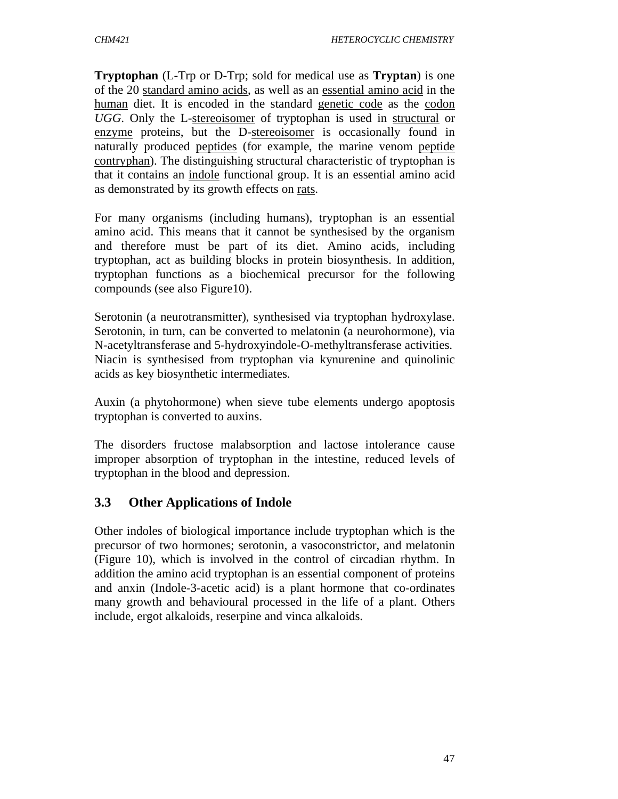**Tryptophan** (L-Trp or D-Trp; sold for medical use as **Tryptan**) is one of the 20 standard amino acids, as well as an essential amino acid in the human diet. It is encoded in the standard genetic code as the codon *UGG*. Only the L-stereoisomer of tryptophan is used in structural or enzyme proteins, but the D-stereoisomer is occasionally found in naturally produced peptides (for example, the marine venom peptide contryphan). The distinguishing structural characteristic of tryptophan is that it contains an indole functional group. It is an essential amino acid as demonstrated by its growth effects on rats.

For many organisms (including humans), tryptophan is an essential amino acid. This means that it cannot be synthesised by the organism and therefore must be part of its diet. Amino acids, including tryptophan, act as building blocks in protein biosynthesis. In addition, tryptophan functions as a biochemical precursor for the following compounds (see also Figure10).

Serotonin (a neurotransmitter), synthesised via tryptophan hydroxylase. Serotonin, in turn, can be converted to melatonin (a neurohormone), via N-acetyltransferase and 5-hydroxyindole-O-methyltransferase activities. Niacin is synthesised from tryptophan via kynurenine and quinolinic acids as key biosynthetic intermediates.

Auxin (a phytohormone) when sieve tube elements undergo apoptosis tryptophan is converted to auxins.

The disorders fructose malabsorption and lactose intolerance cause improper absorption of tryptophan in the intestine, reduced levels of tryptophan in the blood and depression.

# **3.3 Other Applications of Indole**

Other indoles of biological importance include tryptophan which is the precursor of two hormones; serotonin, a vasoconstrictor, and melatonin (Figure 10), which is involved in the control of circadian rhythm. In addition the amino acid tryptophan is an essential component of proteins and anxin (Indole-3-acetic acid) is a plant hormone that co-ordinates many growth and behavioural processed in the life of a plant. Others include, ergot alkaloids, reserpine and vinca alkaloids.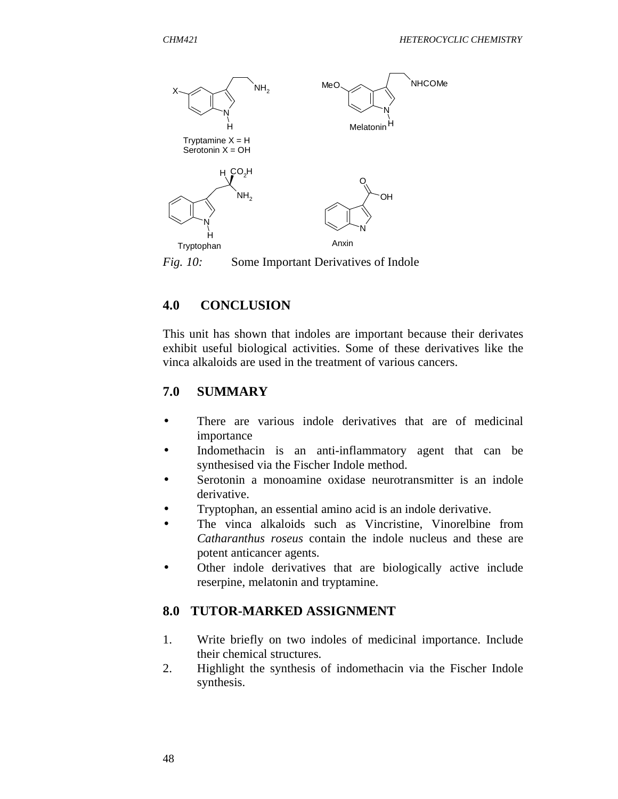

*Fig. 10:* Some Important Derivatives of Indole

# **4.0 CONCLUSION**

This unit has shown that indoles are important because their derivates exhibit useful biological activities. Some of these derivatives like the vinca alkaloids are used in the treatment of various cancers.

# **7.0 SUMMARY**

- There are various indole derivatives that are of medicinal importance
- Indomethacin is an anti-inflammatory agent that can be synthesised via the Fischer Indole method.
- Serotonin a monoamine oxidase neurotransmitter is an indole derivative.
- Tryptophan, an essential amino acid is an indole derivative.
- The vinca alkaloids such as Vincristine, Vinorelbine from *Catharanthus roseus* contain the indole nucleus and these are potent anticancer agents.
- Other indole derivatives that are biologically active include reserpine, melatonin and tryptamine.

# **8.0 TUTOR-MARKED ASSIGNMENT**

- 1. Write briefly on two indoles of medicinal importance. Include their chemical structures.
- 2. Highlight the synthesis of indomethacin via the Fischer Indole synthesis.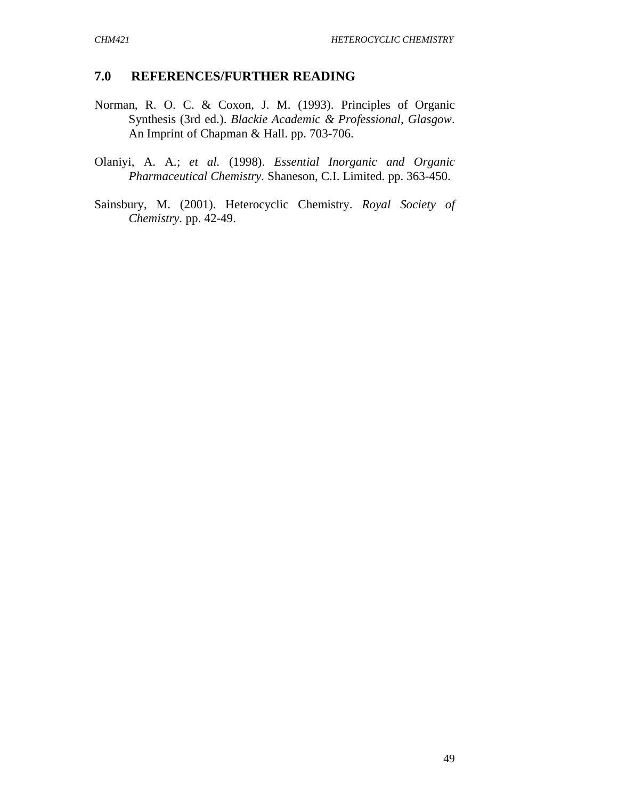### **7.0 REFERENCES/FURTHER READING**

- Norman, R. O. C. & Coxon, J. M. (1993). Principles of Organic Synthesis (3rd ed.). *Blackie Academic & Professional, Glasgow*. An Imprint of Chapman & Hall. pp. 703-706.
- Olaniyi, A. A.; *et al.* (1998). *Essential Inorganic and Organic Pharmaceutical Chemistry.* Shaneson, C.I. Limited. pp. 363-450.
- Sainsbury, M. (2001). Heterocyclic Chemistry. *Royal Society of Chemistry.* pp. 42-49.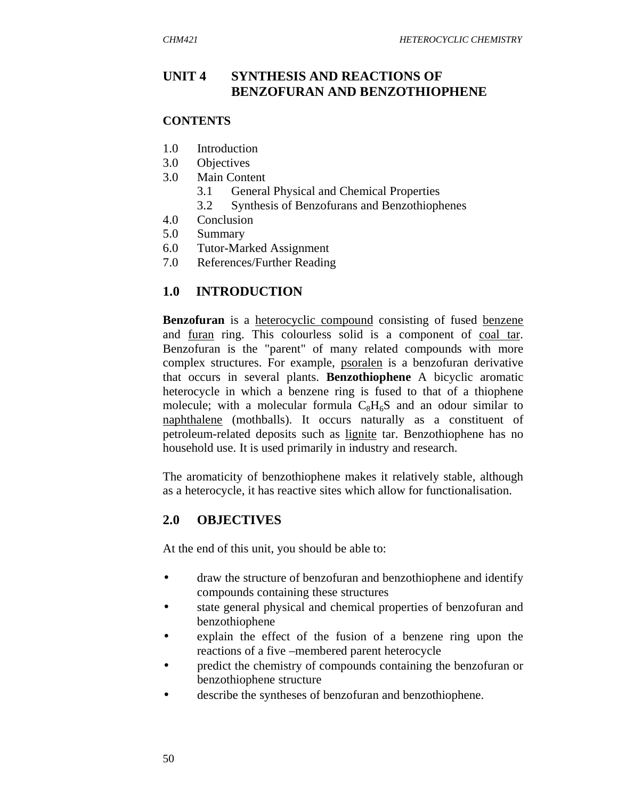## **UNIT 4 SYNTHESIS AND REACTIONS OF BENZOFURAN AND BENZOTHIOPHENE**

#### **CONTENTS**

- 1.0 Introduction
- 3.0 Objectives
- 3.0 Main Content
	- 3.1 General Physical and Chemical Properties
	- 3.2 Synthesis of Benzofurans and Benzothiophenes
- 4.0 Conclusion
- 5.0 Summary
- 6.0 Tutor-Marked Assignment
- 7.0 References/Further Reading

## **1.0 INTRODUCTION**

**Benzofuran** is a heterocyclic compound consisting of fused benzene and furan ring. This colourless solid is a component of coal tar. Benzofuran is the "parent" of many related compounds with more complex structures. For example, psoralen is a benzofuran derivative that occurs in several plants. **Benzothiophene** A bicyclic aromatic heterocycle in which a benzene ring is fused to that of a thiophene molecule; with a molecular formula  $C_8H_6S$  and an odour similar to naphthalene (mothballs). It occurs naturally as a constituent of petroleum-related deposits such as lignite tar. Benzothiophene has no household use. It is used primarily in industry and research.

The aromaticity of benzothiophene makes it relatively stable, although as a heterocycle, it has reactive sites which allow for functionalisation.

## **2.0 OBJECTIVES**

At the end of this unit, you should be able to:

- draw the structure of benzofuran and benzothiophene and identify compounds containing these structures
- state general physical and chemical properties of benzofuran and benzothiophene
- explain the effect of the fusion of a benzene ring upon the reactions of a five –membered parent heterocycle
- predict the chemistry of compounds containing the benzofuran or benzothiophene structure
- describe the syntheses of benzofuran and benzothiophene.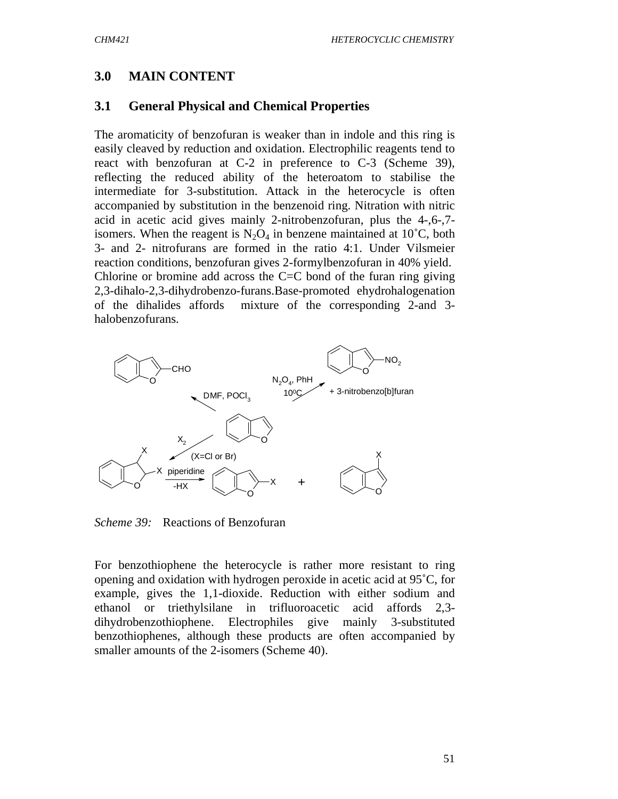## **3.0 MAIN CONTENT**

### **3.1 General Physical and Chemical Properties**

The aromaticity of benzofuran is weaker than in indole and this ring is easily cleaved by reduction and oxidation. Electrophilic reagents tend to react with benzofuran at C-2 in preference to C-3 (Scheme 39), reflecting the reduced ability of the heteroatom to stabilise the intermediate for 3-substitution. Attack in the heterocycle is often accompanied by substitution in the benzenoid ring. Nitration with nitric acid in acetic acid gives mainly 2-nitrobenzofuran, plus the 4-,6-,7 isomers. When the reagent is  $N_2O_4$  in benzene maintained at 10<sup>°</sup>C, both 3- and 2- nitrofurans are formed in the ratio 4:1. Under Vilsmeier reaction conditions, benzofuran gives 2-formylbenzofuran in 40% yield. Chlorine or bromine add across the  $C = C$  bond of the furan ring giving 2,3-dihalo-2,3-dihydrobenzo-furans.Base-promoted ehydrohalogenation of the dihalides affords mixture of the corresponding 2-and 3 halobenzofurans.



*Scheme 39:* Reactions of Benzofuran

For benzothiophene the heterocycle is rather more resistant to ring opening and oxidation with hydrogen peroxide in acetic acid at 95˚C, for example, gives the 1,1-dioxide. Reduction with either sodium and ethanol or triethylsilane in trifluoroacetic acid affords 2,3 dihydrobenzothiophene. Electrophiles give mainly 3-substituted benzothiophenes, although these products are often accompanied by smaller amounts of the 2-isomers (Scheme 40).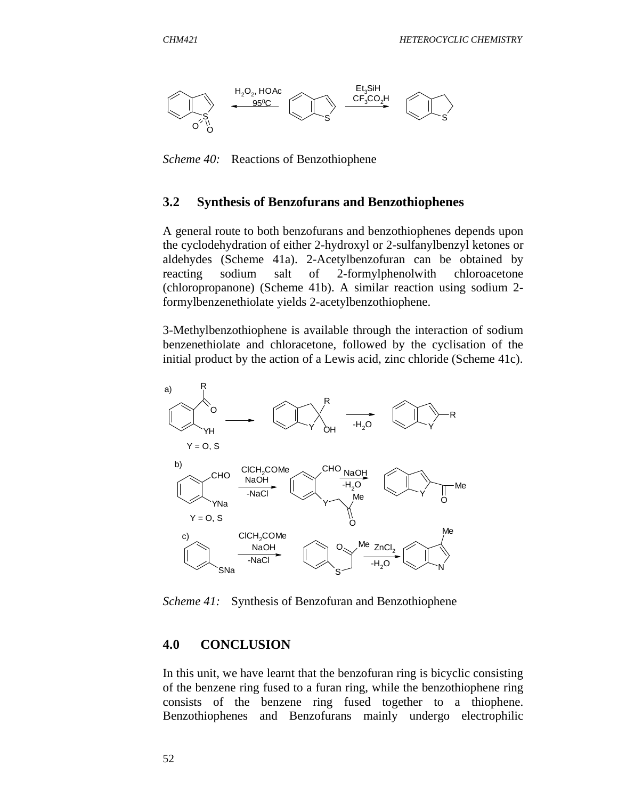

*Scheme 40:* Reactions of Benzothiophene

### **3.2 Synthesis of Benzofurans and Benzothiophenes**

A general route to both benzofurans and benzothiophenes depends upon the cyclodehydration of either 2-hydroxyl or 2-sulfanylbenzyl ketones or aldehydes (Scheme 41a). 2-Acetylbenzofuran can be obtained by reacting sodium salt of 2-formylphenolwith chloroacetone (chloropropanone) (Scheme 41b). A similar reaction using sodium 2 formylbenzenethiolate yields 2-acetylbenzothiophene.

3-Methylbenzothiophene is available through the interaction of sodium benzenethiolate and chloracetone, followed by the cyclisation of the initial product by the action of a Lewis acid, zinc chloride (Scheme 41c).



*Scheme 41:* Synthesis of Benzofuran and Benzothiophene

#### **4.0 CONCLUSION**

In this unit, we have learnt that the benzofuran ring is bicyclic consisting of the benzene ring fused to a furan ring, while the benzothiophene ring consists of the benzene ring fused together to a thiophene. Benzothiophenes and Benzofurans mainly undergo electrophilic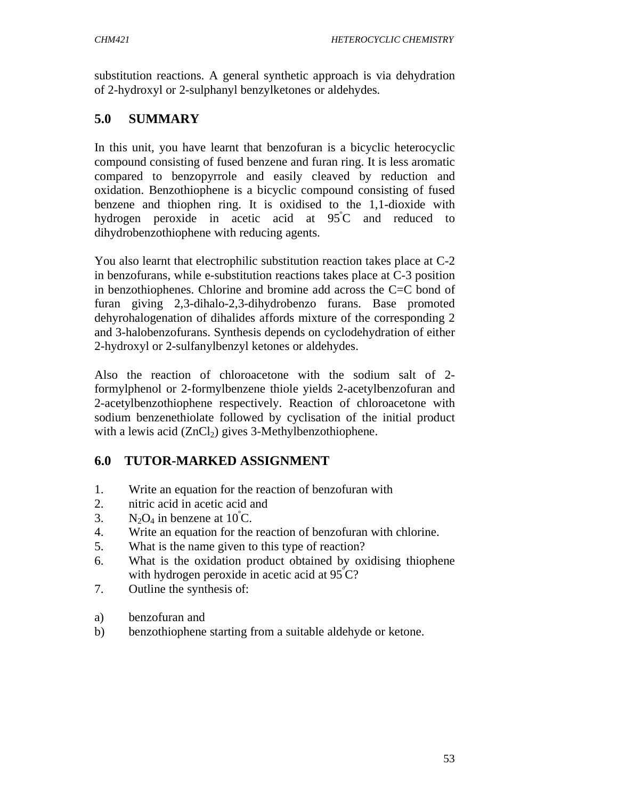substitution reactions. A general synthetic approach is via dehydration of 2-hydroxyl or 2-sulphanyl benzylketones or aldehydes.

# **5.0 SUMMARY**

In this unit, you have learnt that benzofuran is a bicyclic heterocyclic compound consisting of fused benzene and furan ring. It is less aromatic compared to benzopyrrole and easily cleaved by reduction and oxidation. Benzothiophene is a bicyclic compound consisting of fused benzene and thiophen ring. It is oxidised to the 1,1-dioxide with hydrogen peroxide in acetic acid at  $95^{\circ}$ C and reduced to dihydrobenzothiophene with reducing agents.

You also learnt that electrophilic substitution reaction takes place at C-2 in benzofurans, while e-substitution reactions takes place at C-3 position in benzothiophenes. Chlorine and bromine add across the C=C bond of furan giving 2,3-dihalo-2,3-dihydrobenzo furans. Base promoted dehyrohalogenation of dihalides affords mixture of the corresponding 2 and 3-halobenzofurans. Synthesis depends on cyclodehydration of either 2-hydroxyl or 2-sulfanylbenzyl ketones or aldehydes.

Also the reaction of chloroacetone with the sodium salt of 2 formylphenol or 2-formylbenzene thiole yields 2-acetylbenzofuran and 2-acetylbenzothiophene respectively. Reaction of chloroacetone with sodium benzenethiolate followed by cyclisation of the initial product with a lewis acid  $(ZnCl<sub>2</sub>)$  gives 3-Methylbenzothiophene.

# **6.0 TUTOR-MARKED ASSIGNMENT**

- 1. Write an equation for the reaction of benzofuran with
- 2. nitric acid in acetic acid and
- 3.  $N_2O_4$  in benzene at 10°C.
- 4. Write an equation for the reaction of benzofuran with chlorine.
- 5. What is the name given to this type of reaction?
- 6. What is the oxidation product obtained by oxidising thiophene with hydrogen peroxide in acetic acid at  $95^{\circ}$ C?
- 7. Outline the synthesis of:
- a) benzofuran and
- b) benzothiophene starting from a suitable aldehyde or ketone.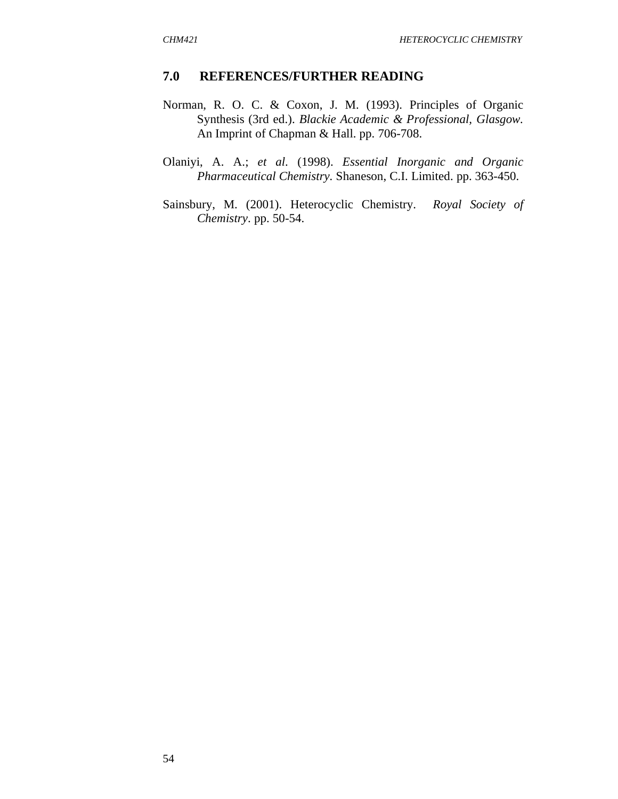#### **7.0 REFERENCES/FURTHER READING**

- Norman, R. O. C. & Coxon, J. M. (1993). Principles of Organic Synthesis (3rd ed.). *Blackie Academic & Professional, Glasgow.* An Imprint of Chapman & Hall. pp. 706-708.
- Olaniyi, A. A.; *et al*. (1998). *Essential Inorganic and Organic Pharmaceutical Chemistry.* Shaneson, C.I. Limited. pp. 363-450.
- Sainsbury, M. (2001). Heterocyclic Chemistry. *Royal Society of Chemistry*. pp. 50-54.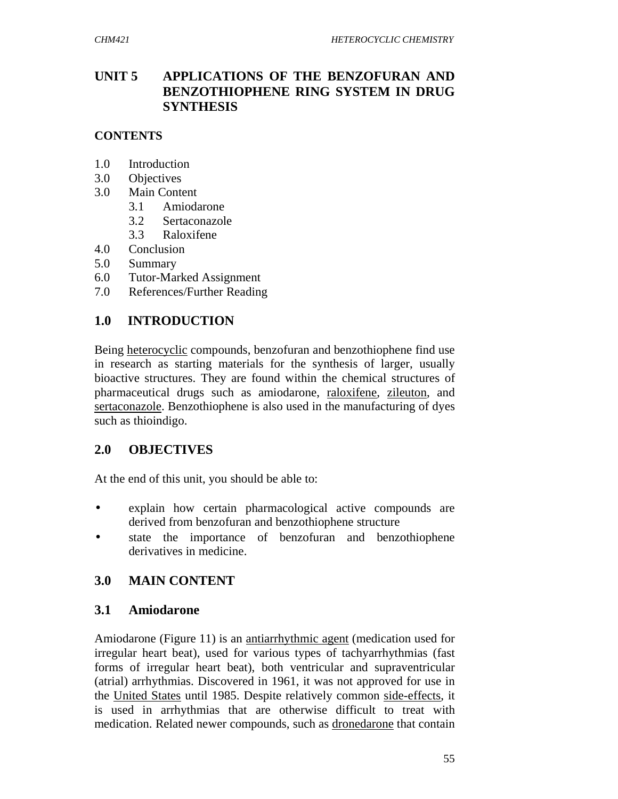## **UNIT 5 APPLICATIONS OF THE BENZOFURAN AND BENZOTHIOPHENE RING SYSTEM IN DRUG SYNTHESIS**

## **CONTENTS**

- 1.0 Introduction
- 3.0 Objectives
- 3.0 Main Content
	- 3.1 Amiodarone
	- 3.2 Sertaconazole
	- 3.3 Raloxifene
- 4.0 Conclusion
- 5.0 Summary
- 6.0 Tutor-Marked Assignment
- 7.0 References/Further Reading

## **1.0 INTRODUCTION**

Being heterocyclic compounds, benzofuran and benzothiophene find use in research as starting materials for the synthesis of larger, usually bioactive structures. They are found within the chemical structures of pharmaceutical drugs such as amiodarone, raloxifene, zileuton, and sertaconazole. Benzothiophene is also used in the manufacturing of dyes such as thioindigo.

## **2.0 OBJECTIVES**

At the end of this unit, you should be able to:

- explain how certain pharmacological active compounds are derived from benzofuran and benzothiophene structure
- state the importance of benzofuran and benzothiophene derivatives in medicine.

# **3.0 MAIN CONTENT**

## **3.1 Amiodarone**

Amiodarone (Figure 11) is an antiarrhythmic agent (medication used for irregular heart beat), used for various types of tachyarrhythmias (fast forms of irregular heart beat), both ventricular and supraventricular (atrial) arrhythmias. Discovered in 1961, it was not approved for use in the United States until 1985. Despite relatively common side-effects, it is used in arrhythmias that are otherwise difficult to treat with medication. Related newer compounds, such as dronedarone that contain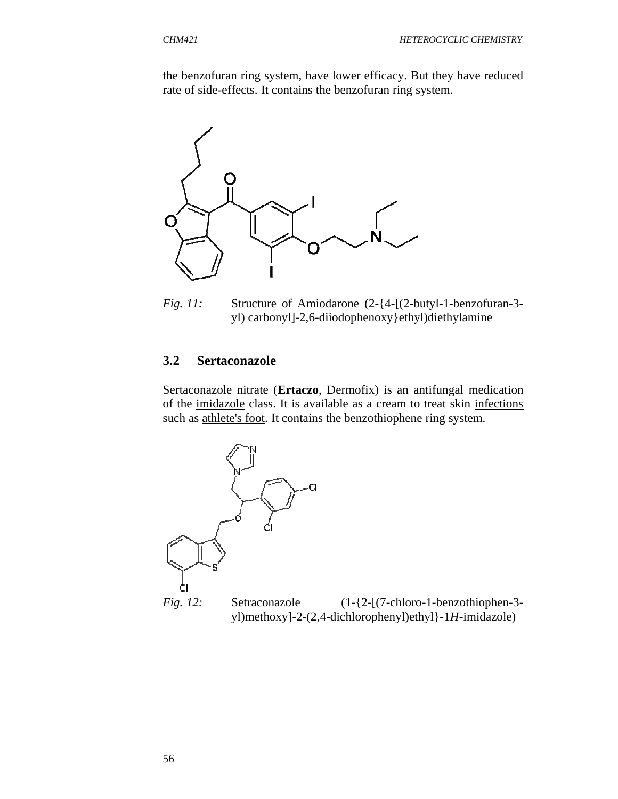the benzofuran ring system, have lower efficacy. But they have reduced rate of side-effects. It contains the benzofuran ring system.



*Fig. 11:* Structure of Amiodarone (2-{4-[(2-butyl-1-benzofuran-3 yl) carbonyl]-2,6-diiodophenoxy}ethyl)diethylamine

#### **3.2 Sertaconazole**

Sertaconazole nitrate (**Ertaczo**, Dermofix) is an antifungal medication of the imidazole class. It is available as a cream to treat skin infections such as athlete's foot. It contains the benzothiophene ring system.



*Fig. 12:* Setraconazole (1-{2-[(7-chloro-1-benzothiophen-3 yl)methoxy]-2-(2,4-dichlorophenyl)ethyl}-1*H*-imidazole)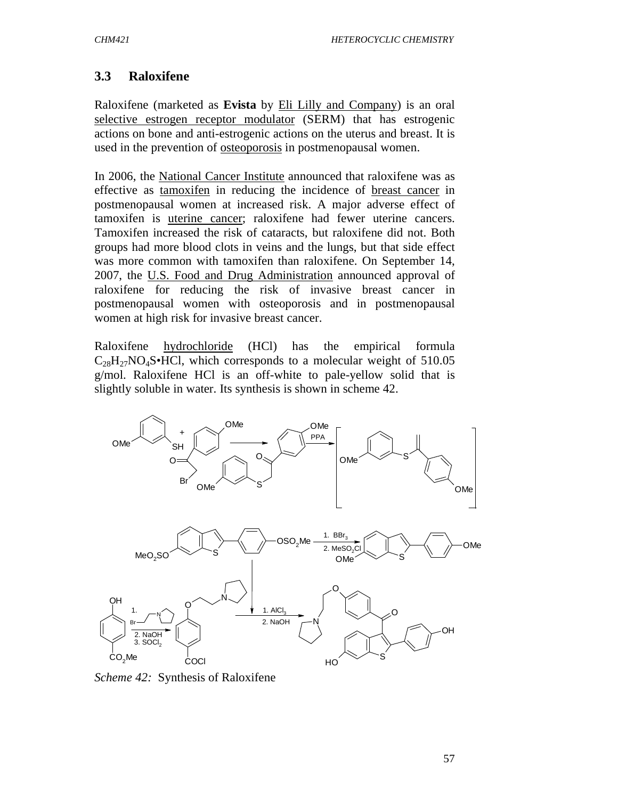# **3.3 Raloxifene**

Raloxifene (marketed as **Evista** by Eli Lilly and Company) is an oral selective estrogen receptor modulator (SERM) that has estrogenic actions on bone and anti-estrogenic actions on the uterus and breast. It is used in the prevention of osteoporosis in postmenopausal women.

In 2006, the National Cancer Institute announced that raloxifene was as effective as tamoxifen in reducing the incidence of breast cancer in postmenopausal women at increased risk. A major adverse effect of tamoxifen is uterine cancer; raloxifene had fewer uterine cancers. Tamoxifen increased the risk of cataracts, but raloxifene did not. Both groups had more blood clots in veins and the lungs, but that side effect was more common with tamoxifen than raloxifene. On September 14, 2007, the U.S. Food and Drug Administration announced approval of raloxifene for reducing the risk of invasive breast cancer in postmenopausal women with osteoporosis and in postmenopausal women at high risk for invasive breast cancer.

Raloxifene hydrochloride (HCl) has the empirical formula  $C_{28}H_{27}NO_4S \cdot HCl$ , which corresponds to a molecular weight of 510.05 g/mol. Raloxifene HCl is an off-white to pale-yellow solid that is slightly soluble in water. Its synthesis is shown in scheme 42.



*Scheme 42:* Synthesis of Raloxifene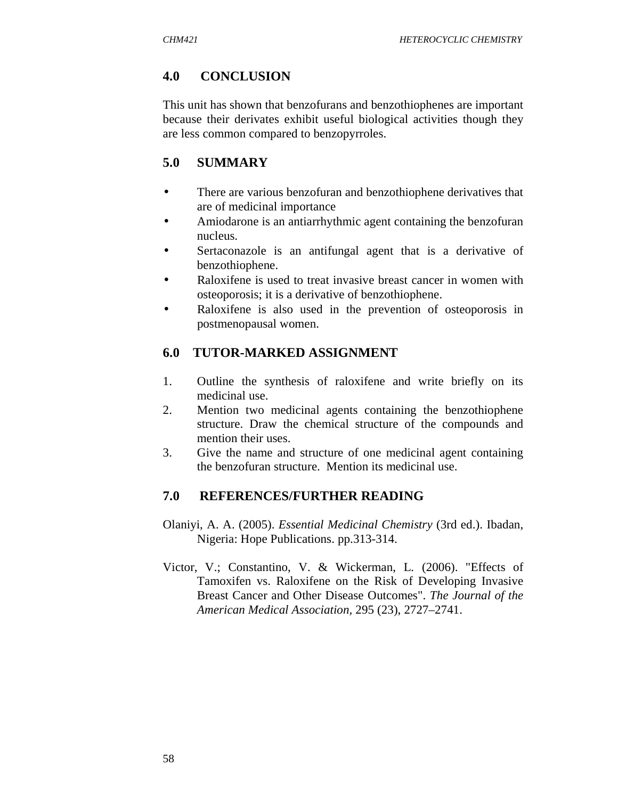# **4.0 CONCLUSION**

This unit has shown that benzofurans and benzothiophenes are important because their derivates exhibit useful biological activities though they are less common compared to benzopyrroles.

# **5.0 SUMMARY**

- There are various benzofuran and benzothiophene derivatives that are of medicinal importance
- Amiodarone is an antiarrhythmic agent containing the benzofuran nucleus.
- Sertaconazole is an antifungal agent that is a derivative of benzothiophene.
- Raloxifene is used to treat invasive breast cancer in women with osteoporosis; it is a derivative of benzothiophene.
- Raloxifene is also used in the prevention of osteoporosis in postmenopausal women.

# **6.0 TUTOR-MARKED ASSIGNMENT**

- 1. Outline the synthesis of raloxifene and write briefly on its medicinal use.
- 2. Mention two medicinal agents containing the benzothiophene structure. Draw the chemical structure of the compounds and mention their uses.
- 3. Give the name and structure of one medicinal agent containing the benzofuran structure. Mention its medicinal use.

# **7.0 REFERENCES/FURTHER READING**

- Olaniyi, A. A. (2005). *Essential Medicinal Chemistry* (3rd ed.). Ibadan, Nigeria: Hope Publications. pp.313-314.
- Victor, V.; Constantino, V. & Wickerman, L*.* (2006). "Effects of Tamoxifen vs. Raloxifene on the Risk of Developing Invasive Breast Cancer and Other Disease Outcomes". *The Journal of the American Medical Association,* 295 (23), 2727–2741.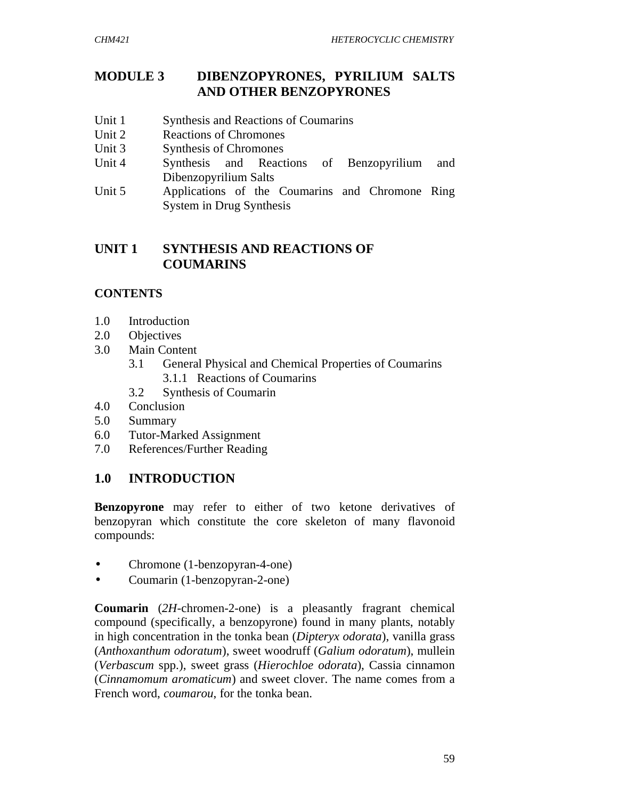# **MODULE 3 DIBENZOPYRONES, PYRILIUM SALTS AND OTHER BENZOPYRONES**

- Unit 1 Synthesis and Reactions of Coumarins
- Unit 2 Reactions of Chromones
- Unit 3 Synthesis of Chromones
- Unit 4 Synthesis and Reactions of Benzopyrilium and Dibenzopyrilium Salts
- Unit 5 Applications of the Coumarins and Chromone Ring System in Drug Synthesis

# **UNIT 1 SYNTHESIS AND REACTIONS OF COUMARINS**

### **CONTENTS**

- 1.0 Introduction
- 2.0 Objectives
- 3.0 Main Content
	- 3.1 General Physical and Chemical Properties of Coumarins 3.1.1 Reactions of Coumarins
	- 3.2 Synthesis of Coumarin
- 4.0 Conclusion
- 5.0 Summary
- 6.0 Tutor-Marked Assignment
- 7.0 References/Further Reading

# **1.0 INTRODUCTION**

**Benzopyrone** may refer to either of two ketone derivatives of benzopyran which constitute the core skeleton of many flavonoid compounds:

- Chromone (1-benzopyran-4-one)
- Coumarin (1-benzopyran-2-one)

**Coumarin** (*2H*-chromen-2-one) is a pleasantly fragrant chemical compound (specifically, a benzopyrone) found in many plants, notably in high concentration in the tonka bean (*Dipteryx odorata*), vanilla grass (*Anthoxanthum odoratum*), sweet woodruff (*Galium odoratum*), mullein (*Verbascum* spp.), sweet grass (*Hierochloe odorata*), Cassia cinnamon (*Cinnamomum aromaticum*) and sweet clover. The name comes from a French word, *coumarou*, for the tonka bean.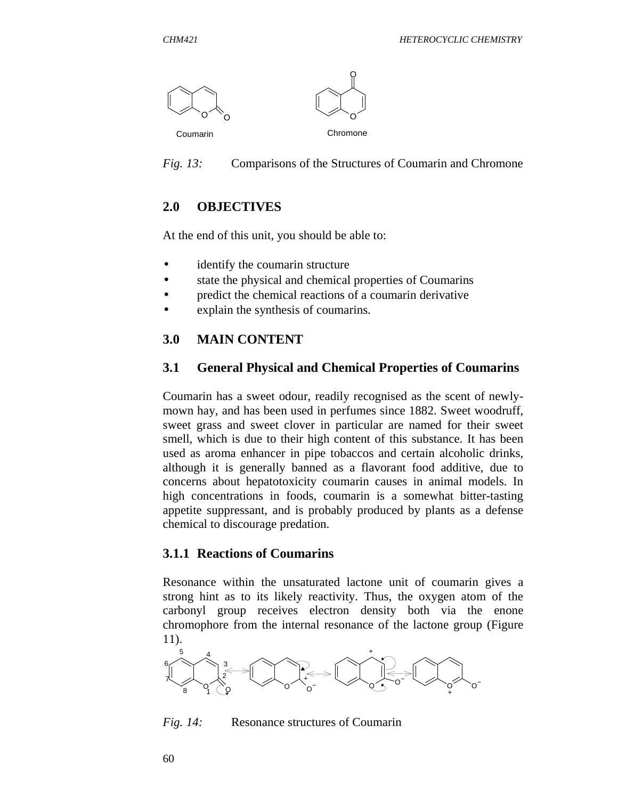

*Fig. 13:* Comparisons of the Structures of Coumarin and Chromone

# **2.0 OBJECTIVES**

At the end of this unit, you should be able to:

- identify the coumarin structure
- state the physical and chemical properties of Coumarins
- predict the chemical reactions of a coumarin derivative
- explain the synthesis of coumarins.

# **3.0 MAIN CONTENT**

### **3.1 General Physical and Chemical Properties of Coumarins**

Coumarin has a sweet odour, readily recognised as the scent of newlymown hay, and has been used in perfumes since 1882. Sweet woodruff, sweet grass and sweet clover in particular are named for their sweet smell, which is due to their high content of this substance. It has been used as aroma enhancer in pipe tobaccos and certain alcoholic drinks, although it is generally banned as a flavorant food additive, due to concerns about hepatotoxicity coumarin causes in animal models. In high concentrations in foods, coumarin is a somewhat bitter-tasting appetite suppressant, and is probably produced by plants as a defense chemical to discourage predation.

### **3.1.1 Reactions of Coumarins**

Resonance within the unsaturated lactone unit of coumarin gives a strong hint as to its likely reactivity. Thus, the oxygen atom of the carbonyl group receives electron density both via the enone chromophore from the internal resonance of the lactone group (Figure 11).



*Fig. 14:* Resonance structures of Coumarin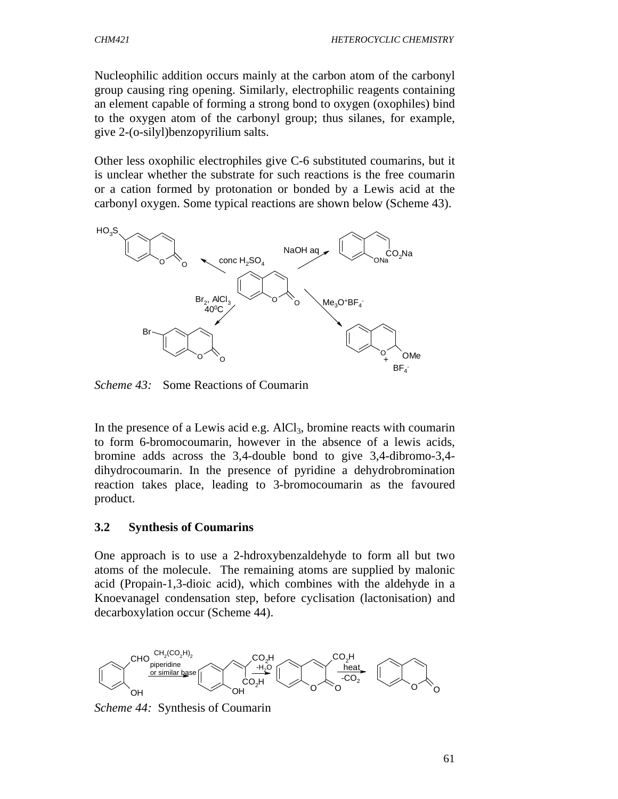Nucleophilic addition occurs mainly at the carbon atom of the carbonyl group causing ring opening. Similarly, electrophilic reagents containing an element capable of forming a strong bond to oxygen (oxophiles) bind to the oxygen atom of the carbonyl group; thus silanes, for example, give 2-(o-silyl)benzopyrilium salts.

Other less oxophilic electrophiles give C-6 substituted coumarins, but it is unclear whether the substrate for such reactions is the free coumarin or a cation formed by protonation or bonded by a Lewis acid at the carbonyl oxygen. Some typical reactions are shown below (Scheme 43).



*Scheme 43:* Some Reactions of Coumarin

In the presence of a Lewis acid e.g.  $AICI_3$ , bromine reacts with coumarin to form 6-bromocoumarin, however in the absence of a lewis acids, bromine adds across the 3,4-double bond to give 3,4-dibromo-3,4 dihydrocoumarin. In the presence of pyridine a dehydrobromination reaction takes place, leading to 3-bromocoumarin as the favoured product.

#### **3.2 Synthesis of Coumarins**

One approach is to use a 2-hdroxybenzaldehyde to form all but two atoms of the molecule. The remaining atoms are supplied by malonic acid (Propain-1,3-dioic acid), which combines with the aldehyde in a Knoevanagel condensation step, before cyclisation (lactonisation) and decarboxylation occur (Scheme 44).



*Scheme 44:* Synthesis of Coumarin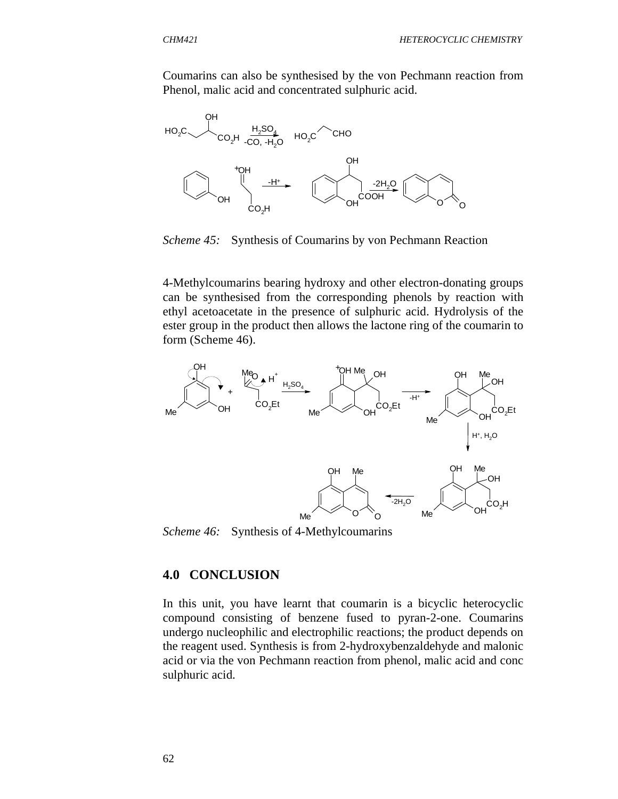Coumarins can also be synthesised by the von Pechmann reaction from Phenol, malic acid and concentrated sulphuric acid.



*Scheme 45:* Synthesis of Coumarins by von Pechmann Reaction

4-Methylcoumarins bearing hydroxy and other electron-donating groups can be synthesised from the corresponding phenols by reaction with ethyl acetoacetate in the presence of sulphuric acid. Hydrolysis of the ester group in the product then allows the lactone ring of the coumarin to form (Scheme 46).



*Scheme 46:* Synthesis of 4-Methylcoumarins

#### **4.0 CONCLUSION**

In this unit, you have learnt that coumarin is a bicyclic heterocyclic compound consisting of benzene fused to pyran-2-one. Coumarins undergo nucleophilic and electrophilic reactions; the product depends on the reagent used. Synthesis is from 2-hydroxybenzaldehyde and malonic acid or via the von Pechmann reaction from phenol, malic acid and conc sulphuric acid.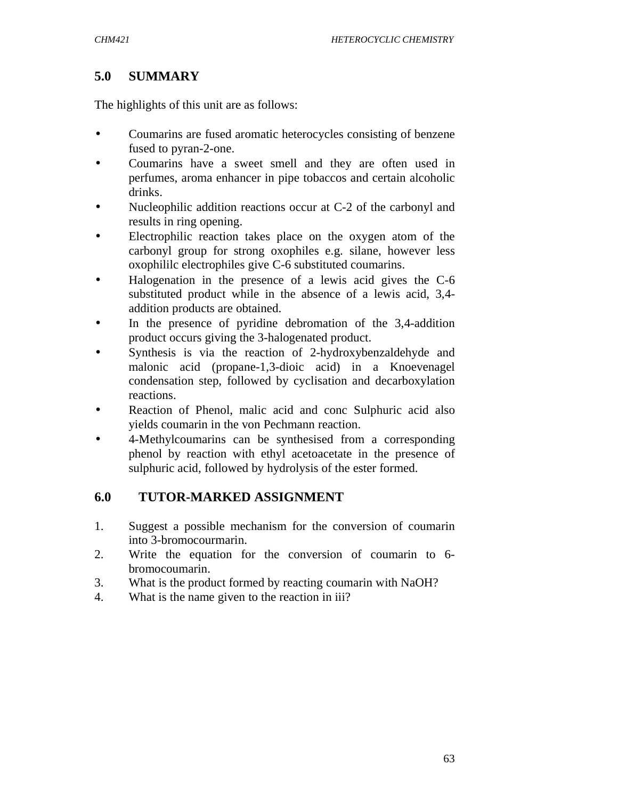# **5.0 SUMMARY**

The highlights of this unit are as follows:

- Coumarins are fused aromatic heterocycles consisting of benzene fused to pyran-2-one.
- Coumarins have a sweet smell and they are often used in perfumes, aroma enhancer in pipe tobaccos and certain alcoholic drinks.
- Nucleophilic addition reactions occur at C-2 of the carbonyl and results in ring opening.
- Electrophilic reaction takes place on the oxygen atom of the carbonyl group for strong oxophiles e.g. silane, however less oxophililc electrophiles give C-6 substituted coumarins.
- Halogenation in the presence of a lewis acid gives the C-6 substituted product while in the absence of a lewis acid, 3,4 addition products are obtained.
- In the presence of pyridine debromation of the 3,4-addition product occurs giving the 3-halogenated product.
- Synthesis is via the reaction of 2-hydroxybenzaldehyde and malonic acid (propane-1,3-dioic acid) in a Knoevenagel condensation step, followed by cyclisation and decarboxylation reactions.
- Reaction of Phenol, malic acid and conc Sulphuric acid also yields coumarin in the von Pechmann reaction.
- 4-Methylcoumarins can be synthesised from a corresponding phenol by reaction with ethyl acetoacetate in the presence of sulphuric acid, followed by hydrolysis of the ester formed.

# **6.0 TUTOR-MARKED ASSIGNMENT**

- 1. Suggest a possible mechanism for the conversion of coumarin into 3-bromocourmarin.
- 2. Write the equation for the conversion of coumarin to 6 bromocoumarin.
- 3. What is the product formed by reacting coumarin with NaOH?
- 4. What is the name given to the reaction in iii?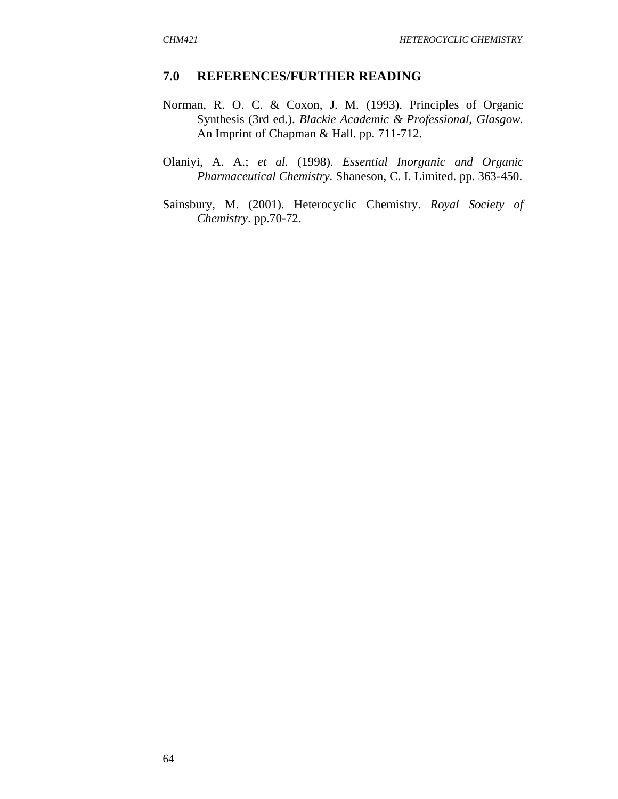#### **7.0 REFERENCES/FURTHER READING**

- Norman, R. O. C. & Coxon, J. M. (1993). Principles of Organic Synthesis (3rd ed.). *Blackie Academic & Professional, Glasgow.* An Imprint of Chapman & Hall. pp. 711-712.
- Olaniyi, A. A.; *et al.* (1998). *Essential Inorganic and Organic Pharmaceutical Chemistry.* Shaneson, C. I. Limited. pp. 363-450.
- Sainsbury, M. (2001). Heterocyclic Chemistry. *Royal Society of Chemistry*. pp.70-72.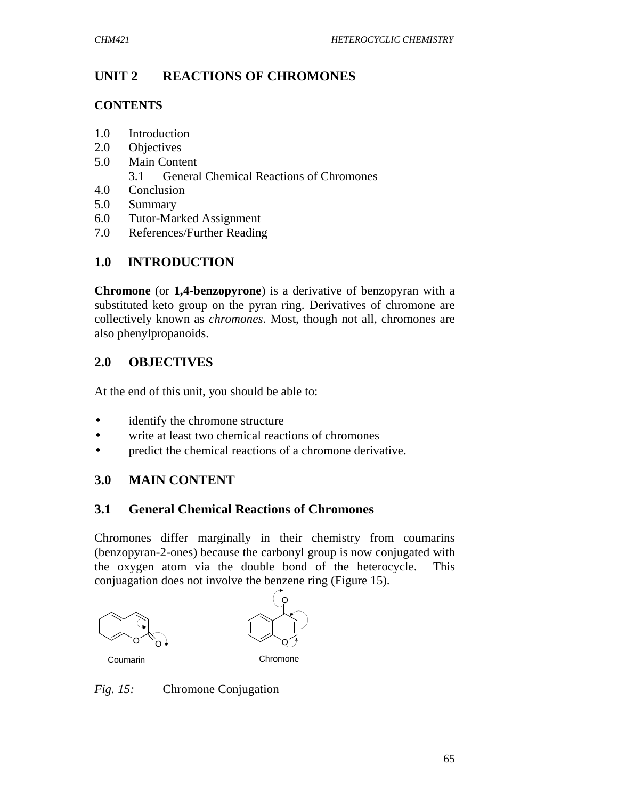# **UNIT 2 REACTIONS OF CHROMONES**

### **CONTENTS**

- 1.0 Introduction
- 2.0 Objectives
- 5.0 Main Content
	- 3.1 General Chemical Reactions of Chromones
- 4.0 Conclusion
- 5.0 Summary
- 6.0 Tutor-Marked Assignment
- 7.0 References/Further Reading

# **1.0 INTRODUCTION**

**Chromone** (or **1,4-benzopyrone**) is a derivative of benzopyran with a substituted keto group on the pyran ring. Derivatives of chromone are collectively known as *chromones*. Most, though not all, chromones are also phenylpropanoids.

# **2.0 OBJECTIVES**

At the end of this unit, you should be able to:

- identify the chromone structure
- write at least two chemical reactions of chromones
- predict the chemical reactions of a chromone derivative.

# **3.0 MAIN CONTENT**

## **3.1 General Chemical Reactions of Chromones**

Chromones differ marginally in their chemistry from coumarins (benzopyran-2-ones) because the carbonyl group is now conjugated with the oxygen atom via the double bond of the heterocycle. This conjuagation does not involve the benzene ring (Figure 15).





Coumarin Chromone

*Fig. 15:* Chromone Conjugation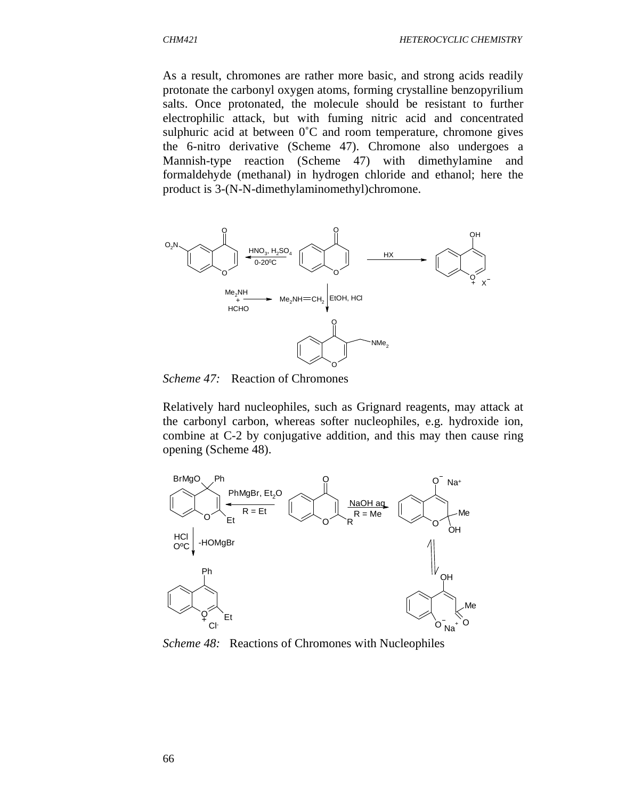As a result, chromones are rather more basic, and strong acids readily protonate the carbonyl oxygen atoms, forming crystalline benzopyrilium salts. Once protonated, the molecule should be resistant to further electrophilic attack, but with fuming nitric acid and concentrated sulphuric acid at between  $0^{\circ}$ C and room temperature, chromone gives the 6-nitro derivative (Scheme 47). Chromone also undergoes a Mannish-type reaction (Scheme 47) with dimethylamine and formaldehyde (methanal) in hydrogen chloride and ethanol; here the product is 3-(N-N-dimethylaminomethyl)chromone.



*Scheme 47:* Reaction of Chromones

Relatively hard nucleophiles, such as Grignard reagents, may attack at the carbonyl carbon, whereas softer nucleophiles, e.g. hydroxide ion, combine at C-2 by conjugative addition, and this may then cause ring opening (Scheme 48).



*Scheme 48:* Reactions of Chromones with Nucleophiles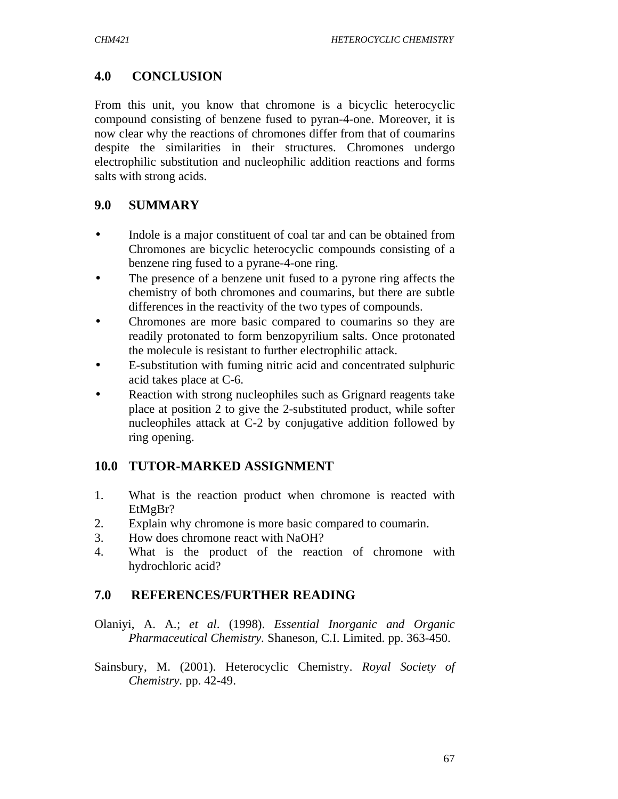# **4.0 CONCLUSION**

From this unit, you know that chromone is a bicyclic heterocyclic compound consisting of benzene fused to pyran-4-one. Moreover, it is now clear why the reactions of chromones differ from that of coumarins despite the similarities in their structures. Chromones undergo electrophilic substitution and nucleophilic addition reactions and forms salts with strong acids.

# **9.0 SUMMARY**

- Indole is a major constituent of coal tar and can be obtained from Chromones are bicyclic heterocyclic compounds consisting of a benzene ring fused to a pyrane-4-one ring.
- The presence of a benzene unit fused to a pyrone ring affects the chemistry of both chromones and coumarins, but there are subtle differences in the reactivity of the two types of compounds.
- Chromones are more basic compared to coumarins so they are readily protonated to form benzopyrilium salts. Once protonated the molecule is resistant to further electrophilic attack.
- E-substitution with fuming nitric acid and concentrated sulphuric acid takes place at C-6.
- Reaction with strong nucleophiles such as Grignard reagents take place at position 2 to give the 2-substituted product, while softer nucleophiles attack at C-2 by conjugative addition followed by ring opening.

## **10.0 TUTOR-MARKED ASSIGNMENT**

- 1. What is the reaction product when chromone is reacted with EtMgBr?
- 2. Explain why chromone is more basic compared to coumarin.
- 3. How does chromone react with NaOH?
- 4. What is the product of the reaction of chromone with hydrochloric acid?

## **7.0 REFERENCES/FURTHER READING**

Olaniyi, A. A.; *et al*. (1998). *Essential Inorganic and Organic Pharmaceutical Chemistry.* Shaneson, C.I. Limited. pp. 363-450.

Sainsbury, M. (2001). Heterocyclic Chemistry. *Royal Society of Chemistry.* pp. 42-49.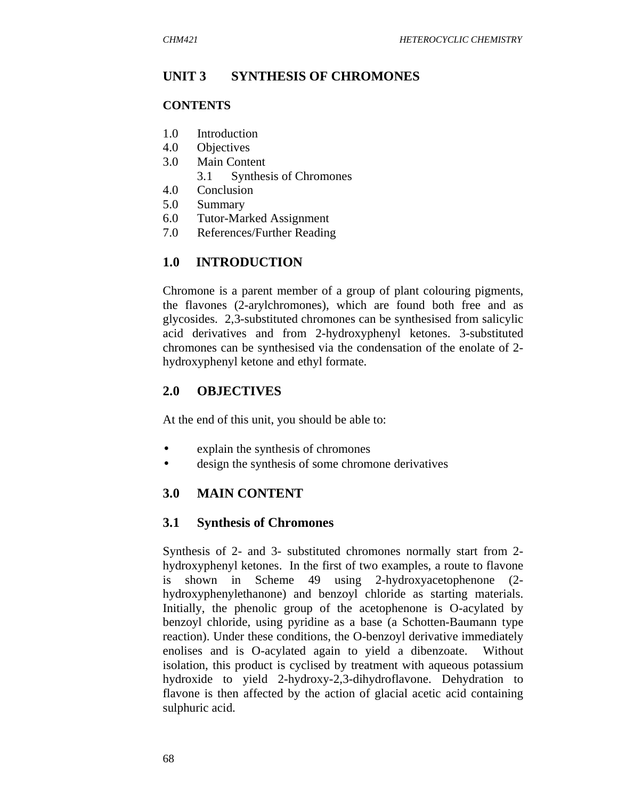#### **UNIT 3 SYNTHESIS OF CHROMONES**

#### **CONTENTS**

- 1.0 Introduction
- 4.0 Objectives
- 3.0 Main Content
	- 3.1 Synthesis of Chromones
- 4.0 Conclusion
- 5.0 Summary
- 6.0 Tutor-Marked Assignment
- 7.0 References/Further Reading

#### **1.0 INTRODUCTION**

Chromone is a parent member of a group of plant colouring pigments, the flavones (2-arylchromones), which are found both free and as glycosides. 2,3-substituted chromones can be synthesised from salicylic acid derivatives and from 2-hydroxyphenyl ketones. 3-substituted chromones can be synthesised via the condensation of the enolate of 2 hydroxyphenyl ketone and ethyl formate.

#### **2.0 OBJECTIVES**

At the end of this unit, you should be able to:

- explain the synthesis of chromones
- design the synthesis of some chromone derivatives

#### **3.0 MAIN CONTENT**

#### **3.1 Synthesis of Chromones**

Synthesis of 2- and 3- substituted chromones normally start from 2 hydroxyphenyl ketones. In the first of two examples, a route to flavone is shown in Scheme 49 using 2-hydroxyacetophenone (2 hydroxyphenylethanone) and benzoyl chloride as starting materials. Initially, the phenolic group of the acetophenone is O-acylated by benzoyl chloride, using pyridine as a base (a Schotten-Baumann type reaction). Under these conditions, the O-benzoyl derivative immediately enolises and is O-acylated again to yield a dibenzoate. Without isolation, this product is cyclised by treatment with aqueous potassium hydroxide to yield 2-hydroxy-2,3-dihydroflavone. Dehydration to flavone is then affected by the action of glacial acetic acid containing sulphuric acid.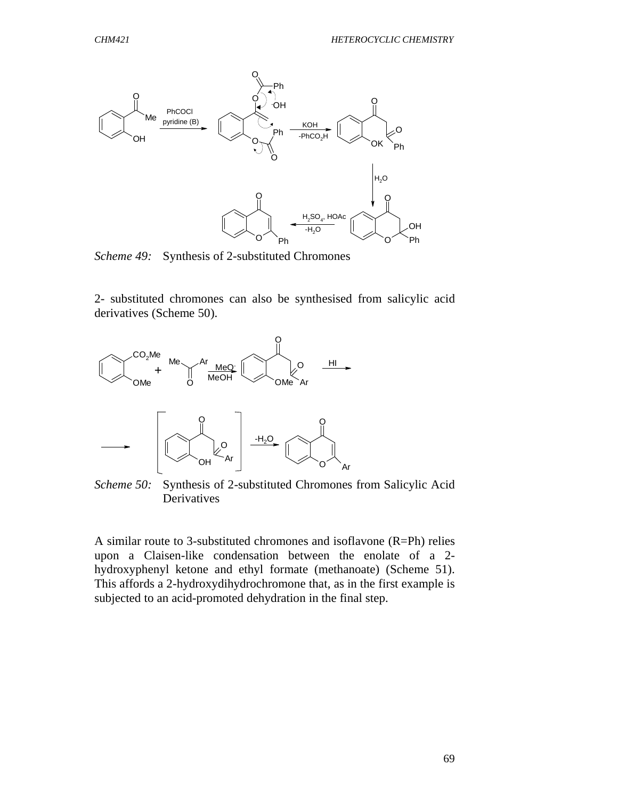

*Scheme 49:* Synthesis of 2-substituted Chromones

2- substituted chromones can also be synthesised from salicylic acid derivatives (Scheme 50).



*Scheme 50:* Synthesis of 2-substituted Chromones from Salicylic Acid Derivatives

A similar route to 3-substituted chromones and isoflavone (R=Ph) relies upon a Claisen-like condensation between the enolate of a 2 hydroxyphenyl ketone and ethyl formate (methanoate) (Scheme 51). This affords a 2-hydroxydihydrochromone that, as in the first example is subjected to an acid-promoted dehydration in the final step.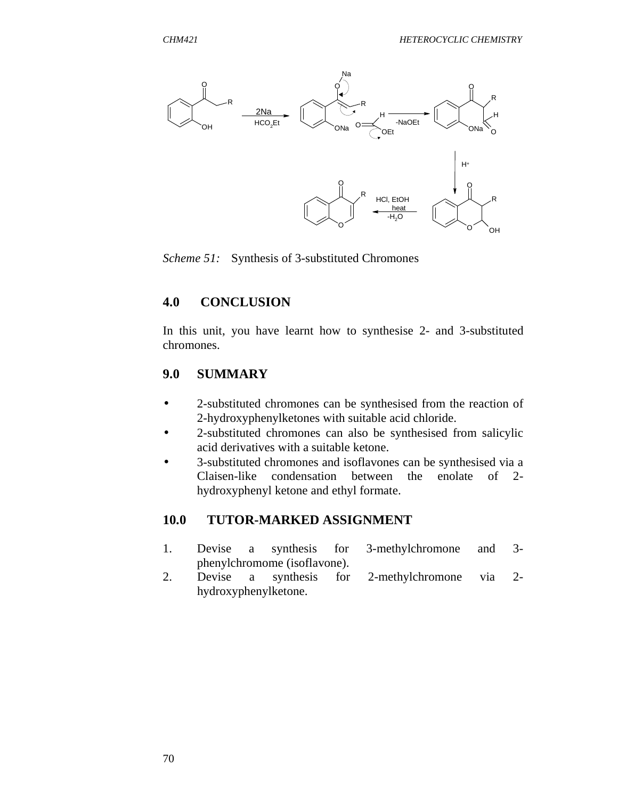

*Scheme 51:* Synthesis of 3-substituted Chromones

#### **4.0 CONCLUSION**

In this unit, you have learnt how to synthesise 2- and 3-substituted chromones.

#### **9.0 SUMMARY**

- 2-substituted chromones can be synthesised from the reaction of 2-hydroxyphenylketones with suitable acid chloride.
- 2-substituted chromones can also be synthesised from salicylic acid derivatives with a suitable ketone.
- 3-substituted chromones and isoflavones can be synthesised via a Claisen-like condensation between the enolate of 2 hydroxyphenyl ketone and ethyl formate.

#### **10.0 TUTOR-MARKED ASSIGNMENT**

- 1. Devise a synthesis for 3-methylchromone and 3 phenylchromome (isoflavone).
- 2. Devise a synthesis for 2-methylchromone via 2 hydroxyphenylketone.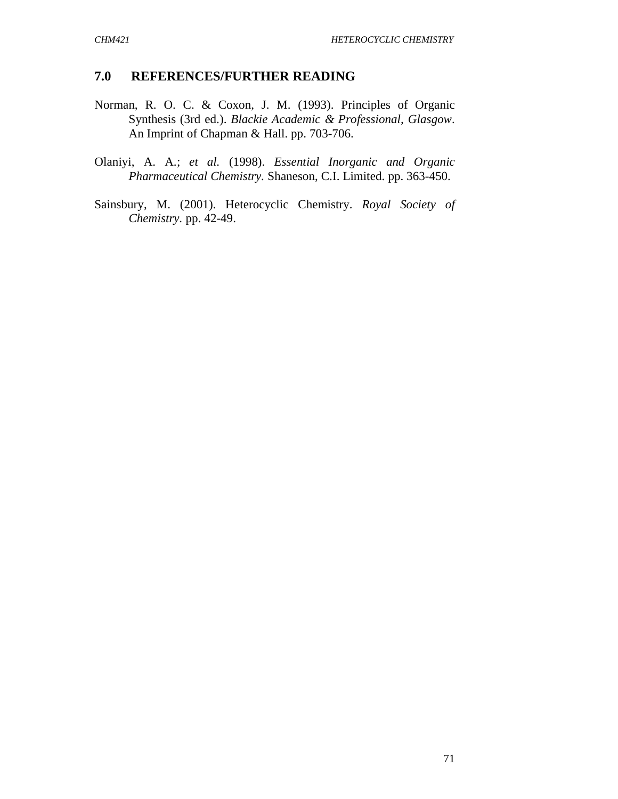### **7.0 REFERENCES/FURTHER READING**

- Norman, R. O. C. & Coxon, J. M. (1993). Principles of Organic Synthesis (3rd ed.). *Blackie Academic & Professional, Glasgow*. An Imprint of Chapman & Hall. pp. 703-706.
- Olaniyi, A. A.; *et al.* (1998). *Essential Inorganic and Organic Pharmaceutical Chemistry.* Shaneson, C.I. Limited. pp. 363-450.
- Sainsbury, M. (2001). Heterocyclic Chemistry. *Royal Society of Chemistry.* pp. 42-49.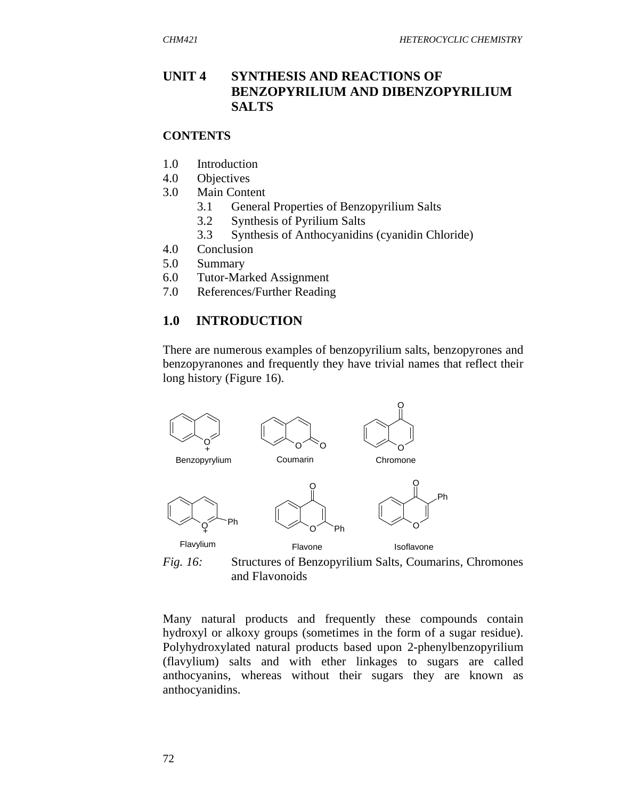### **UNIT 4 SYNTHESIS AND REACTIONS OF BENZOPYRILIUM AND DIBENZOPYRILIUM SALTS**

#### **CONTENTS**

- 1.0 Introduction
- 4.0 Objectives
- 3.0 Main Content
	- 3.1 General Properties of Benzopyrilium Salts
	- 3.2 Synthesis of Pyrilium Salts
	- 3.3 Synthesis of Anthocyanidins (cyanidin Chloride)
- 4.0 Conclusion
- 5.0 Summary
- 6.0 Tutor-Marked Assignment
- 7.0 References/Further Reading

#### **1.0 INTRODUCTION**

There are numerous examples of benzopyrilium salts, benzopyrones and benzopyranones and frequently they have trivial names that reflect their long history (Figure 16).



*Fig. 16:* Structures of Benzopyrilium Salts, Coumarins, Chromones and Flavonoids

Many natural products and frequently these compounds contain hydroxyl or alkoxy groups (sometimes in the form of a sugar residue). Polyhydroxylated natural products based upon 2-phenylbenzopyrilium (flavylium) salts and with ether linkages to sugars are called anthocyanins, whereas without their sugars they are known as anthocyanidins.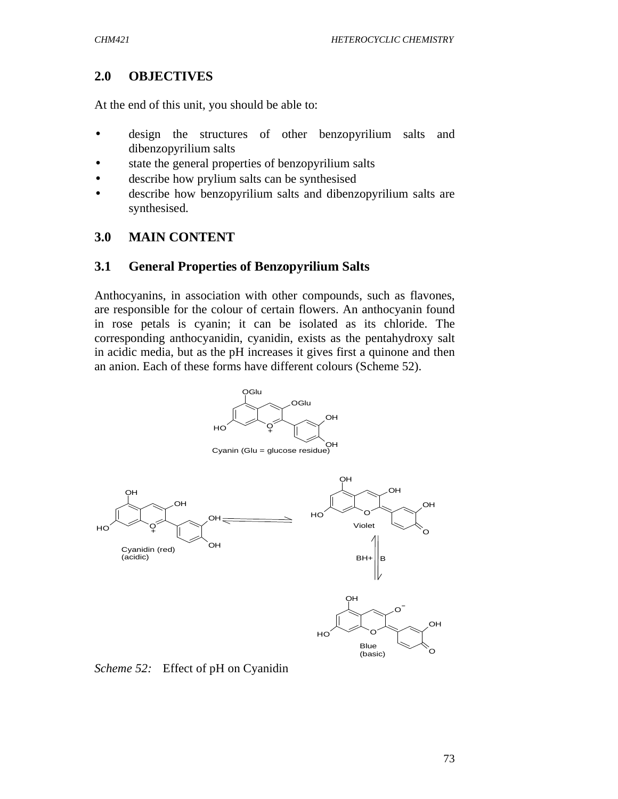# **2.0 OBJECTIVES**

At the end of this unit, you should be able to:

- design the structures of other benzopyrilium salts and dibenzopyrilium salts
- state the general properties of benzopyrilium salts
- describe how prylium salts can be synthesised
- describe how benzopyrilium salts and dibenzopyrilium salts are synthesised.

# **3.0 MAIN CONTENT**

## **3.1 General Properties of Benzopyrilium Salts**

Anthocyanins, in association with other compounds, such as flavones, are responsible for the colour of certain flowers. An anthocyanin found in rose petals is cyanin; it can be isolated as its chloride. The corresponding anthocyanidin, cyanidin, exists as the pentahydroxy salt in acidic media, but as the pH increases it gives first a quinone and then an anion. Each of these forms have different colours (Scheme 52).



*Scheme 52:* Effect of pH on Cyanidin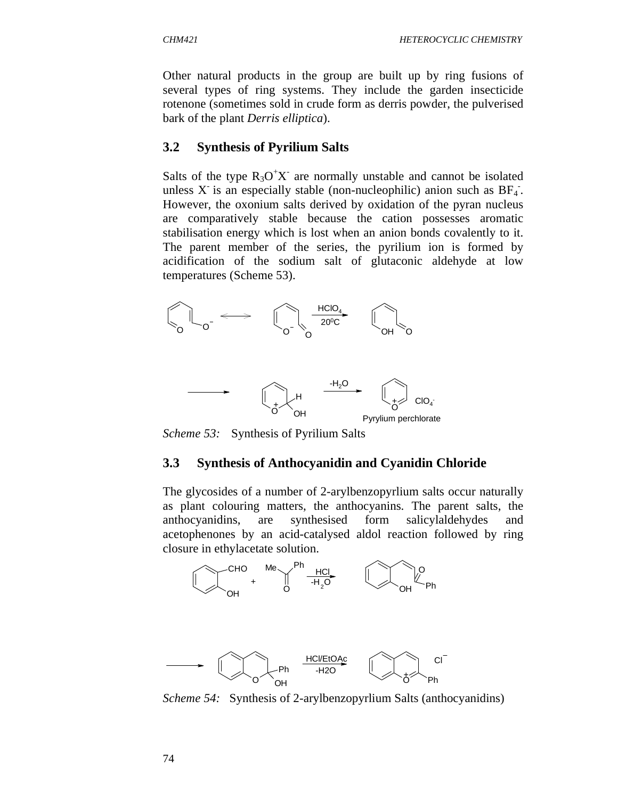Other natural products in the group are built up by ring fusions of several types of ring systems. They include the garden insecticide rotenone (sometimes sold in crude form as derris powder, the pulverised bark of the plant *Derris elliptica*).

### **3.2 Synthesis of Pyrilium Salts**

Salts of the type  $R_3O^+X$  are normally unstable and cannot be isolated unless X is an especially stable (non-nucleophilic) anion such as  $BF_4$ . However, the oxonium salts derived by oxidation of the pyran nucleus are comparatively stable because the cation possesses aromatic stabilisation energy which is lost when an anion bonds covalently to it. The parent member of the series, the pyrilium ion is formed by acidification of the sodium salt of glutaconic aldehyde at low temperatures (Scheme 53).



*Scheme 53:* Synthesis of Pyrilium Salts

### **3.3 Synthesis of Anthocyanidin and Cyanidin Chloride**

The glycosides of a number of 2-arylbenzopyrlium salts occur naturally as plant colouring matters, the anthocyanins. The parent salts, the anthocyanidins, are synthesised form salicylaldehydes and acetophenones by an acid-catalysed aldol reaction followed by ring closure in ethylacetate solution.



*Scheme 54:* Synthesis of 2-arylbenzopyrlium Salts (anthocyanidins)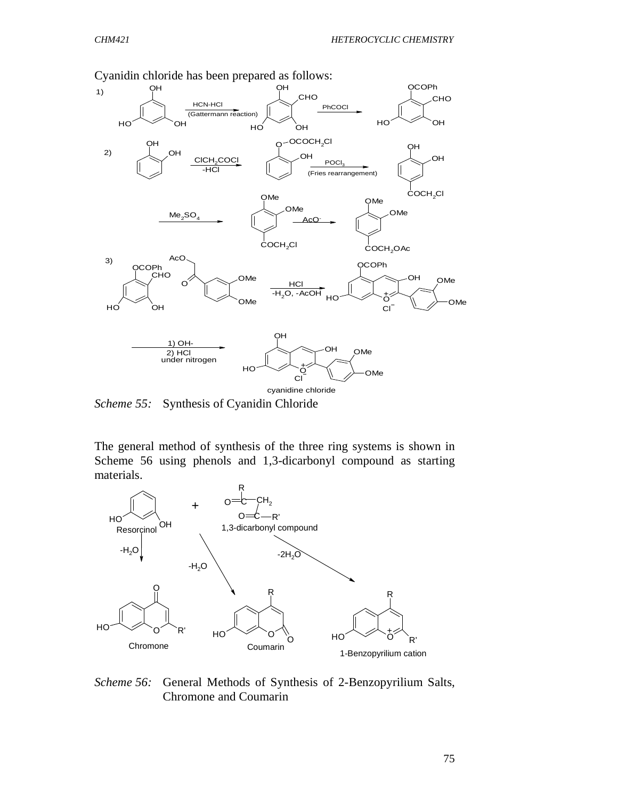

Cyanidin chloride has been prepared as follows:

*Scheme 55:* Synthesis of Cyanidin Chloride

The general method of synthesis of the three ring systems is shown in Scheme 56 using phenols and 1,3-dicarbonyl compound as starting materials.



#### *Scheme 56:* General Methods of Synthesis of 2-Benzopyrilium Salts, Chromone and Coumarin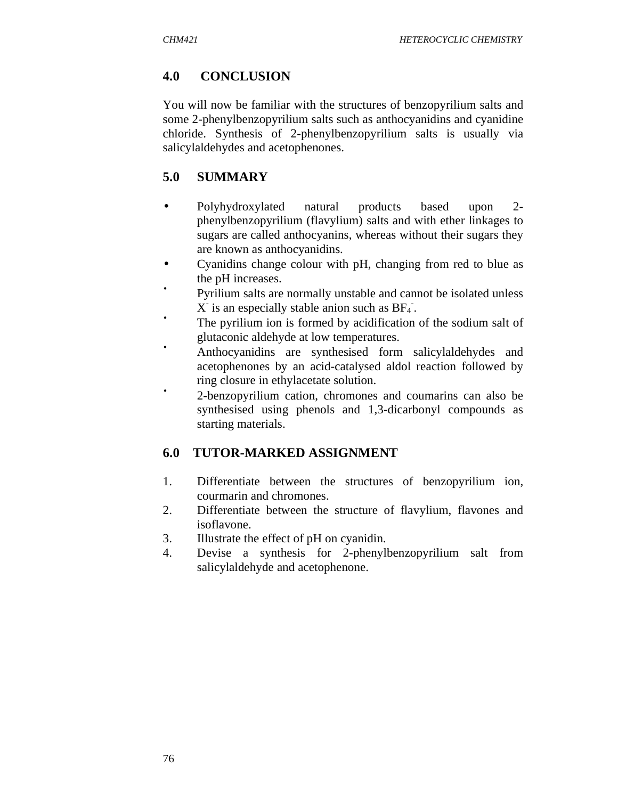# **4.0 CONCLUSION**

You will now be familiar with the structures of benzopyrilium salts and some 2-phenylbenzopyrilium salts such as anthocyanidins and cyanidine chloride. Synthesis of 2-phenylbenzopyrilium salts is usually via salicylaldehydes and acetophenones.

# **5.0 SUMMARY**

- Polyhydroxylated natural products based upon 2 phenylbenzopyrilium (flavylium) salts and with ether linkages to sugars are called anthocyanins, whereas without their sugars they are known as anthocyanidins.
- Cyanidins change colour with pH, changing from red to blue as the pH increases.
- Pyrilium salts are normally unstable and cannot be isolated unless  $X$  is an especially stable anion such as  $BF_4$ .
- The pyrilium ion is formed by acidification of the sodium salt of glutaconic aldehyde at low temperatures.
- Anthocyanidins are synthesised form salicylaldehydes and acetophenones by an acid-catalysed aldol reaction followed by ring closure in ethylacetate solution.
- 2-benzopyrilium cation, chromones and coumarins can also be synthesised using phenols and 1,3-dicarbonyl compounds as starting materials.

# **6.0 TUTOR-MARKED ASSIGNMENT**

- 1. Differentiate between the structures of benzopyrilium ion, courmarin and chromones.
- 2. Differentiate between the structure of flavylium, flavones and isoflavone.
- 3. Illustrate the effect of pH on cyanidin.
- 4. Devise a synthesis for 2-phenylbenzopyrilium salt from salicylaldehyde and acetophenone.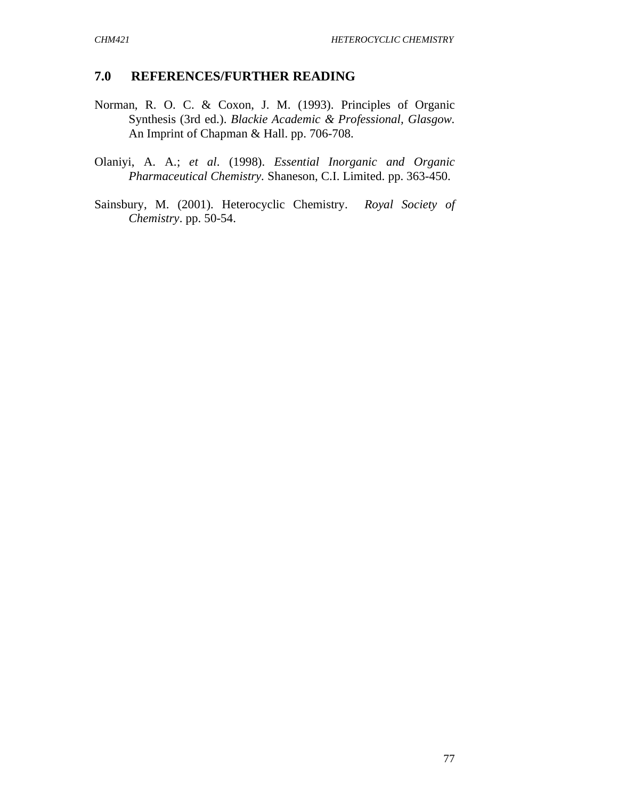### **7.0 REFERENCES/FURTHER READING**

- Norman, R. O. C. & Coxon, J. M. (1993). Principles of Organic Synthesis (3rd ed.). *Blackie Academic & Professional, Glasgow.* An Imprint of Chapman & Hall. pp. 706-708.
- Olaniyi, A. A.; *et al*. (1998). *Essential Inorganic and Organic Pharmaceutical Chemistry.* Shaneson, C.I. Limited. pp. 363-450.
- Sainsbury, M. (2001). Heterocyclic Chemistry. *Royal Society of Chemistry*. pp. 50-54.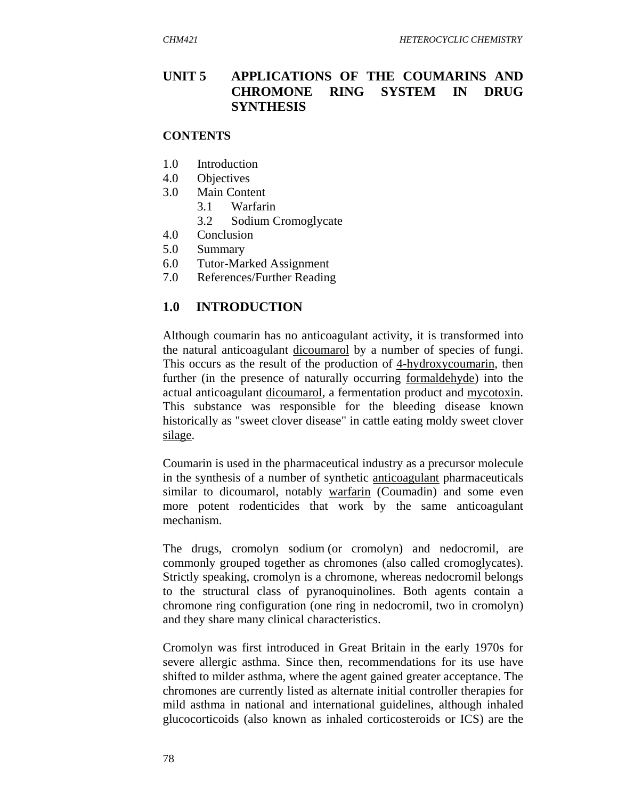# **UNIT 5 APPLICATIONS OF THE COUMARINS AND CHROMONE RING SYSTEM IN DRUG SYNTHESIS**

#### **CONTENTS**

- 1.0 Introduction
- 4.0 Objectives
- 3.0 Main Content
	- 3.1 Warfarin
	- 3.2 Sodium Cromoglycate
- 4.0 Conclusion
- 5.0 Summary
- 6.0 Tutor-Marked Assignment
- 7.0 References/Further Reading

## **1.0 INTRODUCTION**

Although coumarin has no anticoagulant activity, it is transformed into the natural anticoagulant dicoumarol by a number of species of fungi. This occurs as the result of the production of 4-hydroxycoumarin, then further (in the presence of naturally occurring formaldehyde) into the actual anticoagulant dicoumarol, a fermentation product and mycotoxin. This substance was responsible for the bleeding disease known historically as "sweet clover disease" in cattle eating moldy sweet clover silage.

Coumarin is used in the pharmaceutical industry as a precursor molecule in the synthesis of a number of synthetic anticoagulant pharmaceuticals similar to dicoumarol, notably warfarin (Coumadin) and some even more potent rodenticides that work by the same anticoagulant mechanism.

The drugs, cromolyn sodium (or cromolyn) and nedocromil, are commonly grouped together as chromones (also called cromoglycates). Strictly speaking, cromolyn is a chromone, whereas nedocromil belongs to the structural class of pyranoquinolines. Both agents contain a chromone ring configuration (one ring in nedocromil, two in cromolyn) and they share many clinical characteristics.

Cromolyn was first introduced in Great Britain in the early 1970s for severe allergic asthma. Since then, recommendations for its use have shifted to milder asthma, where the agent gained greater acceptance. The chromones are currently listed as alternate initial controller therapies for mild asthma in national and international guidelines, although inhaled glucocorticoids (also known as inhaled corticosteroids or ICS) are the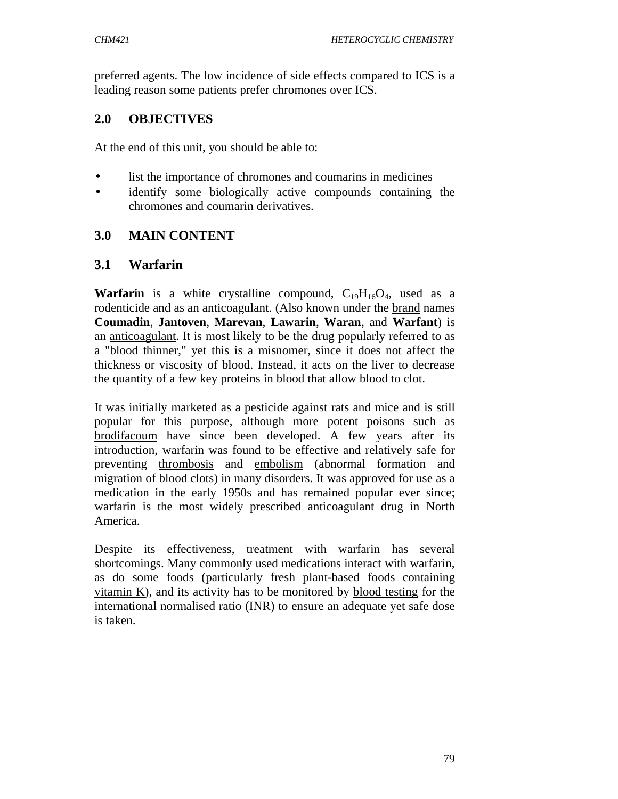preferred agents. The low incidence of side effects compared to ICS is a leading reason some patients prefer chromones over ICS.

# **2.0 OBJECTIVES**

At the end of this unit, you should be able to:

- list the importance of chromones and coumarins in medicines
- identify some biologically active compounds containing the chromones and coumarin derivatives.

# **3.0 MAIN CONTENT**

## **3.1 Warfarin**

**Warfarin** is a white crystalline compound,  $C_{19}H_{16}O_4$ , used as a rodenticide and as an anticoagulant. (Also known under the brand names **Coumadin**, **Jantoven**, **Marevan**, **Lawarin**, **Waran**, and **Warfant**) is an anticoagulant. It is most likely to be the drug popularly referred to as a "blood thinner," yet this is a misnomer, since it does not affect the thickness or viscosity of blood. Instead, it acts on the liver to decrease the quantity of a few key proteins in blood that allow blood to clot.

It was initially marketed as a pesticide against rats and mice and is still popular for this purpose, although more potent poisons such as brodifacoum have since been developed. A few years after its introduction, warfarin was found to be effective and relatively safe for preventing thrombosis and embolism (abnormal formation and migration of blood clots) in many disorders. It was approved for use as a medication in the early 1950s and has remained popular ever since; warfarin is the most widely prescribed anticoagulant drug in North America.

Despite its effectiveness, treatment with warfarin has several shortcomings. Many commonly used medications interact with warfarin, as do some foods (particularly fresh plant-based foods containing vitamin K), and its activity has to be monitored by blood testing for the international normalised ratio (INR) to ensure an adequate yet safe dose is taken.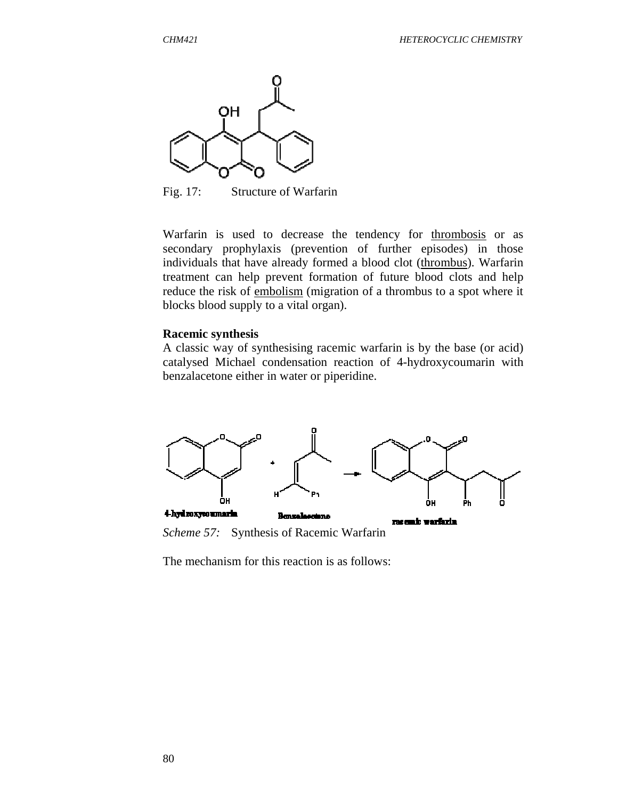

Fig. 17: Structure of Warfarin

Warfarin is used to decrease the tendency for thrombosis or as secondary prophylaxis (prevention of further episodes) in those individuals that have already formed a blood clot (thrombus). Warfarin treatment can help prevent formation of future blood clots and help reduce the risk of embolism (migration of a thrombus to a spot where it blocks blood supply to a vital organ).

#### **Racemic synthesis**

A classic way of synthesising racemic warfarin is by the base (or acid) catalysed Michael condensation reaction of 4-hydroxycoumarin with benzalacetone either in water or piperidine.



*Scheme 57:* Synthesis of Racemic Warfarin

The mechanism for this reaction is as follows: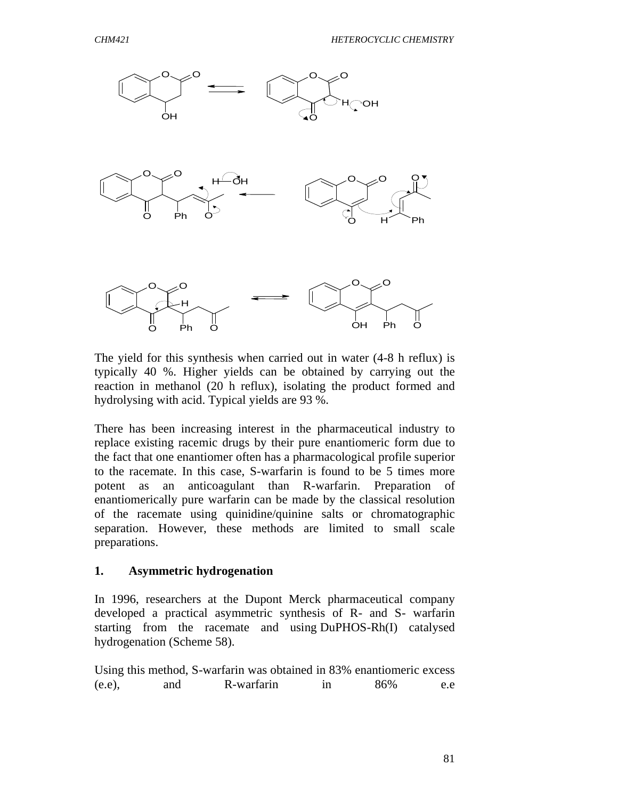

The yield for this synthesis when carried out in water (4-8 h reflux) is typically 40 %. Higher yields can be obtained by carrying out the reaction in methanol (20 h reflux), isolating the product formed and hydrolysing with acid. Typical yields are 93 %.

There has been increasing interest in the pharmaceutical industry to replace existing racemic drugs by their pure enantiomeric form due to the fact that one enantiomer often has a pharmacological profile superior to the racemate. In this case, S-warfarin is found to be 5 times more potent as an anticoagulant than R-warfarin. Preparation of enantiomerically pure warfarin can be made by the classical resolution of the racemate using quinidine/quinine salts or chromatographic separation. However, these methods are limited to small scale preparations.

### **1. Asymmetric hydrogenation**

In 1996, researchers at the Dupont Merck pharmaceutical company developed a practical asymmetric synthesis of R- and S- warfarin starting from the racemate and using DuPHOS-Rh(I) catalysed hydrogenation (Scheme 58).

|        |     | Using this method, S-warfarin was obtained in 83% enantiomeric excess |    |     |     |
|--------|-----|-----------------------------------------------------------------------|----|-----|-----|
| (e.e), | and | R-warfarin                                                            | 1n | 86% | e.e |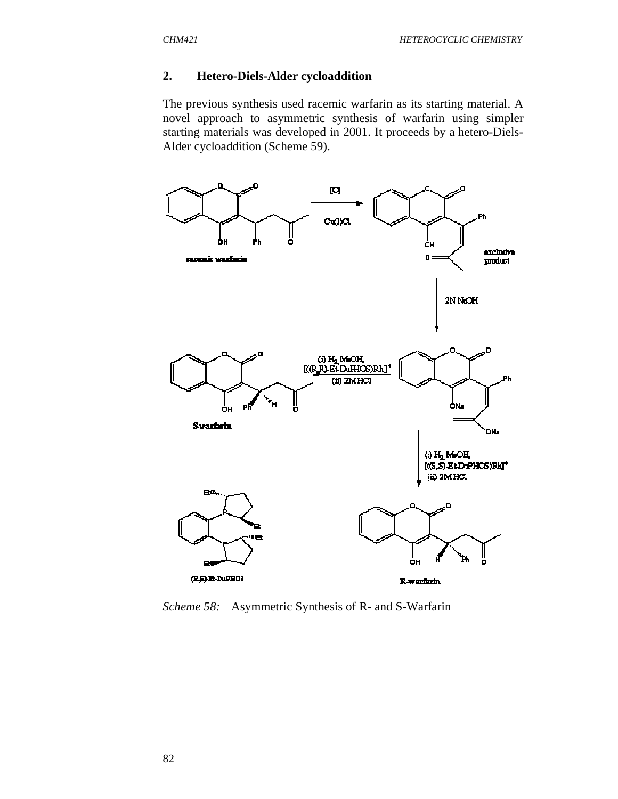#### **2. Hetero-Diels-Alder cycloaddition**

The previous synthesis used racemic warfarin as its starting material. A novel approach to asymmetric synthesis of warfarin using simpler starting materials was developed in 2001. It proceeds by a hetero-Diels-Alder cycloaddition (Scheme 59).



*Scheme 58:* Asymmetric Synthesis of R- and S-Warfarin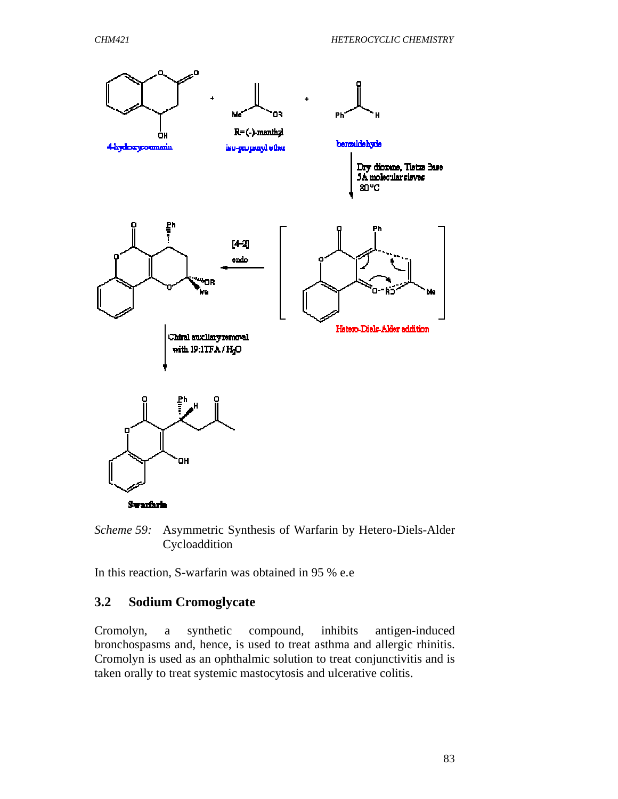

**Swarfarin** 

*Scheme 59:* Asymmetric Synthesis of Warfarin by Hetero-Diels-Alder Cycloaddition

In this reaction, S-warfarin was obtained in 95 % e.e

### **3.2 Sodium Cromoglycate**

Cromolyn, a synthetic compound, inhibits antigen-induced bronchospasms and, hence, is used to treat asthma and allergic rhinitis. Cromolyn is used as an ophthalmic solution to treat conjunctivitis and is taken orally to treat systemic mastocytosis and ulcerative colitis.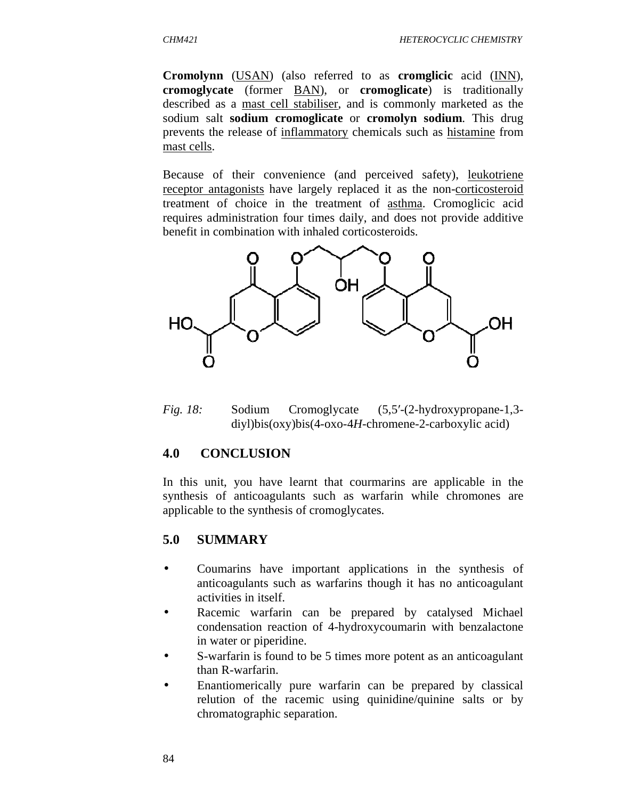**Cromolynn** (USAN) (also referred to as **cromglicic** acid (INN), **cromoglycate** (former BAN), or **cromoglicate**) is traditionally described as a mast cell stabiliser, and is commonly marketed as the sodium salt **sodium cromoglicate** or **cromolyn sodium**. This drug prevents the release of inflammatory chemicals such as histamine from mast cells.

Because of their convenience (and perceived safety), leukotriene receptor antagonists have largely replaced it as the non-corticosteroid treatment of choice in the treatment of asthma. Cromoglicic acid requires administration four times daily, and does not provide additive benefit in combination with inhaled corticosteroids.



*Fig. 18:* Sodium Cromoglycate (5,5′-(2-hydroxypropane-1,3 diyl)bis(oxy)bis(4-oxo-4*H*-chromene-2-carboxylic acid)

#### **4.0 CONCLUSION**

In this unit, you have learnt that courmarins are applicable in the synthesis of anticoagulants such as warfarin while chromones are applicable to the synthesis of cromoglycates.

#### **5.0 SUMMARY**

- Coumarins have important applications in the synthesis of anticoagulants such as warfarins though it has no anticoagulant activities in itself.
- Racemic warfarin can be prepared by catalysed Michael condensation reaction of 4-hydroxycoumarin with benzalactone in water or piperidine.
- S-warfarin is found to be 5 times more potent as an anticoagulant than R-warfarin.
- Enantiomerically pure warfarin can be prepared by classical relution of the racemic using quinidine/quinine salts or by chromatographic separation.